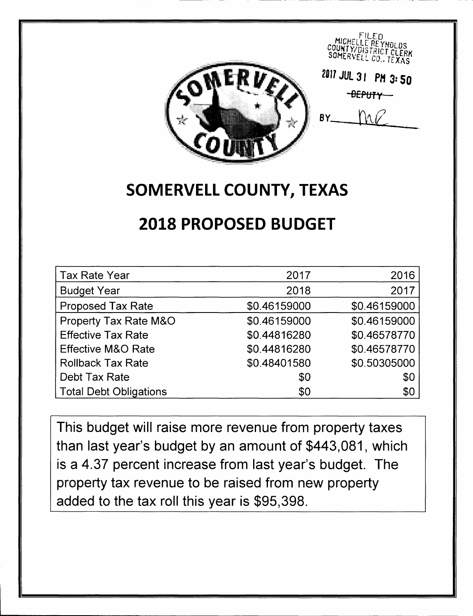

## **SOMERVELL COUNTY, TEXAS**

# **2018 PROPOSED BUDGET**

| <b>Tax Rate Year</b>          | 2017         | 2016         |
|-------------------------------|--------------|--------------|
| <b>Budget Year</b>            | 2018         | 2017         |
| <b>Proposed Tax Rate</b>      | \$0.46159000 | \$0.46159000 |
| Property Tax Rate M&O         | \$0.46159000 | \$0.46159000 |
| <b>Effective Tax Rate</b>     | \$0.44816280 | \$0.46578770 |
| <b>Effective M&amp;O Rate</b> | \$0.44816280 | \$0.46578770 |
| <b>Rollback Tax Rate</b>      | \$0.48401580 | \$0.50305000 |
| Debt Tax Rate                 | \$0          | \$0          |
| <b>Total Debt Obligations</b> | \$0          | \$0          |

This budget will raise more revenue from property taxes than last year's budget by an amount of \$443,081, which is a 4.37 percent increase from last year's budget. The property tax revenue to be raised from new property added to the tax roll this year is \$95,398.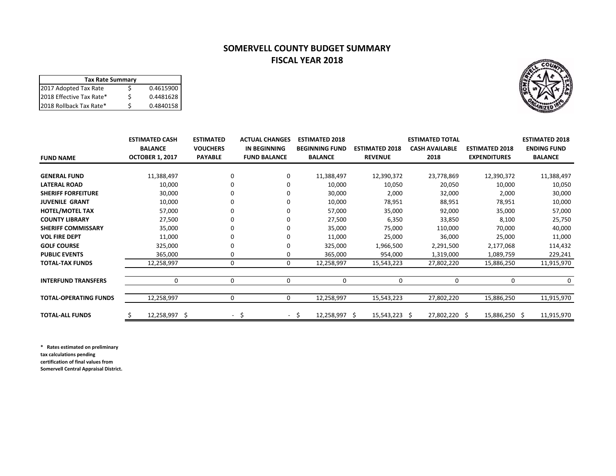### **SOMERVELL COUNTY BUDGET SUMMARY FISCAL YEAR 2018**

| <b>Tax Rate Summary</b>  |   |           |  |  |  |  |  |
|--------------------------|---|-----------|--|--|--|--|--|
| 2017 Adopted Tax Rate    |   | 0.4615900 |  |  |  |  |  |
| 2018 Effective Tax Rate* | ς | 0.4481628 |  |  |  |  |  |
| 2018 Rollback Tax Rate*  |   | 0.4840158 |  |  |  |  |  |

|                              | <b>ESTIMATED CASH</b>  | <b>ESTIMATED</b> | <b>ACTUAL CHANGES</b> | <b>ESTIMATED 2018</b> |                       | <b>ESTIMATED TOTAL</b> |                       | <b>ESTIMATED 2018</b> |
|------------------------------|------------------------|------------------|-----------------------|-----------------------|-----------------------|------------------------|-----------------------|-----------------------|
|                              | <b>BALANCE</b>         | <b>VOUCHERS</b>  | IN BEGINNING          | <b>BEGINNING FUND</b> | <b>ESTIMATED 2018</b> | <b>CASH AVAILABLE</b>  | <b>ESTIMATED 2018</b> | <b>ENDING FUND</b>    |
| <b>FUND NAME</b>             | <b>OCTOBER 1, 2017</b> | <b>PAYABLE</b>   | <b>FUND BALANCE</b>   | <b>BALANCE</b>        | <b>REVENUE</b>        | 2018                   | <b>EXPENDITURES</b>   | <b>BALANCE</b>        |
|                              |                        |                  |                       |                       |                       |                        |                       |                       |
| <b>GENERAL FUND</b>          | 11,388,497             |                  | 0                     | 11,388,497            | 12,390,372            | 23,778,869             | 12,390,372            | 11,388,497            |
| <b>LATERAL ROAD</b>          | 10,000                 |                  |                       | 10,000                | 10,050                | 20,050                 | 10,000                | 10,050                |
| <b>SHERIFF FORFEITURE</b>    | 30,000                 |                  |                       | 30,000                | 2,000                 | 32,000                 | 2,000                 | 30,000                |
| <b>JUVENILE GRANT</b>        | 10,000                 |                  |                       | 10,000                | 78,951                | 88,951                 | 78,951                | 10,000                |
| <b>HOTEL/MOTEL TAX</b>       | 57,000                 |                  |                       | 57,000                | 35,000                | 92,000                 | 35,000                | 57,000                |
| <b>COUNTY LIBRARY</b>        | 27,500                 |                  |                       | 27,500                | 6,350                 | 33,850                 | 8,100                 | 25,750                |
| <b>SHERIFF COMMISSARY</b>    | 35,000                 |                  |                       | 35,000                | 75,000                | 110,000                | 70,000                | 40,000                |
| <b>VOL FIRE DEPT</b>         | 11,000                 |                  |                       | 11,000                | 25,000                | 36,000                 | 25,000                | 11,000                |
| <b>GOLF COURSE</b>           | 325,000                |                  |                       | 325,000               | 1,966,500             | 2,291,500              | 2,177,068             | 114,432               |
| <b>PUBLIC EVENTS</b>         | 365,000                |                  | 0                     | 365,000               | 954,000               | 1,319,000              | 1,089,759             | 229,241               |
| <b>TOTAL-TAX FUNDS</b>       | 12,258,997             | 0                | 0                     | 12,258,997            | 15,543,223            | 27,802,220             | 15,886,250            | 11,915,970            |
|                              |                        |                  |                       |                       |                       |                        |                       |                       |
| <b>INTERFUND TRANSFERS</b>   | 0                      | $\mathbf 0$      | $\mathbf 0$           | $\Omega$              | 0                     | $\mathbf 0$            | $\mathbf 0$           | 0                     |
| <b>TOTAL-OPERATING FUNDS</b> | 12,258,997             | 0                | 0                     | 12,258,997            | 15,543,223            | 27,802,220             | 15,886,250            | 11,915,970            |
| <b>TOTAL-ALL FUNDS</b>       | 12,258,997 \$<br>Ś     | $\sim$           | -\$                   | 12,258,997 \$<br>- \$ | $15,543,223$ \$       | 27,802,220 \$          | 15,886,250 \$         | 11,915,970            |

**\* Rates estimated on preliminary tax calculations pending**

**certification of final values from**

**Somervell Central Appraisal District.**

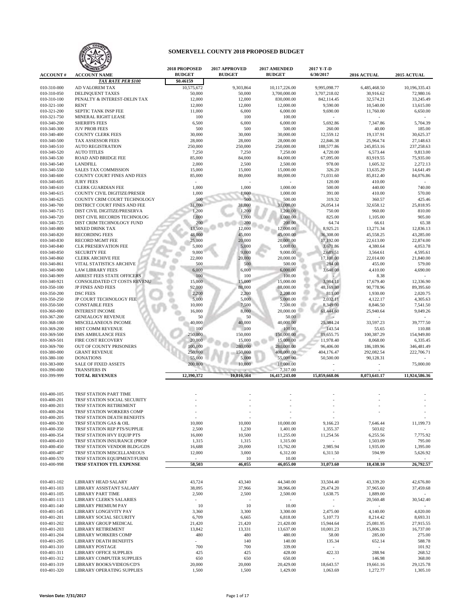

|                            | <b>MAIZED 18</b>                             | 2018 PROPOSED | 2017 APPROVED   | 2017 AMENDED              | 2017 Y-T-D    |              |               |
|----------------------------|----------------------------------------------|---------------|-----------------|---------------------------|---------------|--------------|---------------|
| <b>ACCOUNT#</b>            | <b>ACCOUNT NAME</b>                          | <b>BUDGET</b> | <b>BUDGET</b>   | <b>BUDGET</b>             | 6/30/2017     | 2016 ACTUAL  | 2015 ACTUAL   |
|                            | <b>TAX RATE PER \$100</b>                    | \$0.46159     |                 |                           |               |              |               |
| 010-310-000                | AD VALOREM TAX                               | 10,575,672    | 9,303,864       | 10,117,226.00             | 9,995,098.77  | 6,485,468.50 | 10.196.335.43 |
| 010-310-050                | DELINQUENT TAXES                             | 50,000        | 50,000          | 3,700,000.00              | 3,707,218.02  | 30,916.62    | 72,980.16     |
| 010-310-100                | PENALTY & INTEREST-DELIN TAX                 | 12,000        | 12,000          | 830,000.00                | 842,114.45    | 32,574.21    | 33,245.49     |
| 010-321-100                | <b>RENT</b>                                  | 12,000        | 12,000          | 12,000.00                 | 9,590.00      | 10,540.00    | 13,615.00     |
| 010-321-200                | SEPTIC TANK INSP FEE                         | 11,000        | 6,000           | 6,000.00                  | 9,690.00      | 11,760.00    | 6,650.00      |
| 010-321-750                | MINERAL RIGHT LEASE                          | 100           | 100             | 100.00                    |               |              |               |
| 010-340-200                | <b>SHERIFFS FEES</b>                         | 6,500         | 6,000           | 6,000.00                  | 5,692.86      | 7,347.86     | 5,704.39      |
| 010-340-300                | <b>JUV PROB FEES</b>                         | 500           | 500             | 500.00                    | 260.00        | 40.00        | 185.00        |
| 010-340-400                | <b>COUNTY CLERK FEES</b>                     | 30,000        | 30,000          | 30,000.00                 | 12,559.12     | 19,137.91    | 30,625.37     |
| 010-340-500                | TAX ASSESSOR FEES                            | 28,000        | 28,000          | 28,000.00                 | 22,846.38     | 25,964.74    | 27,148.63     |
| 010-340-510                | <b>AUTO REGISTRATION</b>                     | 250,000       | 250,000         | 250,000.00                | 188,577.86    | 245,853.16   | 237,258.63    |
| 010-340-520                | <b>AUTO TITLES</b>                           | 7,250         | 7,250           | 7,250.00                  | 4,720.00      | 6,573.44     | 9,813.00      |
| 010-340-530                | <b>ROAD AND BRIDGE FEE</b>                   | 85,000        | 84,000          | 84,000.00                 | 67,095.00     | 83,919.55    | 75,935.00     |
| 010-340-540                | <b>LANDFILL</b>                              | 2,000         | 2,500           | 2,500.00                  | 978.00        | 1,605.32     | 2,272.13      |
| 010-340-550                | SALES TAX COMMISSION                         | 15,000        | 15,000          | 15,000.00                 | 326.20        | 13,635.29    | 14,641.49     |
| 010-340-600                | COUNTY COURT FINES AND FEES                  | 85,000        | 80,000          | 80,000.00                 | 71,031.60     | 85,812.40    | 84,076.86     |
| 010-340-605                | <b>JURY FEES</b>                             |               |                 |                           | 120.00        | 410.00       |               |
| 010-340-610                | CLERK GUARDIAN FEE                           | 1,000         | 1,000           | 1,000.00                  | 500.00        | 440.00       | 740.00        |
| 010-340-615                | COUNTY CIVIL DIGITIZE/PRESER                 | 1,000         | 1,000           | 1,000.00                  | 391.00        | 410.00       | 570.00        |
| 010-340-625                | COUNTY CRIM COURT TECHNOLOGY                 | 500           | 500             | 500.00                    | 319.32        | 360.57       | 425.46        |
| 010-340-700                | DISTRICT COURT FINES AND FEE                 | 31,000        | 31,000          | 31,000.00                 | 26,054.14     | 32,658.12    | 25,818.95     |
| 010-340-715                | DIST CIVIL DIGITIZE/PRESERVA                 | 1,200         | 1,200           | 1,200.00                  | 750.00        | 960.00       | 810.00        |
| 010-340-720                | DIST CIVIL RECORDS TECHNOLOG                 | 1,000         | 1,000           | 1,000.00                  | 825.00        | 1,105.00     | 905.00        |
| 010-340-725                | DIST CRIM TECHNOLOGY FUND                    | 200           | 200             | 200.00                    | 64.74         | 66.61        | 65.38         |
| 010-340-800                | <b>MIXED DRINK TAX</b>                       | 13,500        | 12,000          | 12,000.00                 | 8,925.21      | 13,271.34    | 12,836.13     |
| 010-340-820                | <b>RECORDING FEES</b>                        | 48,000        | 45,000          | 45,000.00                 | 36,308.00     | 45,558.25    | 43,285.00     |
| 010-340-830                | <b>RECORD MGMT FEE</b>                       | 25,000        | 20,000          | 20,000.00                 | 17,192.00     | 22,613.00    | 22,874.00     |
| 010-340-840                | <b>CLK PRESERVATION FEE</b>                  | 5,000         | 5,000           | 5,000.00                  | 3,671.86      | 4,380.64     | 4,053.78      |
| 010-340-850                | <b>SECURITY FEE</b>                          | 9,000         | 9,000           | 9,000.00                  | 2,689.51      | 3,564.61     | 4,595.61      |
| 010-340-860                | <b>CLERK ARCHIVE FEE</b>                     | 22,000        | 20,000          | 20,000.00                 | 17,100.00     | 22,014.00    | 21,840.00     |
| 010-340-861                | VITAL STATISTICS ARCHIVE                     | 500           | 500             | 500.00                    | 284.00        | 455.00       | 579.00        |
| 010-340-900                | <b>LAW LIBRARY FEES</b>                      | 6,000         | 6,000           | 6,000.00                  | 3,640.00      | 4,410.00     | 4,690.00      |
| 010-340-909                | ARREST FEES STATE OFFICERS                   | 100           | 100             | 100.00                    |               | 8.38         |               |
| 010-340-921                | CONSOLIDATED CT COSTS REVENU                 | 15,000        | 15,000          | 15,000.00                 | 3,984.11      | 17,679.40    | 12,336.90     |
| 010-350-100                | JP FINES AND FEES                            | 92,000        | 88,000          | 88,000.00                 | 48,169.80     | 90,778.96    | 89,395.60     |
| 010-350-200                | <b>DSC FEES</b>                              | 2,200         | 2,200           | 2,200.00                  | 811.00        | 1,930.00     | 2,020.75      |
| 010-350-250                | JP COURT TECHNOLOGY FEE                      | 5,000         | 5,000           | 5,000.00                  | 2,032.11      | 4,122.17     | 4,305.63      |
| 010-350-500                | <b>CONSTABLE FEES</b>                        | 10,000        | 7,500           | 7,500.00                  | 8,349.00      | 8,846.50     | 7,541.50      |
| 010-360-000                | <b>INTEREST INCOME</b>                       | 16,000        | 8,000           | 20,000.00                 | 61,444.60     |              | 9,049.26      |
| 010-367-200                | <b>GENEALOGY REVENUE</b>                     | 50            | 50              | 50.00                     |               | 25,940.64    |               |
| 010-368-100                | MISCELLANEOUS INCOME                         | 40,000        | 40,000          | 40,000.00                 | 25,384.24     | 33,597.23    | 39,777.50     |
|                            | HIST COMM REVENUE                            | 100           | 100             | 100.00                    |               |              | 110.88        |
| 010-369-200                |                                              | 250,000       | 150,000         | 150,000.00                | 143.54        | 55.65        |               |
| 010-369-500                | <b>EMS AMBULANCE FEES</b>                    |               |                 |                           | 89,655.75     | 100,387.29   | 154,949.80    |
| 010-369-501                | <b>FIRE COST RECOVERY</b>                    | 20,000        | 15,000          | 15,000.00                 | 11,978.40     | 8,068.00     | 6,335.45      |
| 010-369-700                | OUT OF COUNTY PRISONERS                      | 100,000       | 280,000         | 280,000.00                | 96,406.00     | 186,189.96   | 346,481.49    |
| 010-380-000                | <b>GRANT REVENUE</b>                         | 250,000       | 150,000         | 400,000.00                | 404,176.47    | 292,082.54   | 222,706.71    |
| 010-380-100                | <b>DONATIONS</b>                             | 55,000        | 5,000<br>10,000 | 55,000.00                 | 50,500.00     | 90,128.31    |               |
| 010-383-000                | <b>SALE OF FIXED ASSETS</b>                  | 200,000       |                 | 10,000.00                 |               |              | 75,000.00     |
| 010-390-000<br>010-399-999 | <b>TRANSFERS IN</b><br><b>TOTAL REVENUES</b> | 12,390,372    | 10,816,564      | 7,317.00<br>16,417,243.00 | 15,859,668.06 | 8,073,641.17 | 11,924,586.36 |
|                            |                                              |               |                 |                           |               |              |               |
| 010-400-105                | TRSF STATION PART TIME                       |               |                 |                           |               |              |               |
| 010-400-201                | TRSF STATION SOCIAL SECURITY                 |               |                 |                           |               |              |               |
| 010-400-203                | TRSF STATION RETIREMENT                      |               |                 |                           |               |              |               |
| 010-400-204                | TRSF STATION WORKERS COMP                    |               |                 |                           |               |              |               |
| 010-400-205                | TRSF STATION DEATH BENEFITS                  | $\sim$        |                 | $\equiv$                  |               |              |               |
| 010-400-330                | TRSF STATION GAS & OIL                       | 10,000        | 10,000          | 10,000.00                 | 9,166.23      | 7,646.44     | 11,199.73     |
| 010-400-350                | TRSF STATION REP PTS/SUPPLIE                 | 2,500         | 1,230           | 1,401.00                  | 1,355.37      | 503.02       |               |
| 010-400-354                | TRSF STATION HVY EQUIP PTS                   | 16,000        | 10,500          | 11,255.00                 | 11,254.56     | 6,255.56     | 7,775.92      |
| 010-400-410                | TRSF STATION INSURANCE (PROP                 | 1,315         | 1,315           | 1,315.00                  |               | 1,503.09     | 795.00        |
| 010-400-450                | TRSF STATION VENDOR BLDG/GDS                 | 16,688        | 20,000          | 15,762.00                 | 2,985.94      | 1,935.00     | 1,395.00      |
| 010-400-487                | TRSF STATION MISCELLANEOUS                   | 12,000        | 3,000           | 6,312.00                  | 6,311.50      | 594.99       | 5,626.92      |
| 010-400-570                | TRSF STATION EQUIPMENT/FURNI                 |               | 10              | 10.00                     |               |              |               |
| 010-400-998                | TRSF STATION TTL EXPENSE                     | 58,503        | 46,055          | 46,055.00                 | 31,073.60     | 18,438.10    | 26,792.57     |
|                            |                                              |               |                 |                           |               |              |               |
| 010-401-102                | LIBRARY HEAD SALARY                          | 43,724        | 43,340          | 44,340.00                 | 33,504.40     | 43,339.20    | 42,676.80     |
| 010-401-103                | LIBRARY ASSISTANT SALARY                     | 38,095        | 37,966          | 38,966.00                 | 29,474.20     | 37,965.60    | 37,459.68     |
| 010-401-105                | LIBRARY PART TIME                            | 2,500         | 2,500           | 2,500.00                  | 1,638.75      | 1,889.00     |               |
| 010-401-113                | <b>LIBRARY CLERK'S SALARIES</b>              | $\sim$        |                 | $\sim$                    | $\sim$        | 20,560.48    | 30,542.40     |
| 010-401-140                | LIBRARY PREMIUM PAY                          | 10            | 10              | 10.00                     | $\omega$      |              |               |
| 010-401-145                | LIBRARY LONGEVITY PAY                        | 3,360         | 3,300           | 3,300.00                  | 2,475.00      | 4,140.00     | 4,020.00      |
| 010-401-201                | LIBRARY SOCIAL SECURITY                      | 6,709         | 6,665           | 6,818.00                  | 5,107.73      | 8,214.42     | 8,693.31      |
| 010-401-202                | LIBRARY GROUP MEDICAL                        | 21,420        | 21,420          | 21,420.00                 | 15,944.64     | 25,081.95    | 27,915.55     |
| 010-401-203                | LIBRARY RETIREMENT                           | 13,842        | 13,331          | 13,637.00                 | 10,001.23     | 15,806.33    | 16,737.00     |
| 010-401-204                | LIBRARY WORKERS COMP                         | 480           | 480             | 480.00                    | 58.00         | 285.00       | 275.00        |
| 010-401-205                | LIBRARY DEATH BENEFITS                       | ÷,            | 140             | 140.00                    | 135.34        | 652.14       | 588.78        |
| 010-401-310                | <b>LIBRARY POSTAGE</b>                       | 700           | 700             | 339.00                    | $\sim$        | $\sim$       | 101.92        |
| 010-401-311                | LIBRARY OFFICE SUPPLIES                      | 425           | 425             | 428.00                    | 422.33        | 288.94       | 268.52        |
| 010-401-312                | LIBRARY COMPUTER SUPPLIES                    | 650           | 650             | 650.00                    | ÷.            | 146.98       | 368.00        |
| 010-401-319                | LIBRARY BOOKS/VIDEOS/CD'S                    | 20,000        | 20,000          | 20,429.00                 | 18,643.57     | 19,661.16    | 29,125.78     |
| 010-401-320                | LIBRARY OPERATING SUPPLIES                   | 1,500         | 1,500           | 1,429.00                  | 1,063.69      | 1,272.77     | 1,305.10      |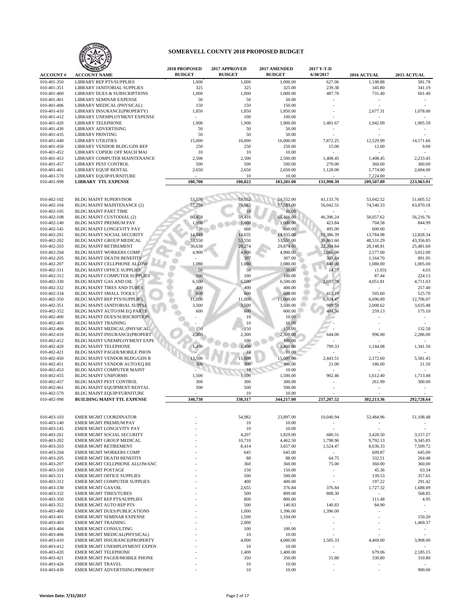

|                            |                                                                    | 2018 PROPOSED | 2017 APPROVED   | 2017 AMENDED         | 2017 Y-T-D                      |                                  |                      |
|----------------------------|--------------------------------------------------------------------|---------------|-----------------|----------------------|---------------------------------|----------------------------------|----------------------|
| <b>ACCOUNT#</b>            | <b>ACCOUNT NAME</b>                                                | <b>BUDGET</b> | <b>BUDGET</b>   | <b>BUDGET</b>        | 6/30/2017                       | 2016 ACTUAL                      | 2015 ACTUAL          |
| 010-401-350                | <b>LIBRARY REP PTS/SUPPLIES</b>                                    | 1,000         | 1,000           | 1,000.00             | 627.06                          | 1,198.88                         | 581.78               |
| 010-401-351                | LIBRARY JANITORIAL SUPPLIES                                        | 325           | 325             | 325.00               | 239.38                          | 345.80                           | 341.19               |
| 010-401-400<br>010-401-401 | <b>LIBRARY DUES &amp; SUBSCRIPTIONS</b><br>LIBRARY SEMINAR EXPENSE | 1,000<br>50   | 1,000<br>50     | 1,000.00<br>50.00    | 487.70                          | 731.40                           | 601.40               |
| 010-401-406                | LIBRARY MEDICAL (PHYSICAL)                                         | 150           | 150             | 150.00               |                                 |                                  |                      |
| 010-401-410                | LIBRARY INSURANCE(PROPERTY)                                        | 1,850         | 1,850           | 1,850.00             | $\bar{\phantom{a}}$             | 2,677.31                         | 1,078.00             |
| 010-401-412                | LIBRARY UNEMPLOYMENT EXPENSE                                       | $\sim$        | 100             | 100.00               |                                 | ÷                                |                      |
| 010-401-420                | <b>LIBRARY TELEPHONE</b>                                           | 1,900         | 1,900           | 1,900.00             | 1,481.67                        | 1,942.09                         | 1,905.59             |
| 010-401-430                | LIBRARY ADVERTISING                                                | 50            | 50              | 50.00                |                                 |                                  |                      |
| 010-401-435                | <b>LIBRARY PRINTING</b>                                            | 50            | 50              | 50.00                | ä,                              | $\ddot{\phantom{1}}$             |                      |
| 010-401-440                | <b>LIBRARY UTILITIES</b>                                           | 15,000        | 16,000          | 16,000.00            | 7,872.25                        | 12,529.99                        | 14,171.66            |
| 010-401-450                | <b>LIBRARY VENDOR BLDG/GDS REP</b>                                 | 250           | 250             | 250.00               | 15.00                           | 12.00                            | 9.00                 |
| 010-401-452                | LIBRARY COPIER/ OFF MACH MAI                                       | 10            | 10              | 10.00                | ä,                              |                                  |                      |
| 010-401-453                | LIBRARY COMPUTER MAINTENANCE                                       | 2,500         | 2,500           | 2,500.00             | 1,408.45                        | 1,408.45                         | 2,233.45             |
| 010-401-457                | LIBRARY PEST CONTROL                                               | 500           | 500             | 500.00               | 270.00                          | 360.00                           | 360.00               |
| 010-401-461                | LIBRARY EQUIP RENTAL                                               | 2,650         | 2,650           | 2,650.00             | 1,128.00                        | 1,774.00                         | 2,604.00             |
| 010-401-570                | LIBRARY EQUIP/FURNITURE<br><b>LIBRARY TTL EXPENSE</b>              | 180,700       | 10              | 10.00                | 131,998.39                      | 7,224.00                         |                      |
| 010-401-998                |                                                                    |               | 180,822         | 183,281.00           |                                 | 209,507.89                       | 223,963.91           |
|                            |                                                                    |               |                 |                      |                                 |                                  |                      |
| 010-402-102                | <b>BLDG MAINT SUPERVISOR</b>                                       | 53,576        | 53.552          | 54,552.00            | 41,133.76                       | 53,042.52                        | 51,605.52            |
| 010-402-104                | <b>BLDG MAINT MAINTENANCE (2)</b>                                  | 77,259        | 75,583          | 77,583.00            | 56,042.55                       | 74,540.33                        | 63,870.18            |
| 010-402-105                | BLDG MAINT PART TIME                                               |               | 10              | 10.00                |                                 |                                  |                      |
| 010-402-108                | BLDG MAINT CUSTODIAL (2)                                           | 60,458        | 59,416          | 61,416.00            | 46,396.24                       | 58,057.62                        | 56,216.76            |
| 010-402-140                | <b>BLDG MAINT PREMIUM PAY</b>                                      | 1,000         | 1,000           | 1,000.00             | 423.84                          | 704.58                           | 844.99               |
| 010-402-145                | BLDG MAINT LONGEVITY PAY                                           | 720           | 660             | 660.00               | 495.00                          | 600.00                           |                      |
| 010-402-201                | <b>BLDG MAINT SOCIAL SECURITY</b>                                  | 14,849        | 14,635          | 14,935.00            | 10,386.39                       | 13,784.98                        | 12,828.34            |
| 010-402-202                | BLDG MAINT GROUP MEDICAL                                           | 53,550        | 53,550          | 53,550.00            | 39,861.60                       | 48,531.29                        | 43,356.85            |
| 010-402-203                | BLDG MAINT RETIREMENT                                              | 30,638        | 29,274          | 29,874.00            | 22,204.84                       | 28,148.81                        | 25,481.60            |
| 010-402-204                | <b>BLDG MAINT WORKERS COMP</b>                                     | 4,900         | 4,900           | 4,900.00             | 2,866.00                        | 2,577.00                         | 3,012.00             |
| 010-402-205                | <b>BLDG MAINT DEATH BENEFITS</b>                                   |               | 307             | 307.00               | 303.64                          | 1,164.70                         | 891.95               |
| 010-402-207                | BLDG MAINT CELLPHONE ALLOW                                         | 1,080         | 1,080           | 1,080.00             | 840.00                          | 1,080.00                         | 1,005.00             |
| 010-402-311                | <b>BLDG MAINT OFFICE SUPPLIES</b>                                  | 50            | 50              | 50.00                | 14.77                           | (1.03)                           | 4.03                 |
| 010-402-312                | BLDG MAINT COMPUTER SUPPLIES                                       | 100           | 100             | 100.00               |                                 | 87.44                            | 224.13               |
| 010-402-330<br>010-402-332 | BLDG MAINT GAS AND OIL                                             | 6,500         | 6,500           | 6,500.00             | 2,697.78                        | 4,051.81                         | 4,711.03             |
| 010-402-334                | <b>BLDG MAINT TIRES AND TUBES</b><br><b>BLDG MAINT SMALL TOOLS</b> | 400<br>600    | 400<br>600      | 400.00<br>600.00     | 412.19                          | 505.60                           | 257.40<br>525.70     |
| 010-402-350                | <b>BLDG MAINT REP PTS/SUPPLIES</b>                                 | 11,000        | 11,000          | 11,000.00            | 6,924.47                        | 6,696.89                         | 12,706.07            |
| 010-402-351                | BLDG MAINT JANITORIAL SUPPLI                                       | 3,500         | 3,500           | 3,500.00             | 989.59                          | 2,008.62                         | 3,635.48             |
| 010-402-352                | BLDG MAINT AUTO/SM EQ PARTS                                        | 600           | 600             | 600.00               | 404.56                          | 259.13                           | 175.10               |
| 010-402-400                | <b>BLDG MAINT DUES/SUBSCRIPTION</b>                                |               | 10              | 10.00                | ٠.                              |                                  | $\sim$               |
| 010-402-403                | <b>BLDG MAINT TRAINING</b>                                         |               | 10              | 10.00                |                                 |                                  |                      |
| 010-402-406                | BLDG MAINT MEDICAL (PHYSICAL                                       | 150           | 150             | 150.00               |                                 |                                  | 132.58               |
| 010-402-410                | <b>BLDG MAINT INSURANCE(PROPERT</b>                                | 2,300         | 2,300           | 2,300.00             | 644.00                          | 996.00                           | 2,286.00             |
| 010-402-412                | BLDG MAINT UNEMPLOYMENT EXPE                                       |               | 100             | 100.00               |                                 |                                  |                      |
| 010-402-420                | <b>BLDG MAINT TELEPHONE</b>                                        | 1,400         | 1.400           | 1,400.00             | 799.33                          | 1,144.08                         | 1,341.50             |
| 010-402-421                | BLDG MAINT PAGER/MOBILE PHON                                       |               | 10              | 10.00                |                                 |                                  |                      |
| 010-402-450                | BLDG MAINT VENDOR BLDG/GDS R                                       | 13.500        | 15,000          | 15,000.00            | 2,443.51                        | 2,172.60                         | 5,581.45             |
| 010-402-451                | BLDG MAINT VENDOR AUTO/EQ RE                                       | 300           | 300             | 300.00               | 21.00                           | 186.00                           | 21.50                |
| 010-402-453                | BLDG MAINT COMPUTER MAINT                                          |               | 10              | 10.00                | $\sim$                          |                                  |                      |
| 010-402-455<br>010-402-457 | <b>BLDG MAINT UNIFORMS</b><br>BLDG MAINT PEST CONTROL              | 1,500<br>300  | .500<br>300     | 1,500.00<br>300.00   | 902.46                          | 1,612.40<br>261.99               | 1,713.48<br>300.00   |
| 010-402-461                | BLDG MAINT EQUIPMENT RENTAL                                        | 500           | 500             | 500.00               | ٠                               | $\overline{a}$                   | $\sim$               |
| 010-402-570                | BLDG MAINT EQUIP/FURNITURE                                         |               | 10              | 10.00                |                                 |                                  |                      |
| 010-402-998                | <b>BUILDING MAINT TTL EXPENSE</b>                                  | 340,730       | 338,317         | 344,217.00           | 237,207.52                      | 302,213.36                       | 292,728.64           |
|                            |                                                                    |               |                 |                      |                                 |                                  |                      |
|                            |                                                                    |               |                 |                      |                                 |                                  |                      |
| 010-403-103                | EMER MGMT COORDINATOR                                              |               | 54,982          | 23,897.00            | 10,040.94                       | 53,484.96                        | 51,108.48            |
| 010-403-140                | EMER MGMT PREMIUM PAY                                              |               | 10              | 10.00                |                                 |                                  |                      |
| 010-403-145                | EMER MGMT LONGEVITY PAY                                            |               | 10              | 10.00                | $\equiv$                        | ÷,                               | $\sim$               |
| 010-403-201                | <b>EMER MGMT SOCIAL SECURITY</b>                                   |               | 4,207           | 1,829.00             | 680.31                          | 3,428.50                         | 3,157.27             |
| 010-403-202<br>010-403-203 | EMER MGMT GROUP MEDICAL<br><b>EMER MGMT RETIREMENT</b>             |               | 10,710<br>8,414 | 4,462.50<br>3,657.00 | 1,798.96<br>1,524.47            | 9,792.13<br>8,036.33             | 9,345.85<br>7,509.72 |
| 010-403-204                | <b>EMER MGMT WORKERS COMP</b>                                      |               | 645             | 645.00               |                                 | 609.87                           | 645.00               |
| 010-403-205                | <b>EMER MGMT DEATH BENEFITS</b>                                    |               | 88              | 88.00                | 64.75                           | 332.51                           | 264.48               |
| 010-403-207                | EMER MGMT CELLPHONE ALLOWANC                                       |               | 360             | 360.00               | 75.00                           | 360.00                           | 360.00               |
| 010-403-310                | <b>EMER MGMT POSTAGE</b>                                           |               | 150             | 150.00               |                                 | 45.36                            | 63.34                |
| 010-403-311                | <b>EMER MGMT OFFICE SUPPLIES</b>                                   |               | 500             | 500.00               | $\overline{\phantom{a}}$        | 139.53                           | 357.65               |
| 010-403-312                | EMER MGMT COMPUTER SUPPLIES                                        |               | 400             | 400.00               |                                 | 197.22                           | 291.42               |
| 010-403-330                | <b>EMER MGMT GAS/OIL</b>                                           |               | 2,655           | 376.84               | 376.84                          | 1,727.32                         | 1,688.09             |
| 010-403-332                | <b>EMER MGMT TIRES/TUBES</b>                                       |               | 500             | 809.00               | 808.30                          | $\overline{a}$                   | 568.85               |
| 010-403-350                | EMER MGMT REP PTS/SUPPLIES                                         |               | 800             | 800.00               | $\sim$                          | 111.48                           | 4.95                 |
| 010-403-352                | EMER MGMT AUTO REP PTS                                             |               | 500             | 140.83               | 140.83                          | 84.90                            | $\omega$             |
| 010-403-400                | EMER MGMT DUES/PUBLICATIONS                                        |               | 1,000           | 1,396.00             | 1,396.00                        |                                  | $\sim$               |
| 010-403-401                | EMER MGMT SEMINAR EXPENSE                                          |               | 1,500           | 1,104.00             |                                 | ÷                                | 150.20               |
| 010-403-403                | <b>EMER MGMT TRAINING</b>                                          |               | 2,000           | $\sim$               | $\sim$                          | ٠                                | 1,469.37             |
| 010-403-404                | <b>EMER MGMT CONSULTING</b>                                        |               | 100             | 100.00               | $\sim$                          |                                  | $\sim$               |
| 010-403-406                | EMER MGMT MEDICAL(PHYSICAL)                                        |               | 10              | 10.00                |                                 |                                  |                      |
| 010-403-410                | EMER MGMT INSURANCE(PROPERTY                                       |               | 4,000           | 4,000.00             | 1,505.33                        | 4,469.00<br>$\ddot{\phantom{1}}$ | 3,908.00<br>$\sim$   |
| 010-403-412<br>010-403-420 | EMER MGMT UNEMPLOYMENT EXPEN<br><b>EMER MGMT TELEPHONE</b>         |               | 10<br>1,400     | 10.00<br>1,400.00    | $\bar{\phantom{a}}$<br>$\equiv$ | 679.06                           | 2,185.15             |
| 010-403-421                | EMER MGMT PAGER/MOBILE PHONE                                       |               | 350             | 350.00               | 51.80                           | 330.80                           | 310.80               |
| 010-403-426                | <b>EMER MGMT TRAVEL</b>                                            |               | 10              | 10.00                |                                 |                                  |                      |
| 010-403-430                | EMER MGMT ADVERTISING/PROMOT                                       |               | $10$            | 10.00                | $\ddot{\phantom{0}}$            | ÷                                | 900.00               |
|                            |                                                                    |               |                 |                      |                                 |                                  |                      |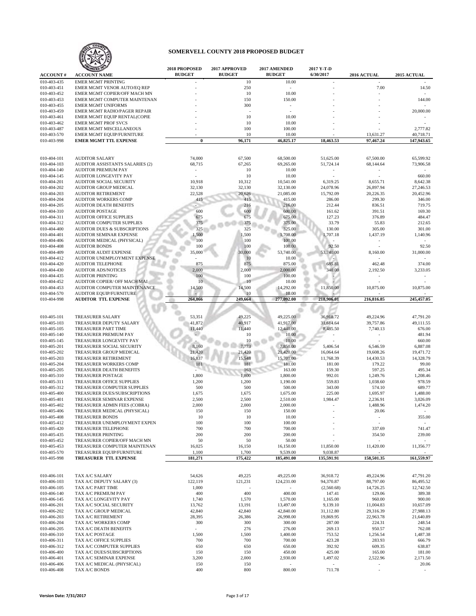

| <b>ACCOUNT#</b>            | WIZED<br><b>ACCOUNT NAME</b>                                 | 2018 PROPOSED<br><b>BUDGET</b> | 2017 APPROVED<br><b>BUDGET</b> | 2017 AMENDED<br><b>BUDGET</b> | 2017 Y-T-D<br>6/30/2017  | 2016 ACTUAL              | 2015 ACTUAL             |
|----------------------------|--------------------------------------------------------------|--------------------------------|--------------------------------|-------------------------------|--------------------------|--------------------------|-------------------------|
| 010-403-435                | <b>EMER MGMT PRINTING</b>                                    |                                | 10                             | 10.00                         |                          |                          |                         |
| 010-403-451                | EMER MGMT VENOR AUTO/EQ REP                                  |                                | 250                            |                               |                          | 7.00                     | 14.50                   |
| 010-403-452                | EMER MGMT COPIER/OFF MACH MN                                 |                                | 10                             | 10.00                         |                          |                          |                         |
| 010-403-453                | EMER MGMT COMPUTER MAINTENAN                                 |                                | 150                            | 150.00                        |                          |                          | 144.00                  |
| 010-403-455                | <b>EMER MGMT UNIFORMS</b>                                    |                                | 300                            |                               |                          |                          |                         |
| 010-403-459                | EMER MGMT RADIO/PAGER REPAIR                                 |                                |                                |                               |                          |                          | 20,000.00               |
| 010-403-461                | EMER MGMT EQUIP RENTAL(COPIE                                 |                                | 10                             | 10.00                         |                          |                          |                         |
| 010-403-462                | <b>EMER MGMT PROF SVCS</b>                                   |                                | 10                             | 10.00                         |                          |                          |                         |
| 010-403-487                | <b>EMER MGMT MISCELLANEOUS</b>                               |                                | 100                            | 100.00                        |                          |                          | 2,777.82                |
| 010-403-570<br>010-403-998 | EMER MGMT EQUIP/FURNITURE<br><b>EMER MGMT TTL EXPENSE</b>    | $\bf{0}$                       | 10<br>96,171                   | 10.00<br>46,825.17            | 18,463.53                | 13,631.27<br>97,467.24   | 40,718.71<br>147,943.65 |
|                            |                                                              |                                |                                |                               |                          |                          |                         |
|                            |                                                              |                                |                                |                               |                          |                          |                         |
| 010-404-101                | <b>AUDITOR SALARY</b>                                        | 74,000                         | 67,500                         | 68,500.00                     | 51,625.00                | 67,500.00                | 65,599.92               |
| 010-404-103                | AUDITOR ASSISTANTS SALARIES (2)                              | 68,715                         | 67,265                         | 69,265.00                     | 51,724.14                | 68,144.64                | 73,906.58               |
| 010-404-140<br>010-404-145 | <b>AUDITOR PREMIUM PAY</b><br>AUDITOR LONGEVITY PAY          | $\sim$                         | 10<br>10                       | 10.00<br>10.00                | $\overline{\phantom{a}}$ |                          | 660.00                  |
| 010-404-201                | <b>AUDITOR SOCIAL SECURITY</b>                               | 10,918                         | 10,312                         | 10,541.00                     | 6,319.25                 | 8,655.71                 | 8,642.38                |
| 010-404-202                | AUDITOR GROUP MEDICAL                                        | 32,130                         | 32,130                         | 32,130.00                     | 24,078.96                | 26,897.94                | 27,246.53               |
| 010-404-203                | <b>AUDITOR RETIREMENT</b>                                    | 22,528                         | 20,626                         | 21,085.00                     | 15,792.09                | 20,226.35                | 20,452.96               |
| 010-404-204                | AUDITOR WORKERS COMP                                         | 415                            | 415                            | 415.00                        | 286.00                   | 299.30                   | 346.00                  |
| 010-404-205                | <b>AUDITOR DEATH BENEFITS</b>                                |                                | 216                            | 216.00                        | 212.44                   | 836.51                   | 719.75                  |
| 010-404-310                | <b>AUDITOR POSTAGE</b>                                       | 600                            | 600                            | 600.00                        | 161.62                   | 391.51                   | 169.30                  |
| 010-404-311                | <b>AUDITOR OFFICE SUPPLIES</b>                               | 675                            | 675                            | 675.00                        | 127.23                   | 376.89                   | 484.47                  |
| 010-404-312                | AUDITOR COMPUTER SUPPLIES                                    | 375                            | 375                            | 375.00                        | 33.79                    | 55.83                    | 212.65                  |
| 010-404-400                | <b>AUDITOR DUES &amp; SUBSCRIPTIONS</b>                      | 325                            | 325                            | 325.00                        | 130.00                   | 305.00                   | 301.00                  |
| 010-404-401                | <b>AUDITOR SEMINAR EXPENSE</b>                               | 1,500                          | 1,500                          | 1,708.00                      | 1,707.18                 | 1,437.19                 | 1,140.96                |
| 010-404-406                | AUDITOR MEDICAL (PHYSICAL)                                   | 100                            | 100                            | 100.00                        |                          |                          |                         |
| 010-404-408                | <b>AUDITOR BONDS</b>                                         | 100                            | 100                            | 100.00                        | 92.50                    |                          | 92.50                   |
| 010-404-409                | <b>AUDITOR AUDIT EXPENSE</b>                                 | 35,000                         | 30,000                         | 53,740.00                     | 53,740.00                | 8,160.00                 | 31,000.00               |
| 010-404-412                | AUDITOR UNEMPLOYMENT EXPENSE                                 |                                | 10                             | 10.00                         |                          |                          |                         |
| 010-404-420                | <b>AUDITOR TELEPHONE</b>                                     | 875                            | 875                            | 875.00                        | 685.81                   | 462.48                   | 374.00                  |
| 010-404-430                | <b>AUDITOR ADS/NOTICES</b>                                   | 2,000                          | 2,000                          | 2,000.00                      | 340.00                   | 2,192.50                 | 3,233.05                |
| 010-404-435                | <b>AUDITOR PRINTING</b>                                      | 100<br>10                      | 100<br>10                      | 100.00                        |                          |                          |                         |
| 010-404-452<br>010-404-453 | AUDITOR COPIER/ OFF MACH MAI<br>AUDITOR COMPUTER MAINTENANCE | 14,500                         | 14,500                         | 10.00<br>14,292.00            | 11,850.00                | 10,875.00                | 10,875.00               |
| 010-404-570                | AUDITOR EQUIP/FURNITURE                                      |                                | 10                             | 10.00                         |                          |                          |                         |
| 010-404-998                | <b>AUDITOR TTL EXPENSE</b>                                   | 264,866                        | 249,664                        | 277,092.00                    | 218,906.01               | 216,816.85               | 245,457.05              |
|                            |                                                              |                                |                                |                               |                          |                          |                         |
|                            |                                                              |                                |                                |                               |                          |                          |                         |
| 010-405-101                | <b>TREASURER SALARY</b>                                      | 53,351                         | 49,225                         | 49,225.00                     | 36,918.72                | 49,224.96                | 47,791.20               |
| 010-405-103                | TREASURER DEPUTY SALARY                                      | 41,872                         | 40,917                         | 41,917.00                     | 31,614.64                | 39,757.86                | 49,111.55               |
| 010-405-105                | <b>TREASURER PART TIME</b>                                   | 11,440                         | 11,440                         | 12,440.00                     | 8,485.50                 | 7,740.13                 | 676.00                  |
| 010-405-140                | TREASURER PREMIUM PAY                                        |                                | 10                             | 10.00                         |                          |                          | 481.94                  |
| 010-405-145                | TREASURER LONGEVITY PAY                                      |                                | 10                             | 10.00                         |                          |                          | 660.00                  |
| 010-405-201<br>010-405-202 | TREASURER SOCIAL SECURITY<br>TREASURER GROUP MEDICAL         | 8,160<br>21,420                | 7,773                          | 7,850.00<br>21,420.00         | 5,406.54                 | 6,546.59                 | 6,887.08                |
| 010-405-203                | TREASURER RETIREMENT                                         | 16,837                         | 21,420<br>15,548               | 15,701.00                     | 16,064.64<br>11,768.39   | 19,608.26<br>14,430.53   | 19,471.72<br>14,328.79  |
| 010-405-204                | TREASURER WORKERS COMP                                       | 181                            | 181                            | 181.00                        | 181.00                   | 179.22                   | 99.00                   |
| 010-405-205                | TREASURER DEATH BENEFITS                                     |                                | 163                            | 163.00                        | 159.30                   | 597.25                   | 495.34                  |
| 010-405-310                | <b>TREASURER POSTAGE</b>                                     | 1,800                          | 1,800                          | 1,800.00                      | 992.01                   | 1,249.76                 | 1,208.46                |
| 010-405-311                | TREASURER OFFICE SUPPLIES                                    | 1,200                          | 1,200                          | 1,190.00                      | 559.83                   | 1,038.60                 | 978.59                  |
| 010-405-312                | TREASURER COMPUTER SUPPLIES                                  | 500                            | 500                            | 500.00                        | 343.00                   | 574.10                   | 689.77                  |
| 010-405-400                | TREASURER DUES/SUBSCRIPTIONS                                 | 1,675                          | 1,675                          | 1,675.00                      | 225.00                   | 1,695.97                 | 1,488.00                |
| 010-405-401                | TREASURER SEMINAR EXPENSE                                    | 2,500                          | 2,500                          | 2,510.00                      | 1,984.47                 | 2,236.91                 | 3,026.09                |
| 010-405-402                | TREASURER ADMIN FEES (COBRA)                                 | 2,000                          | 2,000                          | 2,000.00                      |                          | 1,488.96                 | 1,474.20                |
| 010-405-406                | TREASURER MEDICAL (PHYSICAL)                                 | 150                            | 150                            | 150.00                        |                          | 20.06                    |                         |
| 010-405-408                | TREASURER BONDS                                              | 10                             | 10                             | 10.00                         |                          | $\overline{\phantom{a}}$ | 355.00                  |
| 010-405-412                | TREASURER UNEMPLOYMENT EXPEN                                 | 100                            | 100                            | 100.00                        |                          | $\overline{\phantom{a}}$ |                         |
| 010-405-420                | TREASURER TELEPHONE                                          | 700                            | 700                            | 700.00                        |                          | 337.69                   | 741.47                  |
| 010-405-435                | <b>TREASURER PRINTING</b>                                    | 200                            | 200                            | 200.00                        | $\sim$                   | 354.50                   | 239.00                  |
| 010-405-452                | TREASURER COPIER/OFF MACH MN                                 | 50                             | 50                             | 50.00                         |                          |                          |                         |
| 010-405-453                | TREASURER COMPUTER MAINTENAN                                 | 16,025                         | 16,150                         | 16,150.00                     | 11,850.00                | 11,420.00                | 11,356.77               |
| 010-405-570<br>010-405-998 | TREASURER EQUIP/FURNITURE                                    | 1,100                          | 1,700<br>175,422               | 9,539.00                      | 9,038.87                 |                          |                         |
|                            | TREASURER TTL EXPENSE                                        | 181,271                        |                                | 185,491.00                    | 135,591.91               | 158,501.35               | 161,559.97              |
|                            |                                                              |                                |                                |                               |                          |                          |                         |
| 010-406-101                | TAX A/C SALARY                                               | 54,626                         | 49,225                         | 49,225.00                     | 36,918.72                | 49,224.96                | 47,791.20               |
| 010-406-103                | TAX A/C DEPUTY SALARY (3)                                    | 122,119                        | 121,231                        | 124,231.00                    | 94,370.87                | 88,797.00                | 86,495.52               |
| 010-406-105                | TAX A/C PART TIME                                            | 1,000                          |                                |                               | (2,560.68)               | 14,726.25                | 12,742.50               |
| 010-406-140                | TAX A/C PREMIUM PAY                                          | 400                            | 400                            | 400.00                        | 147.41                   | 129.06                   | 389.38                  |
| 010-406-145                | TAX A/C LONGEVITY PAY                                        | 1,740                          | 1,570                          | 1,570.00                      | 1,165.00                 | 960.00                   | 900.00                  |
| 010-406-201                | TAX A/C SOCIAL SECURITY                                      | 13,762                         | 13,191                         | 13,497.00                     | 9,139.10                 | 11,004.83                | 10,657.09               |
| 010-406-202                | TAX A/C GROUP MEDICAL                                        | 42,840                         | 42,840                         | 42,840.00                     | 31,112.80                | 29,316.39                | 27,988.13               |
| 010-406-203                | TAX A/C RETIREMENT                                           | 28,395                         | 26,386                         | 26,998.00                     | 19,869.95                | 22,963.78                | 21,640.89               |
| 010-406-204                | TAX A/C WORKERS COMP                                         | 300                            | 300                            | 300.00                        | 287.00                   | 224.31                   | 248.54                  |
| 010-406-205                | TAX A/C DEATH BENEFITS                                       | $\sim$                         | 276                            | 276.00                        | 269.13                   | 950.57                   | 762.08                  |
| 010-406-310                | TAX A/C POSTAGE                                              | 1,500                          | 1,500                          | 1,400.00                      | 753.52                   | 1,256.54                 | 1,487.38                |
| 010-406-311<br>010-406-312 | TAX A/C OFFICE SUPPLIES<br>TAX A/C COMPUTER SUPPLIES         | 700                            | 700                            | 700.00                        | 423.28                   | 283.93                   | 666.79                  |
| 010-406-400                | TAX A/C DUES/SUBSCRIPTIONS                                   | 650<br>150                     | 650<br>150                     | 650.00<br>450.00              | 392.92<br>425.00         | 609.35<br>165.00         | 638.87<br>181.00        |
| 010-406-401                | TAX A/C SEMINAR EXPENSE                                      | 3,200                          | 2,000                          | 2,930.00                      | 1,497.02                 | 2,522.96                 | 2,171.50                |
| 010-406-406                | TAX A/C MEDICAL (PHYSICAL)                                   | 150                            | 150                            |                               |                          | $\overline{\phantom{a}}$ | 20.06                   |
| 010-406-408                | TAX A/C BONDS                                                | 400                            | 800                            | 800.00                        | 711.78                   |                          |                         |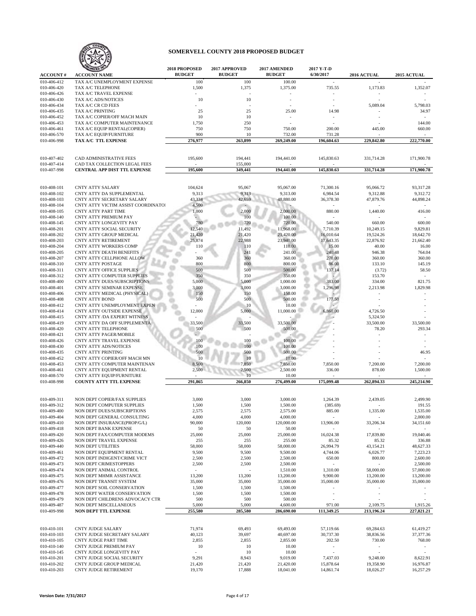

|                                |                                                              | 2018 PROPOSED<br><b>BUDGET</b> | 2017 APPROVED<br><b>BUDGET</b> | 2017 AMENDED<br><b>BUDGET</b> | 2017 Y-T-D<br>6/30/2017  |                       |                       |
|--------------------------------|--------------------------------------------------------------|--------------------------------|--------------------------------|-------------------------------|--------------------------|-----------------------|-----------------------|
| <b>ACCOUNT#</b><br>010-406-412 | <b>ACCOUNT NAME</b><br>TAX A/C UNEMPLOYMENT EXPENSE          | 100                            | 100                            | 100.00                        |                          | 2016 ACTUAL           | 2015 ACTUAL           |
| 010-406-420                    | TAX A/C TELEPHONE                                            | 1,500                          | 1,375                          | 1,375.00                      | 735.55                   | 1,173.83              | 1,352.07              |
| 010-406-426                    | TAX A/C TRAVEL EXPENSE                                       |                                |                                | ٠                             |                          |                       | $\sim$                |
| 010-406-430                    | TAX A/C ADS/NOTICES                                          | 10                             | 10                             |                               | ÷.                       |                       |                       |
| 010-406-434                    | TAX A/C CR CD FEES                                           |                                |                                |                               |                          | 5,089.04              | 5,798.03              |
| 010-406-435<br>010-406-452     | TAX A/C PRINTING<br>TAX A/C COPIER/OFF MACH MAIN             | 25<br>10                       | 25<br>10                       | 25.00<br>$\sim$               | 14.98<br>$\sim$          |                       | 34.97<br>$\sim$       |
| 010-406-453                    | TAX A/C COMPUTER MAINTENANCE                                 | 1,750                          | 250                            | $\bar{\phantom{a}}$           |                          |                       | 144.00                |
| 010-406-461                    | TAX A/C EQUIP RENTAL(COPIER)                                 | 750                            | 750                            | 750.00                        | 200.00                   | 445.00                | 660.00                |
| 010-406-570                    | TAX A/C EQUIP/FURNITURE                                      | 900                            | 10                             | 732.00                        | 731.28                   |                       |                       |
| 010-406-998                    | TAX A/C TTL EXPENSE                                          | 276,977                        | 263,899                        | 269,249.00                    | 196,604.63               | 229,842.80            | 222,770.00            |
|                                |                                                              |                                |                                |                               |                          |                       |                       |
| 010-407-402                    | <b>CAD ADMINISTRATIVE FEES</b>                               | 195,600                        | 194,441                        | 194,441.00                    | 145,830.63               | 331,714.28            | 171,900.78            |
| 010-407-414                    | CAD TAX COLLECTION LEGAL FEES                                |                                | 155,000                        |                               |                          |                       |                       |
| 010-407-998                    | <b>CENTRAL APP DIST TTL EXPENSE</b>                          | 195,600                        | 349,441                        | 194,441.00                    | 145,830.63               | 331,714.28            | 171,900.78            |
|                                |                                                              |                                |                                |                               |                          |                       |                       |
| 010-408-101                    | <b>CNTY ATTY SALARY</b>                                      | 104,624                        | 95,067                         | 95,067.00                     | 71,300.16                | 95,066.72             | 93,317.28             |
| 010-408-102                    | CNTY ATTY DA SUPPLEMENTAL                                    | 9,313                          | 9,313                          | 9,313.00                      | 6,984.54                 | 9,312.88              | 9,312.72              |
| 010-408-103                    | CNTY ATTY SECRETARY SALARY                                   | 43,334                         | 42,659                         | 48,880.00                     | 36,378.30                | 47,879.76             | 44,898.24             |
| 010-408-104                    | CNTY ATTY VICTIM ASSIST COORDINATO!                          | 4,500                          |                                |                               |                          |                       |                       |
| 010-408-105<br>010-408-140     | <b>CNTY ATTY PART TIME</b><br><b>CNTY ATTY PREMIUM PAY</b>   | 1,000                          | 2,000<br>100                   | 2,000.00<br>100.00            | 880.00                   | 1,440.00              | 416.00                |
| 010-408-145                    | CNTY ATTY LONGEVITY PAY                                      | 780                            | 720                            | 720.00                        | 540.00                   | 660.00                | 600.00                |
| 010-408-201                    | CNTY ATTY SOCIAL SECURITY                                    | 12,540                         | 11,492                         | 11,968.00                     | 7,710.39                 | 10,249.15             | 9,829.81              |
| 010-408-202                    | CNTY ATTY GROUP MEDICAL                                      | 21,420                         | 21,420                         | 21,420.00                     | 16,010.64                | 19,524.26             | 18,642.70             |
| 010-408-203                    | <b>CNTY ATTY RETIREMENT</b>                                  | 25,874                         | 22,988                         | 23,940.00                     | 17,643.35                | 22,876.92             | 21,662.40             |
| 010-408-204                    | CNTY ATTY WORKERS COMP                                       | 110                            | 110                            | 110.00                        | 15.00<br>240.48          | 40.00                 | 16.00                 |
| 010-408-205<br>010-408-207     | <b>CNTY ATTY DEATH BENEFITS</b><br>CNTY ATTY CELLPHONE ALLOW | 360                            | 241<br>360                     | 241.00<br>360.00              | 270.00                   | 946.38<br>360.00      | 764.04<br>360.00      |
| 010-408-310                    | <b>CNTY ATTY POSTAGE</b>                                     | 800                            | 800                            | 800.00                        | 86.00                    | 133.10                | 145.19                |
| 010-408-311                    | <b>CNTY ATTY OFFICE SUPPLIES</b>                             | 500                            | 500                            | 500.00                        | 137.14                   | (3.72)                | 58.50                 |
| 010-408-312                    | CNTY ATTY COMPUTER SUPPLIES                                  | 350                            | 350                            | 350.00                        |                          | 153.70                | $\blacksquare$        |
| 010-408-400                    | <b>CNTY ATTY DUES/SUBSCRIPTIONS</b>                          | 5,000                          | 5,000                          | 1,000.00                      | 383.00                   | 334.00                | 821.75                |
| 010-408-401<br>010-408-406     | CNTY ATTY SEMINAR EXPENSE<br>CNTY ATTY MEDICAL (PHYSICAL)    | 3,000<br>150                   | 3,000<br>150                   | 3,000.00<br>150.00            | 1,296.98                 | 2,213.98              | 1,829.98              |
| 010-408-408                    | <b>CNTY ATTY BOND</b>                                        | 500                            | 500                            | 500.00                        | 177.50                   |                       |                       |
| 010-408-412                    | CNTY ATTY UNEMPLOYMENT EXPEN                                 |                                | 10                             | 10.00                         |                          |                       |                       |
| 010-408-414                    | CNTY ATTY OUTSIDE EXPENSE                                    | 12,000                         | 5,000                          | 11,000.00                     | 6,860.00                 | 4,726.50              |                       |
| 010-408-415<br>010-408-419     | CNTY ATTY /DA EXPERT WITNESS<br>CNTY ATTY DA OFF SUPPLEMENTA | 33,500                         | 33,500                         | 33,500.00                     |                          | 5,324.50<br>33,500.00 | 33,500.00             |
| 010-408-420                    | <b>CNTY ATTY TELEPHONE</b>                                   | 500                            | 500                            | 500.00                        |                          | 78.20                 | 293.34                |
| 010-408-421                    | <b>CNTY ATTY PAGER/MOBILE</b>                                |                                |                                |                               |                          |                       |                       |
| 010-408-426                    | CNTY ATTY TRAVEL EXPENSE                                     | 100                            | 100                            | 100.00                        |                          |                       |                       |
| 010-408-430                    | <b>CNTY ATTY ADS/NOTICES</b>                                 | 100                            | 100                            | 100.00                        |                          |                       |                       |
| 010-408-435<br>010-408-452     | <b>CNTY ATTY PRINTING</b><br>CNTY ATTY COPIER/OFF MACH MN    | 500                            | 500<br>10                      | 500.00<br>10.00               |                          |                       | 46.95                 |
| 010-408-453                    | CNTY ATTY COMPUTER MAINTENAN                                 | 8,500                          | 7,850                          | 7,850.00                      | 7,850.00                 | 7,200.00              | 7,200.00              |
| 010-408-461                    | CNTY ATTY EQUIPMENT RENTAL                                   | 2,500                          | 2,500                          | 2,500.00                      | 336.00                   | 878.00                | 1,500.00              |
| 010-408-570                    | CNTY ATTY EQUIP/FURNITURE                                    |                                | 10                             | 10.00                         |                          |                       |                       |
| 010-408-998                    | <b>COUNTY ATTY TTL EXPENSE</b>                               | 291,865                        | 266,850                        | 276,499.00                    | 175,099.48               | 262,894.33            | 245,214.90            |
|                                |                                                              |                                |                                |                               |                          |                       |                       |
| 010-409-311                    | NON DEPT COPIER/FAX SUPPLIES                                 | 3,000                          | 3,000                          | 3,000.00                      | 1,264.39                 | 2,439.05              | 2,499.90              |
| 010-409-312                    | NON DEPT COMPUTER SUPPLIES                                   | 1,500                          | 1,500                          | 1,500.00                      | (385.69)                 |                       | 191.55                |
| 010-409-400                    | NON DEPT DUES/SUBSCRIPTIONS                                  | 2,575                          | 2,575                          | 2,575.00                      | 885.00                   | 1,335.00              | 1,535.00              |
| 010-409-404<br>010-409-410     | NON DEPT GENERAL CONSULTING<br>NON DEPT INSURANCE(PROP/G/L)  | 4,000<br>90,000                | 4,000<br>120,000               | 4,000.00<br>120,000.00        | 13,906.00                | 33,206.34             | 2,000.00<br>34,151.60 |
| 010-409-418                    | NON DEPT BANK EXPENSE                                        | 50                             | 50                             | 50.00                         |                          |                       | $\sim$                |
| 010-409-420                    | NON DEPT FAX/COMPUTER MODEMS                                 | 25,000                         | 25,000                         | 25,000.00                     | 16,024.38                | 17,839.80             | 19,040.46             |
| 010-409-426                    | NON DEPT TRAVEL EXPENSE                                      | 255                            | 255                            | 255.00                        | 85.32                    | 85.32                 | 336.88                |
| 010-409-440                    | <b>NON DEPT UTILITIES</b>                                    | 58,000                         | 58,000                         | 58,000.00                     | 26,994.79                | 43,154.21             | 48,627.33             |
| 010-409-461<br>010-409-472     | NON DEPT EQUIPMENT RENTAL<br>NON DEPT INDIGENT/CRIME VICT    | 9,500<br>2,500                 | 9,500<br>2,500                 | 9,500.00<br>2,500.00          | 4,744.06<br>650.00       | 6,026.77<br>800.00    | 7,223.23<br>2,600.00  |
| 010-409-473                    | NON DEPT CRIMESTOPPERS                                       | 2,500                          | 2,500                          | 2,500.00                      | ÷.                       |                       | 2,500.00              |
| 010-409-474                    | NON DEPT ANIMAL CONTROL                                      | $\sim$                         |                                | 1,510.00                      | 1,310.00                 | 58,000.00             | 57,000.00             |
| 010-409-475                    | NON DEPT MHMR ASSISTANCE                                     | 13,200                         | 13,200                         | 13,200.00                     | 9,900.00                 | 13,200.00             | 13,200.00             |
| 010-409-476                    | NON DEPT TRANSIT SYSTEM                                      | 35,000                         | 35,000                         | 35,000.00                     | 35,000.00                | 35,000.00             | 35,000.00             |
| 010-409-477<br>010-409-478     | NON DEPT SOIL CONSERVATION<br>NON DEPT WATER CONSERVATION    | 1,500<br>1,500                 | 1,500<br>1,500                 | 1,500.00<br>1,500.00          | $\overline{\phantom{a}}$ | ÷,                    | $\sim$                |
| 010-409-479                    | NON DEPT CHILDRENS ADVOCACY CTR                              | 500                            | 500                            | 500.00                        |                          |                       |                       |
| 010-409-487                    | NON DEPT MISCELLANEOUS                                       | 5,000                          | 5,000                          | 4,600.00                      | 971.00                   | 2,109.75              | 1,915.26              |
| 010-409-998                    | NON DEPT TTL EXPENSE                                         | 255,580                        | 285,580                        | 286,690.00                    | 111,349.25               | 213,196.24            | 227,821.21            |
|                                |                                                              |                                |                                |                               |                          |                       |                       |
| 010-410-101                    | <b>CNTY JUDGE SALARY</b>                                     | 71,974                         | 69,493                         | 69,493.00                     | 57,119.66                | 69,284.63             | 61,419.27             |
| 010-410-103                    | CNTY JUDGE SECRETARY SALARY                                  | 40,123                         | 39,697                         | 40,697.00                     | 30,737.30                | 38,836.56             | 37,377.36             |
| 010-410-105                    | CNTY JUDGE PART TIME                                         | 2,855                          | 2,855                          | 2,855.00                      | 202.50                   | 730.00                | 768.00                |
| 010-410-140                    | CNTY JUDGE PREMIUM PAY                                       | 10                             | 10                             | 10.00                         | $\sim$                   | $\sim$                | $\sim$                |
| 010-410-145                    | CNTY JUDGE LONGEVITY PAY                                     | $\sim$                         | 10                             | 10.00                         | $\overline{\phantom{a}}$ | ÷,                    |                       |
| 010-410-201<br>010-410-202     | CNTY JUDGE SOCIAL SECURITY<br>CNTY JUDGE GROUP MEDICAL       | 9,291<br>21,420                | 8,943<br>21,420                | 9,019.00<br>21,420.00         | 7,437.03<br>15,878.64    | 9,248.00<br>19,358.90 | 8,622.91<br>16,976.87 |
| 010-410-203                    | <b>CNTY JUDGE RETIREMENT</b>                                 | 19,170                         | 17,888                         | 18,041.00                     | 14,861.74                | 18,026.27             | 16,257.29             |
|                                |                                                              |                                |                                |                               |                          |                       |                       |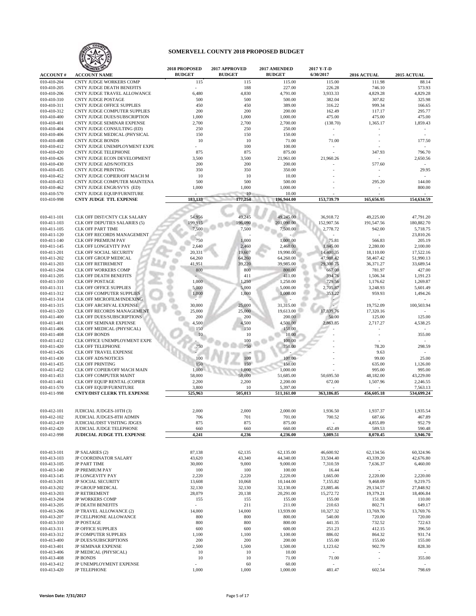

| <b>ACCOUNT#</b>            | ANIZED<br><b>ACCOUNT NAME</b>                                | 2018 PROPOSED<br><b>BUDGET</b> | 2017 APPROVED<br><b>BUDGET</b> | 2017 AMENDED<br><b>BUDGET</b> | 2017 Y-T-D<br>6/30/2017 | 2016 ACTUAL          | 2015 ACTUAL      |
|----------------------------|--------------------------------------------------------------|--------------------------------|--------------------------------|-------------------------------|-------------------------|----------------------|------------------|
| 010-410-204                | <b>CNTY JUDGE WORKERS COMP</b>                               | 115                            | 115                            | 115.00                        | 115.00                  | 111.98               | 88.14            |
| 010-410-205                | <b>CNTY JUDGE DEATH BENEFITS</b>                             |                                | 188                            | 227.00                        | 226.28                  | 746.10               | 573.93           |
| 010-410-206                | CNTY JUDGE TRAVEL ALLOWANCE                                  | 6,480                          | 4,830                          | 4,791.00                      | 3,933.33                | 4,829.28             | 4.829.28         |
| 010-410-310                | <b>CNTY JUDGE POSTAGE</b>                                    | 500                            | 500                            | 500.00                        | 382.04                  | 307.82               | 325.98           |
| 010-410-311                | <b>CNTY JUDGE OFFICE SUPPLIES</b>                            | 450                            | 450                            | 389.00                        | 316.22                  | 999.34               | 166.65           |
| 010-410-312                | CNTY JUDGE COMPUTER SUPPLIES                                 | 200                            | 200                            | 200.00                        | 162.49                  | 117.17               | 295.77           |
| 010-410-400                | CNTY JUDGE DUES/SUBSCRIPTION                                 | 1,000                          | 1,000                          | 1,000.00                      | 475.00                  | 475.00               | 475.00           |
| 010-410-401                | CNTY JUDGE SEMINAR EXPENSE                                   | 2,700                          | 2,700                          | 2,700.00                      | (138.70)                | 1,365.17             | 1,859.43         |
| 010-410-404                | CNTY JUDGE CONSULTING (ED)                                   | 250                            | 250                            | 250.00                        |                         |                      |                  |
| 010-410-406                | CNTY JUDGE MEDICAL (PHYSICAL                                 | 150                            | 150                            | 150.00                        |                         |                      |                  |
| 010-410-408                | <b>CNTY JUDGE BONDS</b>                                      | 10                             | 10                             | 71.00                         | 71.00                   |                      | 177.50           |
| 010-410-412                | CNTY JUDGE UNEMPLOYMENT EXPE                                 |                                | 100                            | 100.00                        |                         |                      |                  |
| 010-410-420                | <b>CNTY JUDGE TELEPHONE</b>                                  | 875                            | 875                            | 875.00                        |                         | 347.93               | 796.70           |
| 010-410-426                | CNTY JUDGE ECON DEVELOPMENT                                  | 3,500                          | 3,500                          | 21,961.00                     | 21,960.26               |                      | 2,650.56         |
| 010-410-430                | <b>CNTY JUDGE ADS/NOTICES</b>                                | 200                            | 200                            | 200.00                        |                         | 577.60               |                  |
| 010-410-435<br>010-410-452 | CNTY JUDGE PRINTING                                          | 350                            | 350<br>10                      | 350.00                        |                         |                      | 29.95            |
| 010-410-453                | CNTY JUDGE COPIER/OFF MACH M<br>CNTY JUDGE COMPUTER MAINTENA | 10<br>500                      | 500                            | 10.00<br>500.00               |                         | 295.20               | 144.00           |
| 010-410-462                | CNTY JUDGE ENGR/SVYS (ED)                                    | 1,000                          | 1,000                          | 1,000.00                      |                         | $\ddot{\phantom{1}}$ | 800.00           |
| 010-410-570                | CNTY JUDGE EQUIP/FURNITURE                                   |                                | 10                             | 10.00                         |                         |                      |                  |
| 010-410-998                | <b>CNTY JUDGE TTL EXPENSE</b>                                | 183,133                        | 177,254                        | 196,944.00                    | 153,739.79              | 165,656.95           | 154,634.59       |
|                            |                                                              |                                |                                |                               |                         |                      |                  |
|                            |                                                              |                                |                                |                               |                         |                      |                  |
| 010-411-101                | CLK OFF DIST/CNTY CLK SALARY                                 | 54,956                         | 49,245                         | 49,245.00                     | 36,918.72               | 49,225.00            | 47,791.20        |
| 010-411-103                | CLK OFF DEPUTIES SALARIES (5)                                | 199,915                        | 196,090                        | 201,090.00                    | 152,907.56              | 191,547.56           | 180,882.70       |
| 010-411-105                | <b>CLK OFF PART TIME</b>                                     | 7,500                          | 7,500                          | 7,500.00                      | 2,778.72                | 942.00               | 5,718.75         |
| 010-411-120                | CLK OFF RECORDS MANAGEMENT                                   |                                |                                |                               |                         |                      | 23.810.26        |
| 010-411-140                | <b>CLK OFF PREMIUM PAY</b>                                   | 750                            | 1,000                          | 1,000.00                      | 75.81                   | 566.83               | 205.19           |
| 010-411-145                | <b>CLK OFF LONGEVITY PAY</b>                                 | 2,640                          | 2,460                          | 2,460.00                      | 1,845.00                | 2,280.00             | 2,100.00         |
| 010-411-201                | CLK OFF SOCIAL SECURITY                                      | 20,331                         | 19,607                         | 19,990.00                     | 14,400.35               | 18,110.00            | 17,522.16        |
| 010-411-202                | CLK OFF GROUP MEDICAL                                        | 64,260                         | 64,260                         | 64,260.00                     | 47,988.42               | 58,467.42            | 51,990.13        |
| 010-411-203                | <b>CLK OFF RETIREMENT</b>                                    | 41,951                         | 39,220                         | 39,985.00                     | 29,300.75               | 36,371.27            | 33,689.54        |
| 010-411-204                | CLK OFF WORKERS COMP                                         | 800                            | 800                            | 800.00                        | 667.00                  | 781.97               | 427.00           |
| 010-411-205                | <b>CLK OFF DEATH BENEFITS</b>                                |                                | 411                            | 411.00                        | 394.76                  | 1,506.34             | 1,191.23         |
| 010-411-310                | <b>CLK OFF POSTAGE</b>                                       | 1,000                          | 1,250                          | 1,250.00                      | 729.56                  | 1,176.62             | 1,269.87         |
| 010-411-311                | <b>CLK OFF OFFICE SUPPLIES</b>                               | 5,000                          | 5,000                          | 5,000.00                      | 2,705.87                | 3,248.93             | 5,601.49         |
| 010-411-312                | CLK OFF COMPUTER SUPPLIES<br>CLK OFF MICROFILM/INDEXING      | 1,000                          | 1,000                          | 1,000.00                      | 353.22                  | 959.93               | 1,494.26         |
| 010-411-314<br>010-411-315 | CLK OFF ARCHIVAL EXPENSE                                     | 30,000                         | 25,000                         | 31,315.00                     |                         | 19,752.09            | 100,503.94       |
| 010-411-320                | CLK OFF RECORDS MANAGEMENT                                   | 25,000                         | 25,000                         | 19,613.00                     | 17,839.76               | 17,320.16            |                  |
| 010-411-400                | CLK OFF DUES/SUBSCRIPTIONS                                   | 200                            | 200                            | 200.00                        | 50.00                   | 125.00               | 125.00           |
| 010-411-401                | CLK OFF SEMINAR EXPENSE                                      | 4,500                          | 4,500                          | 4,500.00                      | 2,863.85                | 2,717.27             | 4,538.25         |
| 010-411-406                | CLK OFF MEDICAL (PHYSICAL)                                   | 150                            | 150                            | 150.00                        |                         |                      |                  |
| 010-411-408                | <b>CLK OFF BONDS</b>                                         | 10                             | 10                             | 10.00                         |                         |                      | 355.00           |
| 010-411-412                | CLK OFFICE UNEMPLOYMENT EXPE                                 |                                | 100                            | 100.00                        |                         |                      |                  |
| 010-411-420                | <b>CLK OFF TELEPHONE</b>                                     | 750                            | 750                            | 750.00                        |                         | 78.20                | 298.59           |
| 010-411-426                | <b>CLK OFF TRAVEL EXPENSE</b>                                |                                |                                |                               |                         | 9.63                 |                  |
| 010-411-430                | <b>CLK OFF ADS/NOTICES</b>                                   | 100                            | 100                            | 100.00                        |                         | 99.00                | 25.00            |
| 010-411-435                | <b>CLK OFF PRINTING</b>                                      | 150                            | 150                            | 150.00                        |                         | 635.00               | 1,126.00         |
| 010-411-452                | CLK OFF COPIER/OFF MACH MAIN                                 | 1,000                          | 1,000                          | 1,000.00                      |                         | 995.00               | 995.00           |
| 010-411-453                | CLK OFF COMPUTER MAINT                                       | 58,000                         | 58,000                         | 51,685.00                     | 50,695.50               | 48,182.00            | 43,229.00        |
| 010-411-461                | CLK OFF EQUIP RENTAL (COPIER                                 | 2,200                          | 2,200                          | 2,200.00                      | 672.00                  | 1,507.96             | 2.246.55         |
| 010-411-570                | CLK OFF EQUIP/FURNITURE                                      | 3,800                          | 10                             | 5,397.00                      |                         |                      | 7,563.13         |
| 010-411-998                | CNTY/DIST CLERK TTL EXPENSE                                  | 525,963                        | 505.013                        | 511,161.00                    | 363,186.85              | 456,605.18           | 534,699.24       |
|                            |                                                              |                                |                                |                               |                         |                      |                  |
| 010-412-101                | JUDICIAL JUDGES-10TH (3)                                     | 2,000                          | 2,000                          | 2,000.00                      | 1.936.50                | 1,937.37             | 1,935.54         |
| 010-412-102                | JUDICIAL JUDGES-8TH ADMIN                                    | 706                            | 701                            | 701.00                        | 700.52                  | 687.66               | 467.89           |
| 010-412-419                | JUDICIAL/DIST VISITING JDGES                                 | 875                            | 875                            | 875.00                        |                         | 4,855.89             | 952.79           |
| 010-412-420                | JUDICIAL JUDGE TELEPHONE                                     | 660                            | 660                            | 660.00                        | 452.49                  | 589.53               | 590.48           |
| 010-412-998                | JUDICIAL JUDGE TTL EXPENSE                                   | 4,241                          | 4,236                          | 4,236.00                      | 3,089.51                | 8,070.45             | 3,946.70         |
|                            |                                                              |                                |                                |                               |                         |                      |                  |
|                            |                                                              |                                |                                |                               |                         |                      |                  |
| 010-413-101                | JP SALARIES (2)                                              | 87,138                         | 62,135                         | 62,135.00                     | 46,600.92               | 62,134.56            | 60,324.96        |
| 010-413-103                | JP COORDINATOR SALARY                                        | 43,620                         | 43,340                         | 44,340.00                     | 33,504.40               | 43,339.20            | 42,676.80        |
| 010-413-105                | <b>JP PART TIME</b>                                          | 30,000                         | 9,000                          | 9,000.00                      | 7,310.59                | 7,636.37             | 6,460.00         |
| 010-413-140                | JP PREMIUM PAY                                               | 100                            | 100                            | 100.00                        | 16.44                   | $\sim$               |                  |
| 010-413-145                | JP LONGEVITY PAY                                             | 2,220                          | 2,220                          | 2,220.00                      | 1,665.00                | 2,220.00             | 2,220.00         |
| 010-413-201                | <b>JP SOCIAL SECURITY</b>                                    | 13,608                         | 10,068                         | 10,144.00                     | 7,155.82                | 9,468.09             | 9,219.75         |
| 010-413-202                | <b>JP GROUP MEDICAL</b>                                      | 32,130                         | 32,130                         | 32,130.00                     | 23,885.46               | 29,134.57            | 27,848.92        |
| 010-413-203                | <b>JP RETIREMENT</b>                                         | 28,079                         | 20,138                         | 20,291.00                     | 15,272.72               | 19,379.21            | 18,406.84        |
| 010-413-204                | JP WORKERS COMP                                              | 155                            | 155                            | 155.00                        | 155.00                  | 151.98               | 110.00           |
| 010-413-205                | <b>JP DEATH BENEFITS</b>                                     | $\mathbf{r}$                   | 211                            | 211.00                        | 210.63                  | 802.71               | 649.17           |
| 010-413-206                | JP TRAVEL ALLOWANCE (2)                                      | 14,000                         | 14,000                         | 13,939.00                     | 10,327.32               | 13,769.76            | 13,769.76        |
| 010-413-207<br>010-413-310 | JP CELLPHONE ALLOWANCE<br><b>JP POSTAGE</b>                  | 800<br>800                     | 800<br>800                     | 800.00                        | 540.00                  | 720.00               | 720.00<br>722.63 |
| 010-413-311                | <b>JP OFFICE SUPPLIES</b>                                    | 600                            | 600                            | 800.00<br>600.00              | 441.35<br>251.23        | 732.52<br>412.15     | 396.50           |
| 010-413-312                | <b>JP COMPUTER SUPPLIES</b>                                  | 1,100                          | 1,100                          | 1,100.00                      | 886.02                  | 864.32               | 931.74           |
| 010-413-400                | <b>JP DUES/SUBSCRIPTIONS</b>                                 | 200                            | 200                            | 200.00                        | 155.00                  | 155.00               | 155.00           |
| 010-413-401                | <b>JP SEMINAR EXPENSE</b>                                    | 2,500                          | 1,500                          | 1,500.00                      | 1,123.62                | 902.79               | 828.30           |
| 010-413-406                | JP MEDICAL (PHYSICAL)                                        | 10                             | 10                             | 10.00                         | $\sim$                  |                      |                  |
| 010-413-408                | <b>JP BONDS</b>                                              | $10\,$                         | 10                             | 71.00                         | 71.00                   | ÷,                   | 355.00           |
| 010-413-412                | JP UNEMPLOYMENT EXPENSE                                      |                                | 60                             | 60.00                         |                         |                      |                  |
| 010-413-420                | <b>JP TELEPHONE</b>                                          | 1,000                          | 1,000                          | 1,000.00                      | 481.47                  | 602.54               | 798.69           |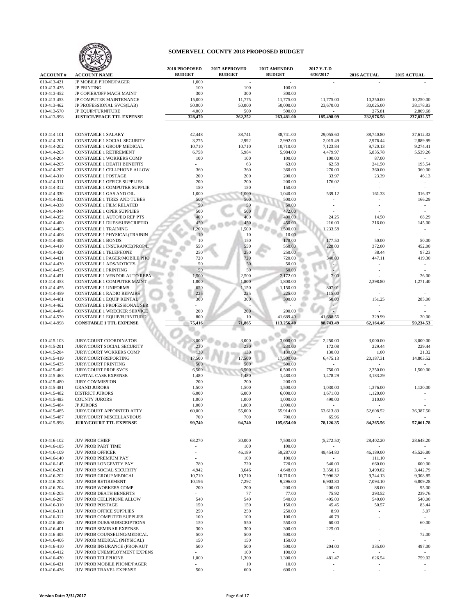

|                            |                                                        | 2018 PROPOSED  | 2017 APPROVED | 2017 AMENDED         | 2017 Y-T-D                         |                                                  |                          |
|----------------------------|--------------------------------------------------------|----------------|---------------|----------------------|------------------------------------|--------------------------------------------------|--------------------------|
| <b>ACCOUNT#</b>            | <b>ACCOUNT NAME</b>                                    | <b>BUDGET</b>  | <b>BUDGET</b> | <b>BUDGET</b>        | 6/30/2017                          | 2016 ACTUAL                                      | 2015 ACTUAL              |
| 010-413-421                | <b>JP MOBILE PHONE/PAGER</b>                           | 1,000          | $\sim$        |                      |                                    |                                                  |                          |
| 010-413-435                | <b>JP PRINTING</b>                                     | 100            | 100           | 100.00               |                                    |                                                  |                          |
| 010-413-452                | JP COPIER/OFF MACH MAINT                               | 300            | 300           | 300.00               |                                    |                                                  |                          |
| 010-413-453                | JP COMPUTER MAINTENANCE                                | 15,000         | 11,775        | 11,775.00            | 11,775.00                          | 10,250.00                                        | 10,250.00                |
| 010-413-462                | JP PROFESSIONAL SVCS(LAB)                              | 50,000         | 50,000        | 50,000.00            | 23,670.00                          | 30,025.00                                        | 38,178.83                |
| 010-413-570                | <b>JP EQUIP/FURNITURE</b>                              | 4,000          | 500           | 500.00               |                                    | 275.81                                           | 2,809.68                 |
| 010-413-998                | <b>JUSTICE/PEACE TTL EXPENSE</b>                       | 328,470        | 262,252       | 263,481.00           | 185,498.99                         | 232,976.58                                       | 237,832.57               |
|                            |                                                        |                |               |                      |                                    |                                                  |                          |
|                            |                                                        |                |               |                      |                                    |                                                  |                          |
| 010-414-101                | <b>CONSTABLE 1 SALARY</b>                              | 42,448         | 38,741        | 38,741.00            | 29,055.60                          | 38,740.80                                        | 37,612.32                |
| 010-414-201                | CONSTABLE 1 SOCIAL SECURITY                            | 3,275          | 2,992         | 2,992.00             | 2,015.49                           | 2,976.44                                         | 2,889.99                 |
| 010-414-202                | CONSTABLE 1 GROUP MEDICAL                              | 10,710         | 10,710        | 10,710.00            | 7,123.84                           | 9,720.13                                         | 9,274.41                 |
| 010-414-203                | <b>CONSTABLE 1 RETIREMENT</b>                          | 6,758          | 5,984         | 5,984.00             | 4,479.97                           | 5,835.78                                         | 5,539.26                 |
| 010-414-204                | <b>CONSTABLE 1 WORKERS COMP</b>                        | 100            | 100           | 100.00               | 100.00                             | 87.00                                            |                          |
| 010-414-205                | <b>CONSTABLE 1 DEATH BENEFITS</b>                      | $\overline{a}$ | 63            | 63.00                | 62.58                              | 241.50                                           | 195.54                   |
| 010-414-207                | CONSTABLE 1 CELLPHONE ALLOW                            | 360            | 360           | 360.00               | 270.00                             | 360.00                                           | 360.00                   |
| 010-414-310                | <b>CONSTABLE 1 POSTAGE</b>                             | 200            | 200           | 200.00               | 33.97                              | 23.39                                            | 46.13                    |
| 010-414-311                | <b>CONSTABLE 1 OFFICE SUPPLIES</b>                     | 200            | 200           | 200.00               | 176.02                             | $\sim$                                           | $\overline{\phantom{a}}$ |
| 010-414-312                | CONSTABLE 1 COMPUTER SUPPLIE                           | 150            | 150           | 150.00               | $\sim$                             | $\ddot{\phantom{0}}$                             |                          |
| 010-414-330                | CONSTABLE 1 GAS AND OIL                                | 1,000          | 1,000         | 1,040.00             | 539.12                             | 161.33                                           | 316.37                   |
| 010-414-332                | CONSTABLE 1 TIRES AND TUBES                            | 500            | 500           | 500.00               |                                    |                                                  | 166.29                   |
| 010-414-338                | <b>CONSTABLE 1 FILM RELATED</b>                        | 50             | 50            | 50.00                |                                    |                                                  | $\sim$                   |
| 010-414-344                | <b>CONSTABLE 1 OPER SUPPLIES</b>                       | 500            | 500           | 472.00               |                                    |                                                  |                          |
| 010-414-352                | <b>CONSTABLE 1 AUTO/EO REP PTS</b>                     | 400            | 400           | 400.00               | 24.25                              | 14.50                                            | 68.29                    |
| 010-414-400                | CONSTABLE 1 DUES/SUBSCRIPTIO                           | 450            | 450           | 450.00               | 216.00                             | 216.00                                           | 145.00                   |
| 010-414-403                | <b>CONSTABLE 1 TRAINING</b>                            | 1,200          | 1,500         | 1,500.00             | 1,233.58                           |                                                  |                          |
| 010-414-406                | CONSTABLE 1 PHYSICAL(TRAININ                           | 10             | 10            | 10.00                |                                    | ÷,                                               |                          |
| 010-414-408                | <b>CONSTABLE 1 BONDS</b>                               | 10             | 150           | 178.00               | 177.50                             | 50.00                                            | 50.00                    |
| 010-414-410                | CONSTABLE 1 INSURANCE(PROP/L                           | 550            | 550           | 550.00               | 228.00                             | 372.00                                           | 452.00                   |
| 010-414-420                | <b>CONSTABLE 1 TELEPHONE</b>                           | 250            | 250           | 250.00               |                                    | 38.44                                            | 97.23                    |
| 010-414-421                | CONSTABLE 1 PAGER/MOBILE PHO                           | 720            | 720           | 720.00               | 340.00                             | 447.11                                           | 419.30                   |
| 010-414-430                | <b>CONSTABLE 1 ADS/NOTICES</b>                         | 50             | 50            | 50.00                |                                    |                                                  |                          |
| 010-414-435                | <b>CONSTABLE 1 PRINTING</b>                            | 50             | 50            | 50.00                |                                    |                                                  |                          |
| 010-414-451                | <b>CONSTABLE 1 VENDOR AUTO REPA</b>                    | 1,500          | 2,500         |                      |                                    |                                                  | 26.00                    |
|                            | CONSTABLE 1 COMPUTER MAINT                             |                | 1,800         | 2,172.00<br>1,800.00 | 7.00                               | 2,398.80                                         | 1,271.40                 |
| 010-414-453                | <b>CONSTABLE 1 UNIFORMS</b>                            | 1,800          |               |                      |                                    |                                                  |                          |
| 010-414-455                |                                                        | 650            | 1,150         | 1,150.00             | 807.01                             |                                                  |                          |
| 010-414-459                | <b>CONSTABLE 1 RADIO REPAIRS</b>                       | 225            | 225           | 225.00               | 115.00                             |                                                  |                          |
| 010-414-461                | CONSTABLE 1 EQUIP RENTAL                               | 300            | 300           | 300.00               | 50.00                              | 151.25                                           | 285.00                   |
| 010-414-462                | CONSTABLE 1 PROFESSIONAL SER                           | $\overline{a}$ |               |                      |                                    |                                                  |                          |
| 010-414-464                | CONSTABLE 1 WRECKER SERVICE                            | 200            | 200           | 200.00               |                                    |                                                  |                          |
| 010-414-570                | CONSTABLE 1 EQUIP/FURNITURE                            | 800            | 10            | 41,689.40            | 41,688.56                          | 329.99                                           | 20.00                    |
|                            |                                                        |                |               |                      |                                    |                                                  |                          |
| 010-414-998                | <b>CONSTABLE 1 TTL EXPENSE</b>                         | 75,416         | 71,865        | 113,256.40           | 88,743.49                          | 62,164.46                                        | 59,234.53                |
|                            |                                                        |                |               |                      |                                    |                                                  |                          |
|                            |                                                        |                |               |                      |                                    |                                                  |                          |
| 010-415-103                | <b>JURY/COURT COORDINATOR</b>                          | 3,000          | 3,000         | 3,000.00             | 2,250.00                           | 3,000.00                                         | 3,000.00                 |
| 010-415-201                | JURY/COURT SOCIAL SECURITY                             | 230            | 230           | 230.00               | 172.08                             | 229.44                                           | 229.44                   |
| 010-415-204                | <b>JURY/COURT WORKERS COMP</b>                         | 130            | 130           | 130.00               | 130.00                             | 1.00                                             | 21.32                    |
| 010-415-419                | JURY/COURT/REPORTING                                   | 17,500         | 17,500        | 17,500.00            | 6,475.13                           | 20,187.31                                        | 14,803.52                |
| 010-415-435                | <b>JURY/COURT PRINTING</b>                             | 500            | 500           | 500.00               |                                    |                                                  |                          |
| 010-415-462                | <b>JURY/COURT PROF SVCS</b>                            | 6,500          | 6,500         | 6,500.00             | 750.00                             | 2.250.00                                         | 1,500.00                 |
| 010-415-463                | <b>CAPITAL CASE EXPENSE</b>                            | 1,480          | 1,480         | 1,480.00             | 1,478.29                           | 3,183.29                                         |                          |
| 010-415-480                | <b>JURY COMMISSION</b>                                 | 200            | 200           | 200.00               |                                    |                                                  |                          |
| 010-415-481                | <b>GRAND JURORS</b>                                    | 1,500          | 1,500         | 1,500.00             | 1,030.00                           | 1,376.00                                         | 1,120.00                 |
| 010-415-482                | <b>DISTRICT JURORS</b>                                 | 6,000          | 6,000         | 6,000.00             | 1,671.00                           | 1,120.00                                         |                          |
| 010-415-483                | <b>COUNTY JURORS</b>                                   | 1,000          | 1,000         | 1,000.00             | 490.00                             | 310.00                                           |                          |
| 010-415-484                | <b>JP JURORS</b>                                       | 1,000          | 1,000         | 1,000.00             |                                    |                                                  |                          |
| 010-415-485                | JURY/COURT APPOINTED ATTY                              | 60,000         | 55,000        | 65,914.00            | 63,613.89                          | 52,608.52                                        | 36,387.50                |
| 010-415-487                | JURY/COURT MISCELLANEOUS                               | 700            | 700           | 700.00               | 65.96                              |                                                  |                          |
| 010-415-998                | <b>JURY/COURT TTL EXPENSE</b>                          | 99,740         | 94,740        | 105,654.00           | 78,126.35                          | 84,265.56                                        | 57,061.78                |
|                            |                                                        |                |               |                      |                                    |                                                  |                          |
|                            |                                                        |                |               |                      |                                    |                                                  |                          |
| 010-416-102                | <b>JUV PROB CHIEF</b>                                  | 63,270         | 30,000        | 7,500.00             | (5,272.50)<br>$\sim$               | 28,402.20                                        | 28,648.20                |
| 010-416-105                | JUV PROB PART TIME                                     |                | 100           | 100.00               |                                    |                                                  |                          |
| 010-416-109                | <b>JUV PROB OFFICER</b>                                | ÷<br>ä,        | 46,189        | 59,287.00            | 49,454.80                          | 46,189.00                                        | 45,526.80                |
| 010-416-140                | JUV PROB PREMIUM PAY                                   |                | 100           | 100.00               |                                    | 111.10                                           |                          |
| 010-416-145                | JUV PROB LONGEVITY PAY                                 | 780            | 720           | 720.00               | 540.00                             | 660.00                                           | 600.00                   |
| 010-416-201                | JUV PROB SOCIAL SECURITY                               | 4,942          | 3,646         | 4,648.00             | 3,350.16                           | 3,499.82                                         | 3,442.79                 |
| 010-416-202                | JUV PROB GROUP MEDICAL                                 | 10,710         | 10,710        | 10,710.00            | 7,996.32                           | 9,744.13                                         | 9,308.85                 |
| 010-416-203                | <b>JUV PROB RETIREMENT</b>                             | 10,196         | 7,292         | 9,296.00             | 6,903.80                           | 7,094.10                                         | 6,809.28                 |
| 010-416-204                | <b>JUV PROB WORKERS COMP</b>                           | 200            | 200           | 200.00               | 200.00                             | 88.00                                            | 95.00                    |
| 010-416-205                | JUV PROB DEATH BENEFITS                                |                | 77            | 77.00                | 75.92                              | 293.52                                           | 239.76                   |
| 010-416-207                | JUV PROB CELLPHONE ALLOW                               | 540            | 540           | 540.00               | 405.00                             | 540.00                                           | 540.00                   |
| 010-416-310                | <b>JUV PROB POSTAGE</b>                                | 150            | 150           | 150.00               | 45.45                              | 50.57                                            | 83.44                    |
| 010-416-311                | <b>JUV PROB OFFICE SUPPLIES</b>                        | 250            | 250           | 250.00               | 8.99                               | ÷<br>$\ddot{\phantom{1}}$                        | 3.07                     |
| 010-416-312                | <b>JUV PROB COMPUTER SUPPLIES</b>                      | 100            | 100           | 100.00               | 40.79                              |                                                  |                          |
| 010-416-400                | JUV PROB DUES/SUBSCRIPTIONS                            | 150            | 550           | 550.00               | 60.00                              |                                                  | 60.00                    |
| 010-416-401                | JUV PROB SEMINAR EXPENSE                               | 300            | 300           | 300.00               | 225.00                             |                                                  |                          |
| 010-416-405                | JUV PROB COUNSELING/MEDICAL                            | 500            | 500           | 500.00               | $\overline{\phantom{a}}$           | ÷<br>÷,                                          | 72.00                    |
| 010-416-406                | JUV PROB MEDICAL (PHYSICAL)                            | 150            | 150           | 150.00               | $\blacksquare$                     |                                                  | $\sim$                   |
| 010-416-410                | JUV PROB INSURANCE (PROP/AUT                           | 500            | 500           | 500.00               | 204.00                             | 335.00                                           | 497.00                   |
| 010-416-412                | JUV PROB UNEMPLOYMENT EXPENS                           | $\sim$         | 100           | 100.00               |                                    | $\sim$                                           | $\sim$                   |
| 010-416-420                | <b>JUV PROB TELEPHONE</b>                              | 1,000<br>٠     | 1,300         | 1,300.00             | 481.47                             | 626.54                                           | 759.02                   |
| 010-416-421<br>010-416-426 | JUV PROB MOBILE PHONE/PAGER<br>JUV PROB TRAVEL EXPENSE | 500            | 10<br>600     | 10.00<br>600.00      | $\sim$<br>$\overline{\phantom{a}}$ | $\overline{\phantom{a}}$<br>$\ddot{\phantom{0}}$ | $\sim$                   |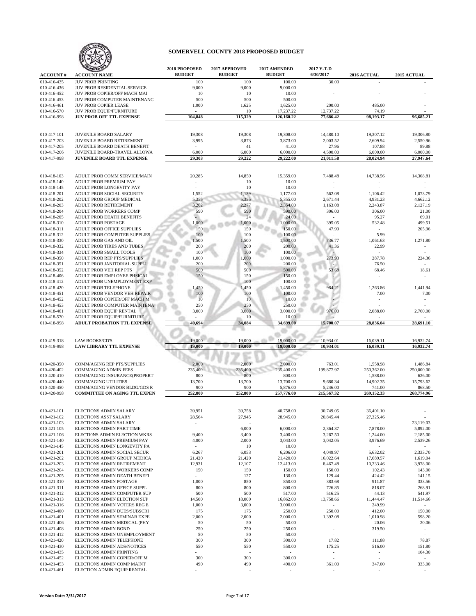

|                            |                                                             | 2018 PROPOSED                   | 2017 APPROVED | 2017 AMENDED        | 2017 Y-T-D                           |                          |                          |
|----------------------------|-------------------------------------------------------------|---------------------------------|---------------|---------------------|--------------------------------------|--------------------------|--------------------------|
| <b>ACCOUNT#</b>            | <b>ACCOUNT NAME</b>                                         | <b>BUDGET</b>                   | <b>BUDGET</b> | <b>BUDGET</b>       | 6/30/2017                            | <b>2016 ACTUAL</b>       | <b>2015 ACTUAL</b>       |
| 010-416-435<br>010-416-436 | <b>JUV PROB PRINTING</b><br>JUV PROB RESIDENTIAL SERVICE    | 100<br>9,000                    | 100<br>9,000  | 100.00<br>9,000.00  | 30.00                                |                          |                          |
| 010-416-452                | JUV PROB COPIER/OFF MACH MAI                                | 10                              | 10            | 10.00               |                                      |                          |                          |
| 010-416-453                | JUV PROB COMPUTER MAINTENANC                                | 500                             | 500           | 500.00              |                                      |                          |                          |
| 010-416-461                | <b>JUV PROB COPIER LEASE</b>                                | 1,000                           | 1,625         | 1,625.00            | 200.00                               | 485.00                   |                          |
| 010-416-570                | JUV PROB EQUIP/FURNITURE                                    |                                 | 10            | 17,237.22           | 12,737.22                            | 74.19                    |                          |
| 010-416-998                | <b>JUV PROB OFF TTL EXPENSE</b>                             | 104,848                         | 115,329       | 126,160.22          | 77,686.42                            | 98,193.17                | 96,685.21                |
|                            |                                                             |                                 |               |                     |                                      |                          |                          |
| 010-417-101                | <b>JUVENILE BOARD SALARY</b>                                | 19,308                          | 19,308        | 19,308.00           | 14,480.10                            | 19,307.12                | 19,306.80                |
| 010-417-203                | JUVENILE BOARD RETIREMENT                                   | 3,995                           | 3,873         | 3,873.00            | 2,003.52                             | 2,609.94                 | 2,550.96                 |
| 010-417-205                | JUVENILE BOARD DEATH BENEFIT                                | $\sim$                          | 41            | 41.00               | 27.96                                | 107.88                   | 89.88                    |
| 010-417-206                | JUVENILE BOARD-TRAVEL ALLOWA                                | 6,000                           | 6,000         | 6,000.00            | 4,500.00                             | 6,000.00                 | 6,000.00                 |
| 010-417-998                | <b>JUVENILE BOARD TTL EXPENSE</b>                           | 29,303                          | 29,222        | 29,222.00           | 21,011.58                            | 28,024.94                | 27,947.64                |
|                            |                                                             |                                 |               |                     |                                      |                          |                          |
| 010-418-103                | ADULT PROB COMM SERVICE/MAIN                                | 20,285                          | 14,859        | 15,359.00           | 7,488.48                             | 14,738.56                | 14,308.81                |
| 010-418-140                | ADULT PROB PREMIUM PAY                                      |                                 | 10            | 10.00               |                                      |                          |                          |
| 010-418-145                | ADULT PROB LONGEVITY PAY                                    |                                 | 10            | 10.00               |                                      |                          |                          |
| 010-418-201                | ADULT PROB SOCIAL SECURITY                                  | 1,552                           | 1,139         | 1,177.00            | 562.08                               | 1,106.42                 | 1,073.79                 |
| 010-418-202                | ADULT PROB GROUP MEDICAL                                    | 5,355                           | 5,355         | 5,355.00            | 2,671.44                             | 4,931.23                 | 4,662.12                 |
| 010-418-203                | ADULT PROB RETIREMENT                                       | 3,202                           | 2,277         | 2,354.00            | 1,163.08                             | 2,243.87                 | 2,127.19                 |
| 010-418-204                | ADULT PROB WORKERS COMP                                     | 590                             | 590           | 590.00              | 306.00                               | 306.00                   | 21.00                    |
| 010-418-205                | ADULT PROB DEATH BENEFITS                                   |                                 | 24            | 24.00               | $\sim$                               | 95.27                    | 69.01                    |
| 010-418-310<br>010-418-311 | ADULT PROB POSTAGE<br>ADULT PROB OFFICE SUPPLIES            | 1,000<br>150                    | 1,000<br>150  | 1,000.00<br>150.00  | 395.05<br>47.99                      | 532.48<br>$\sim$         | 499.51<br>205.96         |
| 010-418-312                | ADULT PROB COMPUTER SUPPLIES                                | 100                             | 100           | 100.00              |                                      | 5.99                     | $\sim$                   |
| 010-418-330                | ADULT PROB GAS AND OIL                                      | 1,500                           | 1,500         | 1,500.00            | 736.77                               | 1,061.63                 | 1,271.80                 |
| 010-418-332                | ADULT PROB TIRES AND TUBES                                  | 200                             | 200           | 200.00              | 41.36                                | 22.99                    |                          |
| 010-418-334                | ADULT PROB SMALL TOOLS                                      | 100                             | 100           | 100.00              |                                      | ä,                       |                          |
| 010-418-350                | ADULT PROB REP PTS/SUPPLIES                                 | 1,000                           | 1,000         | 1,000.00            | 273.93                               | 287.78                   | 224.36                   |
| 010-418-351                | ADULT PROB JANITORIAL SUPPLI                                | 200                             | 200           | 200.00              |                                      | 76.50                    | $\sim$                   |
| 010-418-352                | ADULT PROB VEH REP PTS                                      | 500                             | 500           | 500.00              | 53.68                                | 68.46                    | 18.61                    |
| 010-418-406<br>010-418-412 | ADULT PROB EMPLOYEE PHSICAL<br>ADULT PROB UNEMPLOYMENT EXP  | 150                             | 150<br>100    | 150.00<br>100.00    |                                      |                          |                          |
| 010-418-420                | ADULT PROB TELEPHONE                                        | 1,450                           | 1,450         | 1,450.00            | 984.21                               | 1,263.86                 | 1,441.94                 |
| 010-418-451                | ADULT PROB VENDOR VEH REPAIR                                | 100                             | 100           | 100.00              |                                      | 7.00                     | 7.00                     |
| 010-418-452                | ADULT PROB COPIER/OFF MACH M                                | 10                              | 10            | 10.00               |                                      |                          |                          |
| 010-418-453                | ADULT PROB COMPUTER MAINTENA                                | 250                             | 250           | 250.00              |                                      |                          |                          |
| 010-418-461                | ADULT PROB EQUIP RENTAL                                     | 3,000                           | 3,000         | 3,000.00            | 976.00                               | 2,088.00                 | 2,760.00                 |
| 010-418-570                | ADULT PROB EQUIP/FURNITURE                                  |                                 | 10            | 10.00               |                                      |                          |                          |
| 010-418-998                | ADULT PROBATION TTL EXPENSE                                 | 40,694                          | 34,084        | 34,699.00           | 15,700.07                            | 28,836.04                | 28,691.10                |
|                            |                                                             |                                 |               |                     |                                      |                          |                          |
|                            |                                                             |                                 |               |                     |                                      |                          |                          |
| 010-419-318                | <b>LAW BOOKS/CD'S</b>                                       | 19,000                          | 19,000        | 19,000.00           | 10,934.01                            | 16,039.11                | 16,932.74                |
| 010-419-998                | <b>LAW LIBRARY TTL EXPENSE</b>                              | 19,000                          | 19,000        | 19,000.00           | 10,934.01                            | 16,039.11                | 16,932.74                |
|                            |                                                             |                                 |               |                     |                                      |                          |                          |
|                            |                                                             |                                 |               |                     |                                      |                          |                          |
| 010-420-350                | COMM/AGING REP PTS/SUPPLIES                                 | 2,000                           | 2,000         | 2,000.00            | 763.01                               | 1,558.98                 | 1,486.84                 |
| 010-420-402                | <b>COMM/AGING ADMIN FEES</b>                                | 235,400                         | 235,400       | 235,400.00          | 199,877.97                           | 250,362.00               | 250,000.00               |
| 010-420-410<br>010-420-440 | COMM/AGING INSURANCE(PROPERT<br><b>COMM/AGING UTILITIES</b> | 800<br>13,700                   | 800<br>13,700 | 800.00<br>13,700.00 | 9,680.34                             | 1,588.00<br>14,902.35    | 626.00<br>15,793.62      |
| 010-420-450                | COMM/AGING VENDOR BLDG/GDS R                                | 900                             | 900           | 5,876.00            | 5,246.00                             | 741.00                   | 868.50                   |
| 010-420-998                | <b>COMMITTEE ON AGING TTL EXPEN</b>                         | 252,800                         | 252,800       | 257,776.00          | 215.567.32                           | 269,152.33               | 268,774.96               |
|                            |                                                             |                                 |               |                     |                                      |                          |                          |
|                            |                                                             |                                 |               |                     |                                      |                          |                          |
| 010-421-101                | <b>ELECTIONS ADMIN SALARY</b>                               | 39,951                          | 39,758        | 40,758.00           | 30,749.05                            | 36,401.10                |                          |
| 010-421-102                | ELECTIONS ASST SALARY                                       | 28,564                          | 27,945        | 28,945.00           | 20,845.44                            | 27,325.46                | $\overline{\phantom{a}}$ |
| 010-421-103<br>010-421-105 | ELECTIONS ADMIN SALARY<br>ELECTIONS ADMIN PART TIME         |                                 | 6,000         | 6,000.00            | 2,364.37                             | 7,878.00                 | 23,119.03<br>5,892.00    |
| 010-421-106                | ELECTIONS ADMIN ELECTION WKRS                               | 9,400                           | 3,400         | 3,400.00            | 3,267.50                             | 1,244.00                 | 2,185.00                 |
| 010-421-140                | ELECTIONS ADMIN PREMIUM PAY                                 | 4,000                           | 2,000         | 3,043.00            | 3,042.05                             | 3,976.69                 | 2,539.26                 |
| 010-421-145                | ELECTIONS ADMIN LONGEVITY PA                                | $\sim$                          | 10            | 10.00               |                                      |                          |                          |
| 010-421-201                | ELECTIONS ADMIN SOCIAL SECUR                                | 6,267                           | 6,053         | 6,206.00            | 4,049.97                             | 5,632.02                 | 2,333.70                 |
| 010-421-202                | ELECTIONS ADMIN GROUP MEDICA                                | 21,420                          | 21,420        | 21,420.00           | 16,022.64                            | 17,689.57                | 1,619.04                 |
| 010-421-203                | ELECTIONS ADMIN RETIREMENT                                  | 12,931                          | 12,107        | 12,413.00           | 8,467.48                             | 10,233.46                | 3,978.00                 |
| 010-421-204                | ELECTIONS ADMIN WORKERS COMP                                | 150<br>$\overline{\phantom{a}}$ | 150           | 150.00              | 150.00                               | 102.43                   | 143.00                   |
| 010-421-205<br>010-421-310 | ELECTIONS ADMIN DEATH BENEFI<br>ELECTIONS ADMIN POSTAGE     | 1,000                           | 127<br>850    | 130.00<br>850.00    | 129.44<br>383.68                     | 424.42<br>911.87         | 141.15<br>333.56         |
| 010-421-311                | ELECTIONS ADMIN OFFICE SUPPL                                | 800                             | 800           | 800.00              | 726.85                               | 818.07                   | 268.91                   |
| 010-421-312                | ELECTIONS ADMIN COMPUTER SUP                                | 500                             | 500           | 517.00              | 516.25                               | 44.13                    | 541.97                   |
| 010-421-313                | ELECTIONS ADMIN ELECTION SUP                                | 14,500                          | 18,000        | 16,862.00           | 13,758.66                            | 11,444.47                | 11,514.66                |
| 010-421-316                | ELECTIONS ADMIN VOTERS REG E                                | 1,000                           | 3,000         | 3,000.00            | $\blacksquare$                       | 249.99                   |                          |
| 010-421-400                | ELECTIONS ADMIN DUES/SUBSCRI                                | 175                             | 175           | 250.00              | 250.00                               | 412.00                   | 150.00                   |
| 010-421-401                | ELECTIONS ADMIN SEMINAR EXPE                                | 2,000                           | 2,000         | 2,000.00            | 1,392.08<br>$\overline{\phantom{a}}$ | 1,010.98                 | 598.20                   |
| 010-421-406<br>010-421-408 | ELECTIONS ADMIN MEDICAL (PHY<br><b>ELECTIONS ADMIN BOND</b> | 50<br>250                       | 50<br>250     | 50.00<br>250.00     | ÷,                                   | 20.06<br>319.50          | 20.06<br>$\sim$          |
| 010-421-412                | ELECTIONS ADMIN UNEMPLOYMENT                                | 50                              | 50            | 50.00               | $\sim$                               |                          | $\sim$                   |
| 010-421-420                | ELECTIONS ADMIN TELEPHONE                                   | 300                             | 300           | 300.00              | 17.82                                | 111.88                   | 78.87                    |
| 010-421-430                | ELECTIONS ADMIN ADS/NOTICES                                 | 550                             | 550           | 550.00              | 175.25                               | 516.00                   | 151.80                   |
| 010-421-435                | <b>ELECTIONS ADMIN PRINTING</b>                             | ÷.                              |               | $\omega$            | $\overline{\phantom{a}}$             | $\overline{\phantom{a}}$ | 104.30                   |
| 010-421-452                | ELECTIONS ADMIN COPIER/OFF M                                | 300                             | 300           | 300.00              | $\bar{z}$                            | ÷,                       | $\sim$                   |
| 010-421-453<br>010-421-461 | ELECTIONS ADMIN COMP MAINT<br>ELECTION ADMIN EQUIP RENTAL   | 490                             | 490           | 490.00              | 361.00                               | 347.00<br>$\overline{a}$ | 333.00                   |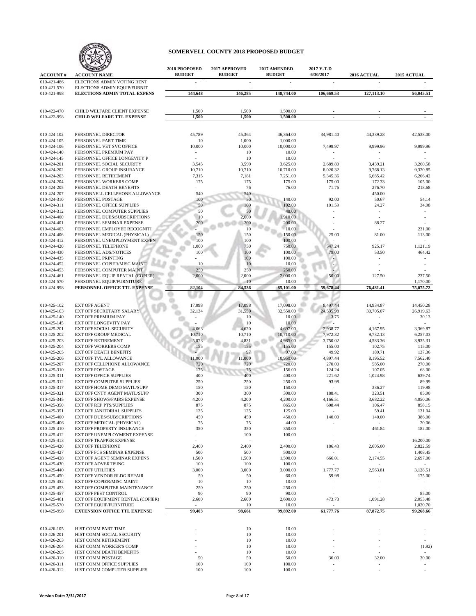

|                            |                                                          | 2018 PROPOSED | 2017 APPROVED | 2017 AMENDED         | 2017 Y-T-D               |                          |             |
|----------------------------|----------------------------------------------------------|---------------|---------------|----------------------|--------------------------|--------------------------|-------------|
| <b>ACCOUNT#</b>            | <b>ACCOUNT NAME</b>                                      | <b>BUDGET</b> | <b>BUDGET</b> | <b>BUDGET</b>        | 6/30/2017                | 2016 ACTUAL              | 2015 ACTUAL |
| 010-421-486                | ELECTIONS ADMIN VOTING RENT                              | $\sim$        | ÷,            | ÷,                   | ÷,                       |                          |             |
| 010-421-570                | ELECTIONS ADMIN EQUIP/FURNIT                             |               |               |                      |                          |                          |             |
| 010-421-998                | ELECTIONS ADMIN TOTAL EXPENS                             | 144,648       | 146,285       | 148,744.00           | 106,669.53               | 127,113.10               | 56,045.51   |
|                            |                                                          |               |               |                      |                          |                          |             |
|                            |                                                          |               |               |                      |                          |                          |             |
| 010-422-470                | CHILD WELFARE CLIENT EXPENSE                             | 1,500         | 1,500         | 1,500.00<br>1.500.00 | $\overline{\phantom{a}}$ | $\overline{\phantom{a}}$ |             |
| 010-422-998                | <b>CHILD WELFARE TTL EXPENSE</b>                         | 1,500         | 1,500         |                      |                          |                          |             |
|                            |                                                          |               |               |                      |                          |                          |             |
| 010-424-102                | PERSONNEL DIRECTOR                                       | 45,789        | 45,364        | 46,364.00            | 34,981.40                | 44,339.28                | 42,538.00   |
| 010-424-105                | PERSONNEL PART TIME                                      | 10            | 1,000         | 1,000.00             |                          |                          |             |
| 010-424-106                | PERSONNEL VET SVC OFFICE                                 | 10,000        | 10,000        | 10,000.00            | 7,499.97                 | 9,999.96                 | 9,999.96    |
| 010-424-140                | PERSONNEL PREMIUM PAY                                    |               | 10            | 10.00                |                          |                          |             |
| 010-424-145                | PERSONNEL OFFICE LONGEVITY P                             |               | 10            | 10.00                |                          |                          |             |
| 010-424-201                | PERSONNEL SOCIAL SECURITY                                | 3,545         | 3,590         | 3,625.00             | 2,689.80                 | 3,439.21                 | 3,260.58    |
| 010-424-202                | PERSONNEL GROUP INSURANCE                                | 10,710        | 10,710        | 10,710.00            | 8,020.32                 | 9,768.13                 | 9,320.85    |
| 010-424-203                | PERSONNEL RETIREMENT                                     | 7,315         | 7,181         | 7,251.00             | 5,345.36                 | 6,685.42                 | 6,206.42    |
| 010-424-204                | PERSONNEL WORKERS COMP                                   | 175           | 175           | 175.00               | 175.00                   | 172.33                   | 105.00      |
| 010-424-205                | PERSONNEL DEATH BENEFITS                                 |               | 76            | 76.00                | 71.76                    | 276.70                   | 218.68      |
| 010-424-207                | PERSONNELL CELLPHONE ALLOWANCE                           | 540           | 540           |                      | ÷.                       | 450.00                   | $\sim$      |
| 010-424-310                | PERSONNEL POSTAGE                                        | 100           | 50            | 140.00               | 92.00                    | 50.67                    | 54.14       |
| 010-424-311                | PERSONNEL OFFICE SUPPLIES                                | 50            | 100           | 102.00               | 101.59                   | 24.27                    | 34.98       |
| 010-424-312                | PERSONNEL COMPUTER SUPPLIES                              | 50            | 50            | 48.00                |                          |                          |             |
| 010-424-400                | PERSONNEL DUES/SUBSCRIPTIONS                             | 10            | 2,000         | 1,910.00             |                          |                          |             |
| 010-424-401                | PERSONNEL SEMINAR EXPENSE                                | 200           | 200           | 200.00               |                          | 88.27                    |             |
| 010-424-403                | PERSONNEL EMPLOYEE RECOGNITI                             |               | 10            | 10.00                |                          |                          | 231.00      |
| 010-424-406                | PERSONNEL MEDICAL (PHYSICAL)                             | 150           | 150           | 150.00               | 25.00                    | 81.00                    | 113.00      |
| 010-424-412                | PERSONNEL UNEMPLOYMENT EXPEN                             | 100           | 100           | 100.00               |                          |                          |             |
| 010-424-420                | PERSONNEL TELEPHONE                                      | 1,000         | 750           | 750.00               | 547.24                   | 925.17                   | 1,121.19    |
| 010-424-430                | PERSONNEL ADS/NOTICES                                    | 100           | 100           | 100.00               | 79.00                    | 53.50                    | 464.42      |
| 010-424-435                | PERSONNEL PRINTING                                       |               | 100           | 100.00               |                          |                          |             |
| 010-424-452                | PERSONNEL COPIER/MISC MAINT                              | 10            | 10            | 10.00                |                          |                          |             |
| 010-424-453                | PERSONNEL COMPUTER MAINT                                 | 250           | 250           | 250.00               |                          |                          |             |
| 010-424-461                | PERSONNEL EQUIP RENTAL (COPIER)                          | 2,000         | 2,000         | 2,000.00             | 50.00                    | 127.50                   | 237.50      |
| 010-424-570                | PERSONNEL EQUIP/FURNITURE                                | $\sim$        | 10            | 10.00                |                          |                          | 1,170.00    |
| 010-424-998                | PERSONNEL OFFICE TTL EXPENSE                             | 82,104        | 84,536        | 85,101.00            | 59,678.44                | 76,481.41                | 75,075,72   |
|                            |                                                          |               |               |                      |                          |                          |             |
|                            |                                                          |               |               |                      |                          |                          |             |
| 010-425-102                | <b>EXT OFF AGENT</b>                                     | 17,098        | 17,098        | 17,098.00            | 8,497.44                 | 14,934.87                | 14,450.28   |
| 010-425-103                | EXT OFF SECRETARY SALARY                                 | 32,134        | 31,550        | 32,550.00            | 24,535.98                | 30,705.07                | 26,919.63   |
| 010-425-140                | EXT OFF PREMIUM PAY                                      |               | 10            | 10.00                | 3.75                     | $\overline{a}$           | 30.13       |
| 010-425-145                | EXT OFF LONGEVITY PAY                                    |               | 10            | 10.00                |                          |                          |             |
| 010-425-201                | EXT OFF SOCIAL SECURITY                                  | 4,663         | 4,620         | 4,697.00             | 2,938.77                 | 4,167.95                 | 3,369.87    |
| 010-425-202                | <b>EXT OFF GROUP MEDICAL</b>                             | 10,710        | 10,710        | 10,710.00            | 7,972.32                 | 9,732.13                 | 6,257.03    |
| 010-425-203                | <b>EXT OFF RETIREMENT</b>                                | 5,073         | 4,831         | 4,985.00             | 3,750.02                 | 4,583.36                 | 3,935.31    |
| 010-425-204                | <b>EXT OFF WORKERS COMP</b>                              | 155           | 155           | 155.00               | 155.00                   | 102.75                   | 115.00      |
| 010-425-205                | <b>EXT OFF DEATH BENEFITS</b>                            |               | 97            | 97.00                | 49.92                    | 189.71                   | 137.36      |
| 010-425-206                | <b>EXT OFF TVL ALLOWANCE</b>                             | 11,000        | 11,000        | 10,950.00            | 4,897.44                 | 8,195.52                 | 7,562.40    |
| 010-425-207                | EXT OFF CELLPHONE ALLOWANCE                              | 720           | 720           | 720.00               | 270.00                   | 585.00                   | 270.00      |
| 010-425-310                | <b>EXT OFF POSTAGE</b>                                   | 175           | 75            | 156.00               | 124.24                   | 107.05                   | 68.00       |
| 010-425-311                | <b>EXT OFF OFFICE SUPPLIES</b>                           | 400           | 400           | 400.00               | 221.62                   | 1,024.98                 | 639.74      |
| 010-425-312                | EXT OFF COMPUTER SUPPLIES                                | 250           | 250           | 250.00               | 93.98                    |                          | 89.99       |
| 010-425-317                | EXT OFF HOME DEMO MATL/SUPP                              | 150           | 150           | 150.00               |                          | 336.27                   | 119.98      |
| 010-425-321                | EXT OFF CNTY AGENT MATL/SUPP                             | 300           | 300           | 300.00               | 188.41                   | 323.51                   | 85.90       |
| 010-425-345                | <b>EXT OFF SHOWS/FAIRS EXPENSE</b>                       | 4,200         | 4,200         | 4,200.00             | 4,166.51                 | 3,682.22                 | 4,050.06    |
| 010-425-350                | EXT OFF REP PTS/SUPPLIES                                 | 875           | 875           | 865.00               | 608.44                   | 106.47                   | 858.15      |
| 010-425-351                | EXT OFF JANITORIAL SUPPLIES                              | 125           | 125           | 125.00               |                          | 59.41                    | 131.04      |
| 010-425-400                | EXT OFF DUES/SUBSCRIPTIONS                               | 450           | 450           | 450.00               | 140.00                   | 140.00                   | 386.00      |
| 010-425-406                | EXT OFF MEDICAL (PHYSICAL)                               | 75            | 75            | 44.00                | $\sim$                   | $\sim$                   | 20.06       |
| 010-425-410                | EXT OFF PROPERTY INSURANCE                               | 350           | 350           | 350.00               | ä,                       | 461.84                   | 182.00      |
| 010-425-412                | EXT OFF UNEMPLOYMENT EXPENSE                             | ÷             | 100           | 100.00               | ÷                        | ÷                        | $\sim$      |
| 010-425-413                | EXT OFF TRAPPER EXPENSE                                  | L.            |               | ÷.                   | $\sim$                   | ÷.                       | 16,200.00   |
| 010-425-420                | <b>EXT OFF TELEPHONE</b>                                 | 2,400         | 2,400         | 2,400.00             | 186.43                   | 2,605.00                 | 2,822.59    |
| 010-425-427                | <b>EXT OFF FCS SEMINAR EXPENSE</b>                       | 500           | 500           | 500.00               | ÷.                       | $\sim$                   | 1,408.45    |
| 010-425-428                | EXT OFF AGENT SEMINAR EXPENS                             | 1,500         | 1,500         | 1,500.00             | 666.01                   | 2,174.55                 | 2,697.00    |
| 010-425-430                | <b>EXT OFF ADVERTISING</b>                               | 100           | 100           | 100.00               | $\mathbf{r}$             | $\overline{\phantom{a}}$ | $\sim$      |
| 010-425-440                | <b>EXT OFF UTILITIES</b>                                 | 3,000         | 3,000         | 3,000.00             | 1,777.77                 | 2,563.81                 | 3,128.51    |
| 010-425-450                | EXT OFF VENDOR BLDG REPAIR                               | 50            | 50            | 60.00                | 59.98                    |                          | 175.00      |
| 010-425-452                | EXT OFF COPIER/MISC MAINT                                | 10            | 10            | 10.00                | ÷                        | $\overline{\phantom{a}}$ | $\sim$      |
| 010-425-453                | EXT OFF COMPUTER MAINTENANCE                             | 250           | 250           | 250.00               | $\sim$                   |                          |             |
| 010-425-457                | <b>EXT OFF PEST CONTROL</b>                              | 90            | 90            | 90.00                | ÷                        |                          | 85.00       |
| 010-425-461                | EXT OFF EQUIPMENT RENTAL (COPIER)                        | 2,600         | 2,600         | 2,600.00             | 473.73                   | 1,091.28                 | 2,053.48    |
| 010-425-570                | EXT OFF EQUIP/FURNITURE                                  |               | 10            | 10.00                |                          |                          | 1,020.70    |
| 010-425-998                | <b>EXTENSION OFFICE TTL EXPENSE</b>                      | 99,403        | 98,661        | 99,892.00            | 61,777.76                | 87,872.75                | 99,268.66   |
|                            |                                                          |               |               |                      |                          |                          |             |
|                            | HIST COMM PART TIME                                      |               |               |                      |                          |                          |             |
| 010-426-105                |                                                          |               | 10            | 10.00                |                          |                          |             |
| 010-426-201                | HIST COMM SOCIAL SECURITY                                |               | 10            | 10.00                |                          |                          |             |
| 010-426-203                | HIST COMM RETIREMENT                                     |               | 10            | 10.00                |                          |                          | $\sim$      |
| 010-426-204                | HIST COMM WORKER'S COMP                                  |               | 10            | 10.00                | $\sim$                   |                          | (1.92)      |
| 010-426-205                | HIST COMM DEATH BENEFITS                                 |               | 10            | 10.00                | $\sim$                   |                          | $\sim$      |
| 010-426-310                | HIST COMM POSTAGE                                        | 50            | 50            | 50.00                | 36.00                    | 32.00                    | 30.00       |
| 010-426-311<br>010-426-312 | HIST COMM OFFICE SUPPLIES<br>HIST COMM COMPUTER SUPPLIES | 100<br>100    | 100<br>100    | 100.00<br>100.00     | $\sim$<br>$\sim$         | $\sim$                   | $\sim$      |
|                            |                                                          |               |               |                      |                          |                          |             |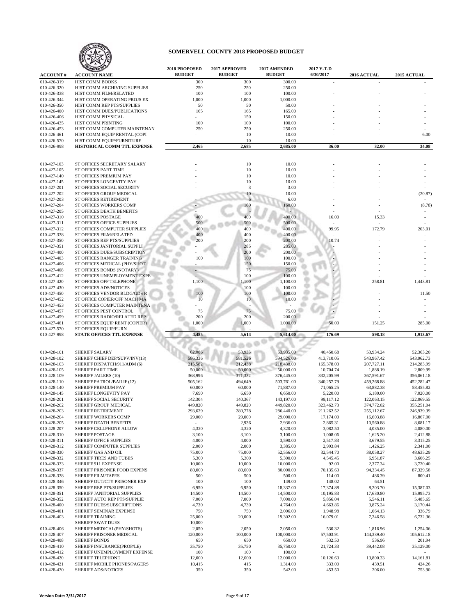

| <b>ACCOUNT#</b>            | <b>ACCOUNT NAME</b>                                            | 2018 PROPOSED<br><b>BUDGET</b> | 2017 APPROVED<br><b>BUDGET</b> | 2017 AMENDED<br><b>BUDGET</b> | 2017 Y-T-D<br>6/30/2017 | 2016 ACTUAL              | 2015 ACTUAL              |
|----------------------------|----------------------------------------------------------------|--------------------------------|--------------------------------|-------------------------------|-------------------------|--------------------------|--------------------------|
| 010-426-319                | HIST COMM BOOKS                                                | 300                            | 300                            | 300.00                        |                         |                          |                          |
| 010-426-320                | HIST COMM ARCHIVING SUPPLIES                                   | 250                            | 250                            | 250.00                        |                         |                          |                          |
| 010-426-338                | HIST COMM FILM/RELATED                                         | 100                            | 100                            | 100.00                        |                         |                          |                          |
| 010-426-344                | HIST COMM OPERATING PROJS EX                                   | 1,000                          | 1,000                          | 1,000.00                      |                         |                          |                          |
| 010-426-350                | HIST COMM REP PTS/SUPPLIES                                     | 50                             | 50                             | 50.00                         |                         |                          |                          |
| 010-426-400<br>010-426-406 | HIST COMM DUES/PUBLICATIONS<br>HIST COMM PHYSICAL              | 165<br>÷.                      | 165<br>150                     | 165.00<br>150.00              |                         |                          |                          |
| 010-426-435                | HIST COMM PRINTING                                             | 100                            | 100                            | 100.00                        |                         |                          |                          |
| 010-426-453                | HIST COMM COMPUTER MAINTENAN                                   | 250                            | 250                            | 250.00                        |                         |                          |                          |
| 010-426-461                | HIST COMM EQUIP RENTAL (COPI                                   |                                | 10                             | 10.00                         |                         |                          | 6.00                     |
| 010-426-570                | HIST COMM EQUIP/FURNITURE                                      |                                | 10                             | 10.00                         |                         |                          |                          |
| 010-426-998                | HISTORICAL COMM TTL EXPENSE                                    | 2,465                          | 2,685                          | 2,685.00                      | 36.00                   | 32.00                    | 34.08                    |
|                            |                                                                |                                |                                |                               |                         |                          |                          |
| 010-427-103                | ST OFFICES SECRETARY SALARY                                    |                                | 10                             | 10.00                         |                         |                          |                          |
| 010-427-105                | ST OFFICES PART TIME<br>ST OFFICES PREMIUM PAY                 |                                | 10<br>10                       | 10.00<br>10.00                |                         |                          |                          |
| 010-427-140<br>010-427-145 | ST OFFICES LONGEVITY PAY                                       |                                | 10                             | 10.00                         |                         |                          |                          |
| 010-427-201                | ST OFFICES SOCIAL SECURITY                                     |                                | 3                              | 3.00                          |                         |                          |                          |
| 010-427-202                | ST OFFICES GROUP MEDICAL                                       |                                | 10                             | 10.00                         |                         |                          | (20.87)                  |
| 010-427-203                | ST OFFICES RETIREMENT                                          |                                |                                | 6.00                          |                         |                          |                          |
| 010-427-204                | ST OFFICES WORKERS COMP                                        |                                | 160                            | 160.00                        |                         |                          | (8.78)                   |
| 010-427-205                | ST OFFICES DEATH BENEFITS                                      |                                |                                |                               |                         |                          |                          |
| 010-427-310                | <b>ST OFFICES POSTAGE</b>                                      | 400<br>500                     | 400                            | 400.00                        | 16.00                   | 15.33                    |                          |
| 010-427-311<br>010-427-312 | ST OFFICES OFFICE SUPPLIES<br>ST OFFICES COMPUTER SUPPLIES     | 400                            | 500<br>400                     | 500.00<br>400.00              | 99.95                   | 172.79                   | 203.01                   |
| 010-427-338                | ST OFFICES FILM/RELATED                                        | 400                            | 400                            | 400.00                        |                         |                          |                          |
| 010-427-350                | ST OFFICES REP PTS/SUPPLIES                                    | 200                            | 200                            | 200.00                        | 10.74                   |                          |                          |
| 010-427-351                | ST OFFICES JANITORIAL SUPPLI                                   |                                | 285                            | 285.00                        |                         |                          |                          |
| 010-427-400                | ST OFFICES DUES/SUBSCRIPTION                                   |                                | 200                            | 200.00                        |                         |                          |                          |
| 010-427-403                | ST OFFICES RANGER TRAINING                                     | 100                            | 100                            | 100.00                        |                         |                          |                          |
| 010-427-406                | ST OFFICES MEDICAL (PHY/SHOT                                   |                                | 150                            | 150.00                        |                         |                          |                          |
| 010-427-408                | ST OFFICES BONDS (NOTARY)                                      |                                | 75<br>100                      | 75.00                         |                         |                          |                          |
| 010-427-412<br>010-427-420 | ST OFFICES UNEMPLOYMENT EXPE<br>ST OFFICES OFF TELEPHONE       | 1,100                          | 1,100                          | 100.00<br>1,100.00            |                         | 258.81                   | 1,443.81                 |
| 010-427-430                | ST OFFICES ADS/NOTICES                                         |                                | 100                            | 100.00                        |                         |                          |                          |
| 010-427-450                | ST OFFICES VENDOR BLDG/GDS R                                   | 100                            | 100                            | 100.00                        |                         |                          | 11.50                    |
| 010-427-452                | ST OFFICE COPIER/OFF MACH MA                                   | 10                             | 10                             | 10.00                         |                         |                          |                          |
| 010-427-453                | ST OFFICES COMPUTER MAINTENA                                   |                                |                                |                               |                         |                          |                          |
| 010-427-457                | ST OFFICES PEST CONTROL                                        | 75                             | 75                             | 75.00                         |                         |                          |                          |
| 010-427-459                | ST OFFICES RADIO/RELATED REP                                   | 200                            | 200                            | 200.00                        |                         |                          |                          |
| 010-427-461                | ST OFFICES EQUIP RENT (COPIER)                                 | 1,000                          | 1,000                          | 1,000.00                      | 50.00                   | 151.25                   | 285.00                   |
| 010-427-570<br>010-427-998 | ST OFFICES EQUIP/FURN<br>STATE OFFICES TTL EXPENSE             | 4,485                          | 5,614                          | 5,614.00                      | 176.69                  | 598.18                   | 1,913.67                 |
|                            |                                                                |                                |                                |                               |                         |                          |                          |
|                            |                                                                |                                |                                |                               |                         |                          |                          |
| 010-428-101                | <b>SHERIFF SALARY</b>                                          | 62,086                         | 53,935                         | 53,935.00                     | 40,450.68               | 53,934.24                | 52,363.20                |
| 010-428-102<br>010-428-103 | SHERIFF CHIEF DEP/SUPV/INV(13)<br>SHERIFF DISPATCH/911/ADM (6) | 586,336<br>215,582             | 581,526<br>212,438             | 594,526.00<br>218,438.00      | 413,710.05              | 543,967.42<br>207,727.11 | 543,962.73<br>214,283.99 |
| 010-428-105                | <b>SHERIFF PART TIME</b>                                       | 50,000                         | 50,000                         | 50,000.00                     | 165,378.03<br>10,704.74 | 1,888.19                 | 2,809.99                 |
| 010-428-109                | <b>SHERIFF JAILERS (10)</b>                                    | 368,996                        | 371,332                        | 376,445.00                    | 332,205.99              | 367,591.67               | 356,061.18               |
| 010-428-110                | SHERIFF PATROL/BAILIF (12)                                     | 505,162                        | 494,649                        | 503,761.00                    | 340,257.79              | 459,268.88               | 452,282.47               |
| 010-428-140                | SHERIFF PREMIUM PAY                                            | 60,000                         | 60,000                         | 71,887.00                     | 71,065.25               | 63,882.38                | 58,455.82                |
| 010-428-145                | SHERIFF LONGEVITY PAY                                          | 7,690                          | 6,650                          | 6,650.00                      | 5,220.00                | 6,180.00                 | 7,020.00                 |
| 010-428-201                | SHERIFF SOCIAL SECURITY                                        | 142,304                        | 140,367                        | 143,197.00                    | 99,117.12               | 122,063.15               | 122,069.55               |
| 010-428-202                | SHERIFF GROUP MEDICAL                                          | 449,820                        | 449,820                        | 449,820.00                    | 323,462.73              | 374,772.02               | 355,251.04               |
| 010-428-203<br>010-428-204 | SHERIFF RETIREMENT<br>SHERIFF WORKERS COMP                     | 293,629<br>29,000              | 280,778<br>29,000              | 286,440.00<br>29,000.00       | 211,262.52<br>17,174.00 | 255,112.67<br>16,603.88  | 246,939.39<br>16,867.00  |
| 010-428-205                | SHERIFF DEATH BENEFITS                                         | $\sim$                         | 2,936                          | 2,936.00                      | 2,865.31                | 10,560.88                | 8,681.17                 |
| 010-428-207                | SHERIFF CELLPHONE ALLOW                                        | 4,320                          | 4,320                          | 4,320.00                      | 3,082.50                | 4,035.00                 | 4,080.00                 |
| 010-428-310                | SHERIFF POSTAGE                                                | 3,100                          | 3,100                          | 3,100.00                      | 1,008.06                | 1,625.20                 | 2,412.88                 |
| 010-428-311                | SHERIFF OFFICE SUPPLIES                                        | 4,000                          | 4,000                          | 3,590.00                      | 2,517.83                | 3,679.55                 | 3,315.25                 |
| 010-428-312                | SHERIFF COMPUTER SUPPLIES                                      | 2,000                          | 2,000                          | 3,385.00                      | 2,993.84                | 1,426.25                 | 2,341.00                 |
| 010-428-330                | SHERIFF GAS AND OIL                                            | 75,000                         | 75,000                         | 52,556.00                     | 32,544.70               | 38,058.27                | 48,635.29                |
| 010-428-332                | SHERIFF TIRES AND TUBES                                        | 5,300                          | 5,300                          | 5,300.00                      | 4,545.45                | 6,951.87                 | 3,606.25                 |
| 010-428-333<br>010-428-337 | SHERIFF 911 EXPENSE<br>SHERIFF PRISONER FOOD EXPENS            | 10,000<br>80,000               | 10,000<br>80,000               | 10,000.00<br>80,000.00        | 92.00<br>70,135.63      | 2,377.34<br>94,334.45    | 3,720.40<br>87,329.58    |
| 010-428-338                | SHERIFF FILM/TAPES                                             | 500                            | 500                            | 500.00                        | 114.00                  | 486.39                   | 800.41                   |
| 010-428-346                | SHERIFF OUT/CTY PRISONER EXP                                   | 100                            | 100                            | 149.00                        | 148.02                  | 64.51                    |                          |
| 010-428-350                | SHERIFF REP PTS/SUPPLIES                                       | 6,950                          | 6,950                          | 18,337.00                     | 17,374.88               | 8,203.70                 | 15,387.03                |
| 010-428-351                | SHERIFF JANITORIAL SUPPLIES                                    | 14,500                         | 14,500                         | 14,500.00                     | 10,195.83               | 17,630.80                | 15,995.73                |
| 010-428-352                | SHERIFF AUTO REP PTS/SUPPLIE                                   | 7,000                          | 7,000                          | 7,000.00                      | 5,856.04                | 5,546.11                 | 5,485.65                 |
| 010-428-400                | SHERIFF DUES/SUBSCRIPTIONS                                     | 4,730                          | 4,730                          | 4,764.00                      | 4,663.86                | 3,875.24                 | 3,170.44                 |
| 010-428-401                | SHERIFF SEMINAR EXPENSE                                        | 750                            | 750                            | 2,006.00                      | 1,948.98                | 1,064.13                 | 336.79                   |
| 010-428-403                | SHERIFF TRAINING<br>SHERIFF SWAT DUES                          | 25,000<br>10,000               | 20,000                         | 19,302.00                     | 16,079.01               | 7,246.58                 | 6,732.36                 |
| 010-428-406                | SHERIFF MEDICAL(PHY/SHOTS)                                     | 2,050                          | 2,050                          | 2,050.00                      | 530.32                  | 1,816.96                 | 1,254.06                 |
| 010-428-407                | SHERIFF PRISONER MEDICAL                                       | 120,000                        | 100,000                        | 100,000.00                    | 57,503.91               | 144,339.40               | 105,612.18               |
| 010-428-408                | <b>SHERIFF BONDS</b>                                           | 650                            | 650                            | 650.00                        | 532.50                  | 536.96                   | 201.94                   |
| 010-428-410                | SHERIFF INSURANCE(PROP/LE)                                     | 35,750                         | 35,750                         | 35,750.00                     | 21,724.33               | 39,442.08                | 35,129.00                |
| 010-428-412                | SHERIFF UNEMPLOYMENT EXPENSE                                   | 100                            | 100                            | 100.00                        |                         | $\overline{\phantom{a}}$ |                          |
| 010-428-420                | SHERIFF TELEPHONE                                              | 12,000                         | 12,000                         | 12,000.00                     | 10,126.63               | 13,800.33                | 14,161.81                |
| 010-428-421                | SHERIFF MOBILE PHONES/PAGERS                                   | 10,415                         | 415                            | 1,314.00                      | 333.00                  | 439.51                   | 424.26                   |
| 010-428-430                | SHERIFF ADS/NOTICES                                            | 350                            | 350                            | 542.00                        | 453.50                  | 206.00                   | 753.90                   |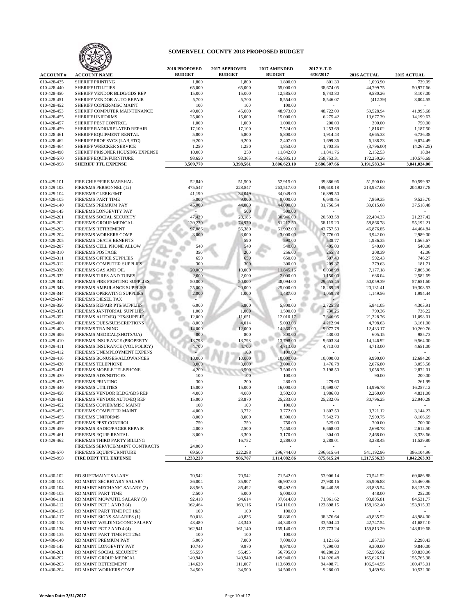

| <b>ACCOUNT#</b>            | <b>ANIZED 10</b><br><b>ACCOUNT NAME</b>                            | 2018 PROPOSED<br><b>BUDGET</b> | 2017 APPROVED<br><b>BUDGET</b> | 2017 AMENDED<br><b>BUDGET</b> | 2017 Y-T-D<br>6/30/2017 | <b>2016 ACTUAL</b>     | 2015 ACTUAL           |
|----------------------------|--------------------------------------------------------------------|--------------------------------|--------------------------------|-------------------------------|-------------------------|------------------------|-----------------------|
| 010-428-435                | <b>SHERIFF PRINTING</b>                                            | 1,800                          | 1,800                          | 1,800.00                      | 801.30                  | 1,093.90               | 729.09                |
| 010-428-440                | <b>SHERIFF UTILITIES</b>                                           | 65,000                         | 65,000                         | 65,000.00                     | 38,674.05               | 44,799.75              | 50,977.66             |
| 010-428-450                | SHERIFF VENDOR BLDG/GDS REP                                        | 15,000                         | 15,000                         | 12,585.00                     | 8,743.80                | 9,580.26               | 8,107.00              |
| 010-428-451                | SHERIFF VENDOR AUTO REPAIR                                         | 5,700                          | 5,700                          | 8,554.00                      | 8,546.07                | (412.39)               | 3,004.55              |
| 010-428-452                | SHERIFF COPIER/MISC MAINT                                          | 100                            | 100                            | 100.00                        |                         |                        |                       |
| 010-428-453                | SHERIFF COMPUTER MAINTENANCE                                       | 49,000                         | 45,000                         | 48,973.00                     | 48,722.09               | 59,528.94              | 41,995.68             |
| 010-428-455                | <b>SHERIFF UNIFORMS</b>                                            | 25,000                         | 15,000                         | 15,000.00                     | 6,275.42                | 13,677.39              | 14,199.63             |
| 010-428-457                | SHERIFF PEST CONTROL                                               | 1,000                          | 1,000                          | 1,000.00                      | 200.00                  | 300.00                 | 750.00                |
| 010-428-459                | SHERIFF RADIO/RELATED REPAIR                                       | 17,100                         | 17,100                         | 7,524.00                      | 1,253.69                | 1,816.02               | 1,187.50              |
| 010-428-461                | SHERIFF EQUIPMENT RENTAL                                           | 5,800                          | 5,800                          | 5,800.00                      | 1,914.43                | 3,665.33               | 6,736.38              |
| 010-428-462                | SHERIFF PROF SVCS (LAB,ETC)                                        | 9,200                          | 9,200                          | 2,407.00                      | 1,699.36                | 6,188.23               | 9,074.49              |
| 010-428-464                | <b>SHERIFF WRECKER SERVICE</b><br>SHERIFF PRISONER HOUSING EXPENSE | 1,250                          | 1,250                          | 1,853.00                      | 1,703.35                | (3,796.00)             | (4,267.25)            |
| 010-428-490<br>010-428-570 |                                                                    | 10,000<br>98,650               | 250<br>93,365                  | 11,842.00<br>455,935.10       | 11,841.76<br>258,753.31 | 2,152.53<br>172,250.26 | 18.84<br>110,576.69   |
| 010-428-998                | SHERIFF EQUIP/FURNITURE<br><b>SHERIFF TTL EXPENSE</b>              | 3,509,770                      | 3,398,561                      | 3,806,623.10                  | 2,686,507.66            | 3,191,583.34           | 3,041,024.00          |
|                            |                                                                    |                                |                                |                               |                         |                        |                       |
| 010-429-101                | FIRE CHIEF/FIRE MARSHAL                                            | 52,840                         | 51,500                         | 52,915.00                     | 39,886.96               | 51,500.00              | 50,599.92             |
| 010-429-103                | FIRE/EMS PERSONNEL (12)                                            | 475,547                        | 228,847                        | 263,517.00                    | 189,610.18              | 213,937.68             | 204,927.78            |
| 010-429-104                | FIRE/EMS CLERK/EMT                                                 | 41,190                         | 34,049                         | 34,049.00                     | 16,899.50               |                        |                       |
| 010-429-105                | <b>FIRE/EMS PART TIME</b>                                          | 5,000                          | 9,000                          | 9,000.00                      | 6,648.45                | 7,869.35               | 9,525.70              |
| 010-429-140                | FIRE/EMS PREMIUM PAY                                               | 45,000                         | 44,000                         | 44,000.00                     | 31,756.54               | 39,615.68              | 37,518.48             |
| 010-429-145                | FIRE/EMS LONGEVITY PAY                                             |                                | 500                            | 500.00                        |                         |                        |                       |
| 010-429-201                | FIRE/EMS SOCIAL SECURITY                                           | 47,439                         | 28,186                         | 30,946.00                     | 20,593.58               | 22,404.33              | 21,237.42             |
| 010-429-202                | <b>FIRE/EMS GROUP MEDICAL</b>                                      | 139,230                        | 74,970                         | 81,217.50                     | 58,115.20               | 58,866.78              | 55,192.21             |
| 010-429-203                | <b>FIRE/EMS RETIREMENT</b>                                         | 97,886                         | 56,380                         | 61,902.00                     | 43,757.53               | 46,876.85              | 44,404.84             |
| 010-429-204                | <b>FIRE/EMS WORKERS COMP</b>                                       | 3,000                          | 3,000                          | 3,000.00                      | 2,776.00                | 3,942.00               | 2,989.00              |
| 010-429-205                | FIRE/EMS DEATH BENEFITS                                            |                                | 590                            | 590.00                        | 538.77                  | 1,936.35               | 1,565.67              |
| 010-429-207                | FIRE/EMS CELL PHONE ALLOW                                          | 540                            | 540                            | 540.00                        | 405.00                  | 540.00                 | 540.00                |
| 010-429-310<br>010-429-311 | <b>FIRE/EMS POSTAGE</b>                                            | 350                            | 200                            | 256.00                        | 255.73                  | 208.39                 | 42.06                 |
|                            | <b>FIRE/EMS OFFICE SUPPLIES</b><br>FIRE/EMS COMPUTER SUPPLIES      | 650<br>300                     | 650<br>300                     | 650.00<br>300.00              | 507.40                  | 592.43<br>279.63       | 746.27<br>181.71      |
| 010-429-312<br>010-429-330 | <b>FIRE/EMS GAS AND OIL</b>                                        | 20,000                         | 10,000                         | 11,845.16                     | 209.37<br>6,038.98      | 7,177.18               | 7,865.96              |
| 010-429-332                | <b>FIRE/EMS TIRES AND TUBES</b>                                    | 2,000                          | 2,000                          | 2,000.00                      | 1,150.00                | 686.04                 | 2,582.69              |
| 010-429-342                | FIRE/EMS FIRE FIGHTING SUPPLIES                                    | 50,000                         | 50,000                         | 48,094.00                     | 29,655.45               | 50,059.39              | 57,651.60             |
| 010-429-343                | FIRE/EMS AMBULANCE SUPPLIES                                        | 25,000                         | 20,000                         | 25,000.00                     | 18,289.29               | 20,131.41              | 19,308.53             |
| 010-429-344                | FIRE/EMS OPERATING SUPPLIES                                        | 2,000                          | 1,000                          | 1,487.00                      | 1,059.78                | 1,149.56               | 1,994.44              |
| 010-429-347                | <b>FIRE/EMS DIESEL TAX</b>                                         |                                |                                |                               |                         |                        |                       |
| 010-429-350                | FIRE/EMS REPAIR PTS/SUPPLIES                                       | 6,000                          | 5,800                          | 5,800.00                      | 2,725.38                | 5,841.05               | 4,303.91              |
| 010-429-351                | FIRE/EMS JANITORIAL SUPPLIES                                       | 1,000                          | 1,000                          | 1,500.00                      | 730.26                  | 799.36                 | 736.22                |
| 010-429-352                | FIRE/EMS AUTO/EQ PTS/SUPPLIE                                       | 12,000                         | 11,651                         | 12,010.17                     | 7,346.95                | 21,228.76              | 11,098.01             |
| 010-429-400                | FIRE/EMS DUES/SUBSCRIPTIONS                                        | 8,000                          | 4,014                          | 5,003.03                      | 4,212.94                | 4,798.63               | 3,161.00              |
| 010-429-403                | <b>FIRE/EMS TRAINING</b>                                           | 14,000                         | 12,000                         | 14,360.00                     | 9,077.78                | 12,433.17              | 10,260.76             |
| 010-429-406                | FIRE/EMS MEDICAL(SHOTS/UA)                                         | 800                            | 800                            | 800.00                        | 430.00                  | 605.15                 | 985.73                |
| 010-429-410                | FIRE/EMS INSURANCE (PROPERTY                                       | 13,798                         | 13,798                         | 13,798.00                     | 9,603.34                | 14,146.92              | 9,564.00              |
| 010-429-411                | FIRE/EMS INSURANCE (VOL POLICY)                                    | 4,700                          | 4,700                          | 4,713.00                      | 4,713.00                | 4,713.00               | 4,651.00              |
| 010-429-412                | FIRE/EMS UNEMPLOYMENT EXPENS                                       |                                | 100                            | 100.00                        |                         |                        |                       |
| 010-429-416                | FIRE/EMS BONUSES/ALLOWANCES                                        | 10,000                         | 10,000                         | 10,000.00                     | 10,000.00               | 9,990.00               | 12,684.20             |
| 010-429-420                | <b>FIRE/EMS TELEPHONE</b>                                          | 3,000                          | 3,000                          | 3,000.00                      | 1,476.78                | 2,076.80               | 3,055.58              |
| 010-429-421                | FIRE/EMS MOBILE TELEPHONE                                          | 4,200                          | 3,500                          | 3,500.00                      | 3,198.50                | 3,058.35               | 2,872.01              |
| 010-429-430                | FIRE/EMS ADS/NOTICES                                               | 100                            | 100                            | 100.00                        |                         | 90.00                  | 200.00                |
| 010-429-435                | <b>FIRE/EMS PRINTING</b>                                           | 300                            | 200                            | 280.00                        | 279.60                  |                        | 261.99                |
| 010-429-440                | <b>FIRE/EMS UTILITIES</b>                                          | 15,000<br>4,000                | 15,000<br>4,000                | 16,000.00                     | 10,698.07               | 14,996.78              | 16,257.12<br>4,831.00 |
| 010-429-450<br>010-429-451 | FIRE/EMS VENDOR BLDG/GDS REP<br>FIRE/EMS VENDOR AUTO/EQ REP        | 15,000                         | 23,870                         | 3,502.00                      | 1,986.00<br>25,232.05   | 2,260.00<br>30,796.25  | 22,940.28             |
| 010-429-452                | FIRE/EMS COPIER/MISC MAINT                                         | 100                            | 100                            | 25,233.00<br>100.00           |                         |                        |                       |
| 010-429-453                | FIRE/EMS COMPUTER MAINT                                            | 4,000                          | 3,772                          | 3,772.00                      | 1,807.50                | 3,721.12               | 3.144.23              |
| 010-429-455                | <b>FIRE/EMS UNIFORMS</b>                                           | 8,000                          | 8,000                          | 8,300.00                      | 7,542.73                | 7,909.75               | 8,106.69              |
| 010-429-457                | FIRE/EMS PEST CONTROL                                              | 750                            | 750                            | 750.00                        | 525.00                  | 700.00                 | 700.00                |
| 010-429-459                | FIRE/EMS RADIO/PAGER REPAIR                                        | 4,000                          | 2,500                          | 7,450.00                      | 6,668.00                | 2,698.78               | 2,612.50              |
| 010-429-461                | FIRE/EMS EQUIP RENTAL                                              | 3,000                          | 3,300                          | 3,170.00                      | 304.00                  | 2,468.00               | 3,328.66              |
| 010-429-462                | FIRE/EMS THIRD PARTY BILLING                                       | $\sim$                         | 16,752                         | 2,289.00                      | 2,288.01                | 3,238.45               | 11,529.80             |
|                            | FIRE/EMS SERVICE/MAINT CONTRACTS                                   | 24,000                         | $\omega$                       | $\sim$                        | $\sim$                  | $\omega$               |                       |
| 010-429-570                | FIRE/EMS EQUIP/FURNITURE                                           | 69,500                         | 222,288                        | 296,744.00                    | 296,615.64              | 541,192.96             | 386,104.96            |
| 010-429-998                | FIRE DEPT TTL EXPENSE                                              | 1,233,220                      | 986,707                        | 1,114,082.86                  | 875,615.24              | 1,217,536.33           | 1,042,263.93          |
|                            |                                                                    |                                |                                |                               |                         |                        |                       |
| 010-430-102                | RD SUPT/MAINT SALARY                                               | 70,542                         | 70,542                         | 71,542.00                     | 53,906.14               | 70,541.52              | 69,086.88             |
| 010-430-103                | RD MAINT SECRETARY SALARY                                          | 36,004                         | 35,907                         | 36,907.00                     | 27,930.16               | 35,906.88              | 35,460.96             |
| 010-430-104                | RD MAINT MECHANIC SALARY (2)                                       | 88,565                         | 86,492                         | 88,492.00                     | 66,440.58               | 83,835.54              | 88,135.70             |
| 010-430-105                | RD MAINT PART TIME                                                 | 2,500                          | 5,000                          | 5,000.00                      | $\omega_{\rm c}$        | 448.00                 | 252.00                |
| 010-430-111                | RD MAINT MOW/UTIL SALARY (3)                                       | 92,418                         | 94,614                         | 97,614.00                     | 71,961.62               | 93,805.81              | 84,531.77             |
| 010-430-112                | RD MAINT PCT 1 AND 3 (4)                                           | 162,464                        | 160,116                        | 164,116.00                    | 123,898.15              | 158,162.40             | 153,915.32            |
| 010-430-115                | RD MAINT PART TIME PCT 1&3                                         | 100                            | 100                            | 100.00                        | $\sim$                  | $\sim$                 |                       |
| 010-430-117                | RD MAINT SIGNS SALARIES (1)                                        | 50,018                         | 49,836                         | 50,836.00                     | 38,376.64               | 49,835.52              | 48,984.00             |
| 010-430-118                | RD MAINT WELDING/CONC SALARY                                       | 43,480                         | 43,340                         | 44,340.00                     | 33,504.40               | 42,747.54              | 41,687.10             |
| 010-430-134<br>010-430-135 | RD MAINT PCT 2 AND 4 (4)<br>RD MAINT PART TIME PCT 2&4             | 162,941<br>100                 | 161,140<br>100                 | 165,140.00<br>100.00          | 122,773.24              | 159,813.29<br>$\sim$   | 148,819.68            |
| 010-430-140                | RD MAINT PREMIUM PAY                                               | 5,000                          | 7,000                          | 7,000.00                      | 1,121.66                | 1,857.33               | 2,290.43              |
| 010-430-145                | RD MAINT LONGEVITY PAY                                             | 10,740                         | 9,970                          | 9,970.00                      | 7,290.00                | 9,300.00               | 9,840.00              |
| 010-430-201                | RD MAINT SOCIAL SECURITY                                           | 55,550                         | 55,495                         | 56,795.00                     | 40,280.20               | 52,505.02              | 50,830.06             |
| 010-430-202                | RD MAINT GROUP MEDICAL                                             | 149,940                        | 149,940                        | 149,940.00                    | 134,026.48              | 165,626.21             | 155,765.98            |
| 010-430-203                | RD MAINT RETIREMENT                                                | 114,620                        | 111,007                        | 113,609.00                    | 84,408.71               | 106,544.55             | 100,475.01            |
| 010-430-204                | RD MAINT WORKERS COMP                                              | 34,500                         | 34,500                         | 34,500.00                     | 9,280.00                | 9,469.98               | 10,532.00             |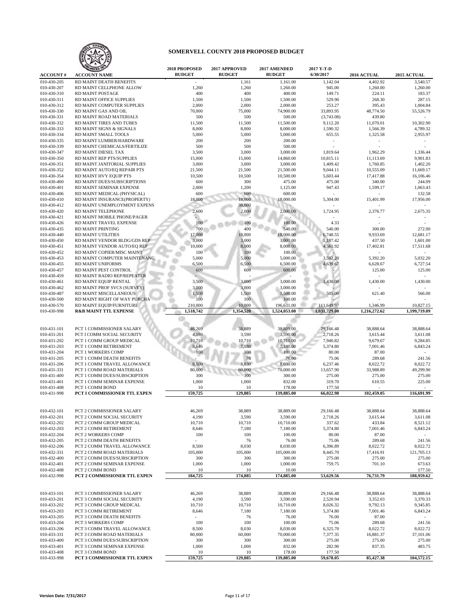

|                            | <b>ANIZED 10</b>                                       | 2018 PROPOSED            | 2017 APPROVED    | 2017 AMENDED          | 2017 Y-T-D         |                       |                      |
|----------------------------|--------------------------------------------------------|--------------------------|------------------|-----------------------|--------------------|-----------------------|----------------------|
| <b>ACCOUNT#</b>            | <b>ACCOUNT NAME</b>                                    | <b>BUDGET</b>            | <b>BUDGET</b>    | <b>BUDGET</b>         | 6/30/2017          | 2016 ACTUAL           | 2015 ACTUAL          |
| 010-430-205                | RD MAINT DEATH BENEFITS                                |                          | 1,161            | 1,161.00              | 1,142.04           | 4,402.92              | 3,540.57             |
| 010-430-207                | RD MAINT CELLPHONE ALLOW                               | 1,260                    | 1,260            | 1,260.00              | 945.00             | 1,260.00              | 1,260.00             |
| 010-430-310                | RD MAINT POSTAGE                                       | 400                      | 400              | 400.00                | 149.71             | 224.11                | 183.37               |
| 010-430-311                | RD MAINT OFFICE SUPPLIES                               | 1,500                    | 1,500            | 1,500.00              | 529.90             | 268.30                | 287.15               |
| 010-430-312                | RD MAINT COMPUTER SUPPLIES                             | 2,000                    | 2,000            | 2,000.00              | 253.27             | 395.43                | 1,004.84             |
| 010-430-330                | RD MAINT GAS AND OIL                                   | 70,000                   | 75,000           | 74,900.00             | 33,893.95          | 48,774.50             | 55,526.79            |
| 010-430-331                | RD MAINT ROAD MATERIALS                                | 500                      | 500              | 500.00                | (3,743.08)         | 439.80                |                      |
| 010-430-332                | RD MAINT TIRES AND TUBES                               | 11,500                   | 11,500           | 11,500.00             | 9,112.20           | 11,070.01             | 10,302.90            |
| 010-430-333                | RD MAINT SIGNS & SIGNALS                               | 8,000                    | 8,000            | 8,000.00              | 1,590.32           | 1,566.39              | 4,789.32             |
| 010-430-334                | RD MAINT SMALL TOOLS                                   | 5,000                    | 5,000            | 5,000.00              | 655.55             | 1,325.58              | 2,955.97             |
| 010-430-335                | RD MAINT LUMBER/HARDWARE                               | 200                      | 200              | 200.00                | $\sim$             |                       |                      |
| 010-430-339                | RD MAINT CHEMICALS/FERTILIZE                           | 500                      | 500              | 500.00                |                    |                       |                      |
| 010-430-347                | RD MAINT DIESEL TAX                                    | 3,500                    | 3,000            | 3,000.00              | 1,819.64           | 1,962.29              | 1,336.44             |
| 010-430-350                | RD MAINT REP PTS/SUPPLIES                              | 15,000                   | 15,000           | 14,860.00             | 10,815.11          | 11,113.69             | 9.901.83             |
| 010-430-351                | RD MAINT JANITORIAL SUPPLIES                           | 3,000                    | 3,000            | 3,000.00              | 1,409.42           | 1,760.85              | 1,402.20             |
| 010-430-352                | RD MAINT AUTO/EQ REPAIR PTS                            | 21,500                   | 21,500           | 21,500.00             | 9,044.11           | 10,555.09             | 11,669.17            |
| 010-430-354                | RD MAINT HVY EQUIP PTS                                 | 10,500                   | 10,500           | 10,500.00             | 5,603.44           | 17,417.88             | 16,106.46            |
| 010-430-400                | RD MAINT DUES/SUBSCRIPTIONS                            | 600                      | 300              | 475.00                | 475.00             | 340.00                | 244.09               |
| 010-430-401                | RD MAINT SEMINAR EXPENSE                               | 2,000                    | 1,200            | 1,125.00              | 947.43             | 1,599.17              | 1,063.43             |
| 010-430-406                | RD MAINT MEDICAL (PHYSICAL)                            | 600                      | 600              | 600.00                |                    |                       | 132.58               |
| 010-430-410                | RD MAINT INSURANCE(PROPERTY)                           | 18,000                   | 18,000           | 18,000.00             | 5,304.00           | 15,401.99             | 17,956.00            |
| 010-430-412                | RD MAINT UNEMPLOYMENT EXPENS                           |                          | 38,000           |                       |                    |                       |                      |
| 010-430-420                | RD MAINT TELEPHONE                                     | 2,600                    | 2,000            | 2,000.00              | 1,724.95           | 2,376.77              | 2,675.35             |
| 010-430-421                | RD MAINT MOBILE PHONE/PAGER                            |                          |                  |                       |                    |                       |                      |
| 010-430-426                | RD MAINT TRAVEL EXPENSE                                | 100                      | 100              | 100.00                | 4.33               |                       |                      |
| 010-430-435                | RD MAINT PRINTING                                      | 700                      | 400              | 540.00                | 540.00             | 300.00                | 272.00               |
| 010-430-440                | <b>RD MAINT UTILITIES</b>                              | 17,000                   | 18,000           | 18,000.00             | 6,748.55           | 9,933.69              | 12,681.17            |
| 010-430-450                | RD MAINT VENDOR BLDG/GDS REP                           | 3,000                    | 3,000            | 3,000.00              | 1,187.42           | 437.50                | 1,601.00             |
| 010-430-451                | RD MAINT VENDOR AUTO/EQ REP                            | 10,000                   | 8,000            | 8,000.00              | 4,561.92           | 17,402.81             | 17,511.68            |
| 010-430-452                | RD MAINT COPIER/MISC MAINT                             | 100                      | 100              | 100.00                |                    |                       |                      |
| 010-430-453                | RD MAINT COMPUTER MAINTENANC                           | 5,000                    | 5,000            | 5,000.00              | 3,592.20           | 5,392.20              | 5,032.20             |
| 010-430-455                | RD MAINT UNIFORMS                                      | 6,500                    | 6,500            | 6,500.00              | 4,639.67           | 6,628.67              | 6,727.54             |
| 010-430-457                | RD MAINT PEST CONTROL                                  | 600                      | 600              | 600.00                |                    | 125.00                | 125.00               |
| 010-430-459                | RD MAINT RADIO REP/REPEATER                            |                          |                  |                       |                    |                       |                      |
| 010-430-461                | RD MAINT EQUIP RENTAL                                  | 3,500                    | 3,000            | 3,000.00              | 1,430.00           | 1,430.00              | 1,430.00             |
| 010-430-462                | RD MAINT PROF SVCS (SURVEY)                            | 3,000                    | 3,000            | 3,000.00              |                    |                       |                      |
| 010-430-487                | RD MAINT MISCELLANEOUS                                 | 1,500                    | 1,500            | 1,500.00              | 505.00             | 621.40                | 566.00               |
| 010-430-500                | RD MAINT RIGHT OF WAY PURCHA                           | 100                      | 100              | 100.00                |                    |                       |                      |
| 010-430-570                | RD MAINT EQUIP/FURNITURE                               | 210,000                  | 10,000           | 196,631.00            | 111,649.97         | 1,346.99              | 10,827.15            |
| 010-430-998                | <b>R&amp;B MAINT TTL EXPENSE</b>                       | 1,518,742                | 1,354,520        | 1,524,053.00          | 1,031,729.00       | 1,216,272.62          | 1,199,719.09         |
|                            |                                                        |                          |                  |                       |                    |                       |                      |
|                            |                                                        |                          |                  |                       |                    |                       |                      |
| 010-431-101                | PCT 1 COMMISSIONER SALARY                              | 46,269                   | 38,889           | 38,889.00             | 29,166.48          | 38,888.64             | 38,888.64            |
| 010-431-201                | PCT I COMM SOCIAL SECURITY                             | 4,190                    | 3,590            | 3,590.00              | 2,718.26           | 3,615.44              | 3,611.08             |
| 010-431-202                | PCT 1 COMM GROUP MEDICAL                               | 10,710                   | 10,710           | 10,710.00             | 7,940.82           | 9,679.67              | 9,284.85             |
| 010-431-203                | PCT 1 COMM RETIREMENT                                  | 8,646                    | 7,180            | 7,180.00              | 5,374.80           | 7,001.46              | 6,843.24             |
| 010-431-204                | <b>PCT 1 WORKERS COMP</b>                              | 100                      | 100              | 100.00                | 80.00              | 87.00                 |                      |
| 010-431-205                | PCT 1 COMM DEATH BENEFITS                              |                          | 76               | 76.00                 | 75.06              | 289.68                | 241.56               |
| 010-431-206                | PCT 1 COMM TRAVEL ALLOWANCE                            | 8,500                    | 8,030            | 8,030.00              | 6,237.46           | 8,022.72              | 8,022.72             |
| 010-431-331                | PCT 1 COMM ROAD MATERIALS                              | 80,000                   | 60,000           | 70,000.00             | 13,657.90          | 33,988.89             | 49,299.90            |
| 010-431-400                | PCT 1 COMM DUES/SUBSCRIPTION                           | 300                      | 300              | 300.00                | 275.00             | 275.00                | 275.00               |
| 010-431-401                | PCT 1 COMM SEMINAR EXPENSE                             | 1,000                    | 1,000            | 832.00                | 319.70             | 610.55                | 225.00               |
| 010-431-408                | PCT 1 COMM BOND                                        | 10                       | 10               | 178.00                | 177.50             |                       |                      |
| 010-431-998                | PCT I COMMISSIONER TTL EXPEN                           | 159,725                  | 129,885          | 139,885.00            | 66,022.98          | 102,459.05            | 116,691.99           |
|                            |                                                        |                          |                  |                       |                    |                       |                      |
|                            |                                                        |                          |                  |                       |                    |                       |                      |
| 010-432-101                | PCT 2 COMMISSIONER SALARY                              | 46,269                   | 38,889           | 38,889.00             | 29,166.48          | 38,888.64             | 38,888.64            |
|                            |                                                        |                          |                  |                       |                    |                       |                      |
| 010-432-201<br>010-432-202 | PCT 2 COMM SOCIAL SECURITY<br>PCT 2 COMM GROUP MEDICAL | 4,190<br>10,710          | 3,590<br>10,710  | 3,590.00<br>10,710.00 | 2,718.26<br>337.62 | 3,615.44<br>433.84    | 3,611.08<br>8,521.12 |
| 010-432-203                | PCT 2 COMM RETIREMENT                                  | 8,646                    | 7,180            | 7,180.00              | 5,374.80           | 7,001.46              | 6,843.24             |
| 010-432-204                | PCT 2 WORKERS COMP                                     | 100                      | 100              | 100.00                | 80.00              | 87.00                 |                      |
| 010-432-205                | PCT 2 COMM DEATH BENEFITS                              | $\overline{\phantom{a}}$ | 76               | 76.00                 | 75.06              | 289.68                | 241.56               |
|                            | PCT 2 COMM TRAVEL ALLOWANCE                            | 8,500                    |                  |                       |                    |                       | 8,022.72             |
| 010-432-206                | PCT 2 COMM ROAD MATERIALS                              |                          | 8,030<br>105,000 | 8,030.00              | 6,396.89           | 8,022.72<br>17,416.91 | 121,705.13           |
| 010-432-331                | PCT 2 COMM DUES/SUBSCRIPTION                           | 105,000                  | 300              | 105,000.00            | 8,445.70           |                       |                      |
| 010-432-400                | PCT 2 COMM SEMINAR EXPENSE                             | 300                      |                  | 300.00<br>1,000.00    | 275.00             | 275.00                | 275.00               |
| 010-432-401<br>010-432-408 | PCT 2 COMM BOND                                        | 1,000<br>10              | 1,000<br>10      | 10.00                 | 759.75             | 701.10                | 673.63<br>177.50     |
|                            | PCT 2 COMMISSIONER TTL EXPEN                           | 184,725                  | 174,885          |                       |                    |                       | 188,959.62           |
| 010-432-998                |                                                        |                          |                  | 174,885.00            | 53,629.56          | 76,731.79             |                      |
|                            |                                                        |                          |                  |                       |                    |                       |                      |
|                            |                                                        |                          |                  |                       |                    |                       |                      |
| 010-433-101                | PCT 3 COMMISSIONER SALARY                              | 46,269                   | 38,889           | 38,889.00             | 29,166.48          | 38,888.64             | 38,888.64            |
| 010-433-201                | PCT 3 COMM SOCIAL SECURITY                             | 4,190                    | 3,590            | 3,590.00              | 2,520.94           | 3,352.03              | 3,370.33             |
| 010-433-202                | PCT 3 COMM GROUP MEDICAL                               | 10,710                   | 10,710           | 10,710.00             | 8,026.32           | 9,792.13              | 9,345.85             |
| 010-433-203                | PCT 3 COMM RETIREMENT                                  | 8,646                    | 7,180            | 7,180.00              | 5,374.80           | 7,001.46              | 6,843.24             |
| 010-433-205                | PCT 3 COMM DEATH BENEFITS                              |                          | 76               | 76.00                 | 76.00              | 87.00                 |                      |
| 010-433-204                | PCT 3 WORKERS COMP                                     | 100                      | 100              | 100.00                | 75.06              | 289.68                | 241.56               |
| 010-433-206                | PCT 3 COMM TRAVEL ALLOWANCE                            | 8,500                    | 8,030            | 8,030.00              | 6,325.70           | 8,022.72              | 8,022.72             |
| 010-433-331                | PCT 3 COMM ROAD MATERIALS                              | 80,000                   | 60,000           | 70,000.00             | 7,377.35           | 16,881.37             | 37,101.06            |
| 010-433-400                | PCT 3 COMM DUES/SUBSCRIPTION                           | 300                      | 300              | 300.00                | 275.00             | 275.00                | 275.00               |
| 010-433-401                | PCT 3 COMM SEMINAR EXPENSE                             | 1,000                    | 1,000            | 832.00                | 282.90             | 837.35                | 483.75               |
| 010-433-408                | PCT 3 COMM BOND                                        | 10                       | 10               | 178.00                | 177.50             |                       |                      |
| 010-433-998                | PCT 3 COMMISSIONER TTL EXPEN                           | 159,725                  | 129,885          | 139,885.00            | 59,678.05          | 85,427.38             | 104,572.15           |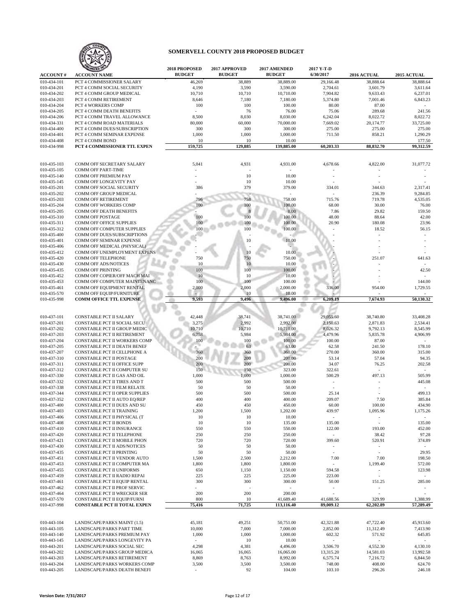

|                            | <b>ANIZED 10</b>                                             | 2018 PROPOSED   | 2017 APPROVED   | 2017 AMENDED          | 2017 Y-T-D<br>6/30/2017 |                          |                       |
|----------------------------|--------------------------------------------------------------|-----------------|-----------------|-----------------------|-------------------------|--------------------------|-----------------------|
| <b>ACCOUNT#</b>            | <b>ACCOUNT NAME</b>                                          | <b>BUDGET</b>   | <b>BUDGET</b>   | <b>BUDGET</b>         |                         | 2016 ACTUAL              | 2015 ACTUAL           |
| 010-434-101<br>010-434-201 | PCT 4 COMMISSIONER SALARY<br>PCT 4 COMM SOCIAL SECURITY      | 46,269<br>4,190 | 38,889<br>3,590 | 38,889.00<br>3,590.00 | 29.166.48<br>2,704.61   | 38,888.64<br>3,601.79    | 38,888.64<br>3,611.64 |
| 010-434-202                | PCT 4 COMM GROUP MEDICAL                                     | 10,710          | 10,710          | 10,710.00             | 7,904.82                | 9,633.43                 | 6,237.01              |
| 010-434-203                | PCT 4 COMM RETIREMENT                                        | 8,646           | 7,180           | 7,180.00              | 5,374.80                | 7,001.46                 | 6,843.23              |
| 010-434-204                | PCT 4 WORKERS COMP                                           | 100             | 100             | 100.00                | 80.00                   | 87.00                    |                       |
| 010-434-205                | PCT 4 COMM DEATH BENEFITS                                    |                 | 76              | 76.00                 | 75.06                   | 289.68                   | 241.56                |
| 010-434-206                | PCT 4 COMM TRAVEL ALLOWANCE                                  | 8,500           | 8,030           | 8,030.00              | 6,242.04                | 8,022.72                 | 8.022.72              |
| 010-434-331                | PCT 4 COMM ROAD MATERIALS                                    | 80,000          | 60,000          | 70,000.00             | 7,669.02                | 20,174.77                | 33,725.00             |
| 010-434-400                | PCT 4 COMM DUES/SUBSCRIPTION                                 | 300             | 300             | 300.00                | 275.00                  | 275.00                   | 275.00                |
| 010-434-401                | PCT 4 COMM SEMINAR EXPENSE                                   | 1,000           | 1,000           | 1,000.00              | 711.50                  | 858.21                   | 1,290.29              |
| 010-434-408<br>010-434-998 | PCT 4 COMM BOND<br>PCT 4 COMMISSIONER TTL EXPEN              | $10$<br>159,725 | 10<br>129,885   | 10.00<br>139,885.00   | 60,203.33               | 88,832.70                | 177.50<br>99,312.59   |
|                            |                                                              |                 |                 |                       |                         |                          |                       |
|                            |                                                              |                 |                 |                       |                         |                          |                       |
| 010-435-103                | COMM OFF SECRETARY SALARY                                    | 5,041           | 4,931           | 4,931.00              | 4,678.66                | 4,822.00                 | 31,077.72             |
| 010-435-105                | <b>COMM OFF PART-TIME</b>                                    |                 |                 | $\sim$                |                         |                          |                       |
| 010-435-140<br>010-435-145 | COMM OFF PREMIUM PAY<br>COMM OFF LONGEVITY PAY               |                 | 10<br>10        | 10.00<br>10.00        |                         |                          |                       |
| 010-435-201                | COMM OFF SOCIAL SECURITY                                     | 386             | 379             | 379.00                | 334.01                  | 344.63                   | 2,317.41              |
| 010-435-202                | COMM OFF GROUP MEDICAL                                       |                 |                 |                       |                         | 236.39                   | 9,284.85              |
| 010-435-203                | <b>COMM OFF RETIREMENT</b>                                   | 796             | 758             | 758.00                | 715.76                  | 719.78                   | 4,535.05              |
| 010-435-204                | COMM OFF WORKERS COMP                                        | 100             | 100             | 100.00                | 68.00                   | 30.00                    | 76.00                 |
| 010-435-205                | COMM OFF DEATH BENEFITS                                      |                 |                 | 8.00                  | 7.86                    | 29.82                    | 159.50                |
| 010-435-310                | <b>COMM OFF POSTAGE</b>                                      | 100             | 100             | 100.00                | 48.00                   | 88.64                    | 42.00                 |
| 010-435-311                | <b>COMM OFF OFFICE SUPPLIES</b>                              | 100             | 100             | 100.00                | 20.90                   | 180.08                   | 23.96                 |
| 010-435-312                | COMM OFF COMPUTER SUPPLIES                                   | 100             | 100             | 100.00                |                         | 18.52                    | 56.15                 |
| 010-435-400                | COMM OFF DUES/SUBSCRIPTIONS<br>COMM OFF SEMINAR EXPENSE      |                 |                 | 10.00                 |                         |                          |                       |
| 010-435-401<br>010-435-406 | COMM OFF MEDICAL (PHYSICAL)                                  |                 | 10              |                       |                         |                          |                       |
| 010-435-412                | COMM OFF UNEMPLOYMENT EXPENS                                 |                 | 10              | 10.00                 |                         |                          |                       |
| 010-435-420                | COMM OFF TELEPHONE                                           | 750             | 750             | 750.00                |                         | 251.07                   | 641.63                |
| 010-435-430                | <b>COMM OFF ADS/NOTICES</b>                                  | 10              | 10              | 10.00                 |                         |                          |                       |
| 010-435-435                | <b>COMM OFF PRINTING</b>                                     | 100             | 100             | 100.00                |                         |                          | 42.50                 |
| 010-435-452                | COMM OFF COPIER/OFF MACH MAI                                 | 10              | 10              | 10.00                 |                         |                          |                       |
| 010-435-453                | COMM OFF COMPUTER MAINTENANC                                 | 100             | 100             | 100.00                |                         |                          | 144.00                |
| 010-435-461                | COMM OFF EQUIPMENT RENTAL                                    | 2,000           | 2,000           | 2,000.00              | 336.00                  | 954.00                   | 1,729.55              |
| 010-435-570                | COMM OFF EQUIP/FURNITURE                                     |                 | 10              | 10.00                 |                         |                          |                       |
| 010-435-998                | <b>COMM OFFICE TTL EXPENSE</b>                               | 9,593           | 9,496           | 9,496.00              | 6,209.19                | 7,674.93                 | 50,130.32             |
|                            |                                                              |                 |                 |                       |                         |                          |                       |
| 010-437-101                | CONSTABLE PCT II SALARY                                      | 42,448          | 38,741          | 38,741.00             | 29,055.60               | 38,740.80                | 33,408.28             |
| 010-437-201                | CONSTABLE PCT II SOCIAL SECU                                 | 3,275           | 2,992           | 2,992.00              | 2,150.63                | 2,871.83                 | 2,534.41              |
| 010-437-202                | CONSTABLE PCT II GROUP MEDIC                                 | 10,710          | 10,710          | 10,710.00             | 8,026.32                | 9,792.13                 | 8,545.99              |
| 010-437-203                | CONSTABLE PCT II RETIREMENT                                  | 6,758           | 5,984           | 5,984.00              | 4,479.96                | 5,835.78                 | 4,906.99              |
| 010-437-204                | CONSTABLE PCT II WORKERS COMP                                | 100             | 100             | 100.00                | 100.00                  | 87.00                    |                       |
| 010-437-205                | CONSTABLE PCT II DEATH BENEF                                 |                 | 63              | 63.00                 | 62.58                   | 241.50                   | 178.10                |
| 010-437-207                | CONSTABLE PCT II CELLPHONE A                                 | 360             | 360             | 360.00                | 270.00                  | 360.00                   | 315.00                |
| 010-437-310                | CONSTABLE PCT II POSTAGE                                     | 200             | 200             | 200.00                | 53.14                   | 57.04                    | 94.35                 |
| 010-437-311                | CONSTABLE PCT II OFFICE SUPP                                 | 200             | 200             | 200.00                | 34.07                   | 76.25                    | 202.58                |
| 010-437-312<br>010-437-330 | CONSTABLE PCT II COMPUTER SU<br>CONSTABLE PCT II GAS AND OIL | 150<br>1,000    | 150<br>1,000    | 323.00<br>1,000.00    | 322.61<br>500.29        | $\overline{a}$<br>497.13 | 505.99                |
| 010-437-332                | CONSTABLE PCT II TIRES AND T                                 | 500             | 500             | 500.00                |                         |                          | 445.08                |
| 010-437-338                | CONSTABLE PCT II FILM RELATE                                 | 50              | 50              | 50.00                 |                         |                          |                       |
| 010-437-344                | CONSTABLE PCT II OPER SUPPLIES                               | 500             | 500             | 500.00                | 25.14                   |                          | 499.13                |
| 010-437-352                | CONSTABLE PCT II AUTO EQ/REP                                 | 400             | 400             | 400.00                | 209.07                  | 7.50                     | 385.84                |
| 010-437-400                | CONSTABLE PCT II DUES AND SU                                 | 450             | 450             | 450.00                | 60.00                   | 100.00                   | 434.90                |
| 010-437-403                | CONSTABLE PCT II TRAINING                                    | 1,200           | 1,500           | 1,202.00              | 439.97                  | 1,095.96                 | 1,175.26              |
| 010-437-406                | CONSTABLE PCT II PHYSICAL (T                                 | 10              | 10              | 10.00                 |                         |                          |                       |
| 010-437-408                | CONSTABLE PCT II BONDS                                       | 10              | 10              | 135.00                | 135.00                  | $\sim$                   | 135.00                |
| 010-437-410                | CONSTABLE PCT II INSURANCE                                   | 550             | 550             | 550.00                | 122.00                  | 193.00                   | 452.00                |
| 010-437-420                | CONSTABLE PCT II TELEPHONE                                   | 250             | 250             | 250.00                | $\sim$                  | 38.42                    | 97.28                 |
| 010-437-421<br>010-437-430 | CONSTABLE PCT II MOBILE PHON<br>CONSTABLE PCT II ADS/NOTICES | 720<br>50       | 720<br>50       | 720.00<br>50.00       | 399.60                  | 520.91                   | 374.89<br>$\sim$      |
| 010-437-435                | CONSTABLE PCT II PRINTING                                    | 50              | 50              | 50.00                 | $\sim$                  | $\sim$<br>$\blacksquare$ | 29.95                 |
| 010-437-451                | CONSTABLE PCT II VENDOR AUTO                                 | 1,500           | 2,500           | 2,212.00              | 7.00                    | 7.00                     | 198.50                |
| 010-437-453                | CONSTABLE PCT II COMPUTER MA                                 | 1,800           | 1,800           | 1,800.00              | $\sim$                  | 1,199.40                 | 572.00                |
| 010-437-455                | CONSTABLE PCT II UNIFORMS                                    | 650             | 1,150           | 1,150.00              | 594.58                  | $\overline{\phantom{a}}$ | 123.98                |
| 010-437-459                | CONSTABLE PCT II RADIO REPAI                                 | 225             | 225             | 225.00                | 223.00                  | ÷,                       | $\sim$                |
| 010-437-461                | CONSTABLE PCT II EQUIP RENTAL                                | 300             | 300             | 300.00                | 50.00                   | 151.25                   | 285.00                |
| 010-437-462                | CONSTABLE PCT II PROF SERVIC                                 | ÷.              |                 | $\sim$                | $\bar{\phantom{a}}$     |                          |                       |
| 010-437-464                | CONSTABLE PCT II WRECKER SER                                 | 200             | 200             | 200.00                |                         | $\sim$                   |                       |
| 010-437-570                | CONSTABLE PCT II EQUIP/FURNI                                 | 800             | 10              | 41,689.40             | 41,688.56               | 329.99                   | 1,388.99              |
| 010-437-998                | <b>CONSTABLE PCT II TOTAL EXPEN</b>                          | 75,416          | 71,725          | 113,116.40            | 89,009.12               | 62,202.89                | 57,289.49             |
|                            |                                                              |                 |                 |                       |                         |                          |                       |
| 010-443-104                | LANDSCAPE/PARKS MAINT (1.5)                                  | 45,181          | 49,251          | 50,751.00             | 42,321.88               | 47,722.40                | 45,913.60             |
| 010-443-105                | LANDSCAPE/PARKS PART TIME                                    | 10,000          | 7,000           | 7,000.00              | 2,852.00                | 11,312.49                | 7,413.90              |
| 010-443-140                | LANDSCAPE/PARKS PREMIUM PAY                                  | 1,000           | 1,000           | 1,000.00              | 602.32                  | 571.92                   | 645.85                |
| 010-443-145                | LANDSCAPE/PARKS LONGEVITY PA                                 | $\sim$          | 10              | 10.00                 | $\omega$                | $\omega_{\rm c}$         | $\sim$                |
| 010-443-201                | LANDSCAPE/PARKS SOCIAL SEC                                   | 4,298           | 4,381           | 4,496.00              | 3,506.70                | 4,552.30                 | 4,130.10              |
| 010-443-202<br>010-443-203 | LANDSCAPE/PARKS GROUP MEDICA<br>LANDSCAPE/PARKS RETIREMENT   | 16,065<br>8,869 | 16,065<br>8,763 | 16,065.00<br>8,992.00 | 13,315.20<br>6,575.74   | 14,581.03<br>7,216.72    | 13,992.58<br>6,844.50 |
| 010-443-204                | LANDSCAPE/PARKS WORKERS COMP                                 | 3,500           | 3,500           | 3,500.00              | 748.00                  | 408.00                   | 624.70                |
| 010-443-205                | LANDSCAPE/PARKS DEATH BENEFI                                 |                 | 92              | 104.00                | 103.10                  | 296.26                   | 246.18                |
|                            |                                                              |                 |                 |                       |                         |                          |                       |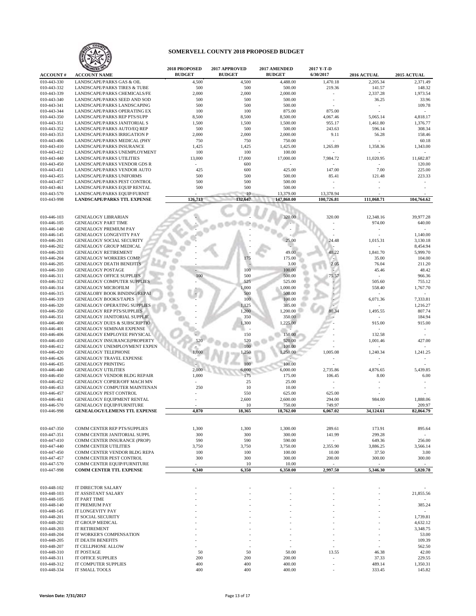

|                            |                                                                          | <b>2018 PROPOSED</b> | 2017 APPROVED  | 2017 AMENDED       | 2017 Y-T-D         |                                |                     |
|----------------------------|--------------------------------------------------------------------------|----------------------|----------------|--------------------|--------------------|--------------------------------|---------------------|
| <b>ACCOUNT#</b>            | <b>ACCOUNT NAME</b>                                                      | <b>BUDGET</b>        | <b>BUDGET</b>  | <b>BUDGET</b>      | 6/30/2017          | 2016 ACTUAL                    | 2015 ACTUAL         |
| 010-443-330                | LANDSCAPE/PARKS GAS & OIL                                                | 4,500                | 4,500          | 4,488.00           | 1,470.18           | 2,205.34                       | 2,371.49            |
| 010-443-332                | LANDSCAPE/PARKS TIRES & TUBE                                             | 500                  | 500            | 500.00             | 219.36             | 141.57                         | 148.32              |
| 010-443-339<br>010-443-340 | LANDSCAPE/PARKS CHEMICALS/FE<br>LANDSCAPE/PARKS SEED AND SOD             | 2,000<br>500         | 2,000<br>500   | 2,000.00<br>500.00 |                    | 2,337.28<br>36.25              | 1,973.54<br>33.96   |
| 010-443-341                | LANDSCAPE/PARKS LANDSCAPING                                              | 500                  | 500            | 500.00             |                    | $\ddot{\phantom{1}}$           | 109.78              |
| 010-443-344                | LANDSCAPE/PARKS OPERATING EX                                             | 100                  | 100            | 875.00             | 875.00             |                                |                     |
| 010-443-350                | LANDSCAPE/PARKS REP PTS/SUPP                                             | 8,500                | 8,500          | 8,500.00           | 4,067.46           | 5,065.14                       | 4,818.17            |
| 010-443-351                | LANDSCAPE/PARKS JANITORIAL S                                             | 1,500                | 1,500          | 1,500.00           | 955.17             | 1,461.80                       | 1,376.77            |
| 010-443-352                | LANDSCAPE/PARKS AUTO/EQ REP                                              | 500                  | 500            | 500.00             | 243.63             | 596.14                         | 308.34              |
| 010-443-353                | LANDSCAPE/PARKS IRRIGATION P                                             | 2,000                | 2,000          | 2,000.00           | 9.11               | 56.28                          | 158.46              |
| 010-443-406                | LANDSCAPE/PARKS MEDICAL (PHY                                             | 750                  | 750            | 750.00             |                    |                                | 60.18               |
| 010-443-410<br>010-443-412 | LANDSCAPE/PARKS INSURANCE<br>LANDSCAPE/PARKS UNEMPLOYMENT                | 1,425<br>100         | 1,425<br>100   | 1,425.00<br>100.00 | 1,265.89           | 1,358.36                       | 1,343.00            |
| 010-443-440                | <b>LANDSCAPE/PARKS UTILITIES</b>                                         | 13,000               | 17,000         | 17,000.00          | 7,984.72           | 11,020.95                      | 11,682.87           |
| 010-443-450                | LANDSCAPE/PARKS VENDOR GDS R                                             |                      | 600            |                    |                    |                                | 120.00              |
| 010-443-451                | LANDSCAPE/PARKS VENDOR AUTO                                              | 425                  | 600            | 425.00             | 147.00             | 7.00                           | 225.00              |
| 010-443-455                | LANDSCAPE/PARKS UNIFORMS                                                 | 500                  | 500            | 500.00             | 85.41              | 121.48                         | 223.33              |
| 010-443-457                | LANDSCAPE/PARKS PEST CONTROL                                             | 500                  | 500            | 500.00             |                    |                                |                     |
| 010-443-461                | LANDSCAPE/PARKS EQUIP RENTAL                                             | 500                  | 500            | 500.00             |                    |                                |                     |
| 010-443-570                | LANDSCAPE/PARKS EQUIP/FURNIT                                             |                      | 10             | 13,379.00          | 13,378.94          |                                |                     |
| 010-443-998                | <b>LANDSCAPE/PARKS TTL EXPENSE</b>                                       | 126,713              | 132,647        | 147,860.00         | 100,726.81         | 111,068.71                     | 104,764.62          |
|                            |                                                                          |                      |                |                    |                    |                                |                     |
| 010-446-103                | <b>GENEALOGY LIBRARIAN</b>                                               |                      |                | 320.00             | 320.00             | 12,348.16                      | 39,977.28           |
| 010-446-105                | <b>GENEALOGY PART TIME</b>                                               |                      |                |                    |                    | 974.00                         | 640.00              |
| 010-446-140                | <b>GENEALOGY PREMIUM PAY</b>                                             |                      |                |                    |                    |                                |                     |
| 010-446-145                | <b>GENEALOGY LONGEVITY PAY</b>                                           |                      |                |                    |                    |                                | 1,140.00            |
| 010-446-201                | <b>GENEALOGY SOCIAL SECURITY</b>                                         |                      |                | 25.00              | 24.48              | 1,015.31                       | 3,130.18            |
| 010-446-202                | GENEALOGY GROUP MEDICAL                                                  |                      |                |                    |                    |                                | 8,454.94            |
| 010-446-203<br>010-446-204 | <b>GENEALOGY RETIREMENT</b><br>GENEALOGY WORKERS COMP                    |                      |                | 49.00<br>175.00    | 48.22              | 1,841.70<br>35.00              | 5,999.70<br>104.00  |
| 010-446-205                | <b>GENEALOGY DEATH BENEFITS</b>                                          |                      | 175            | 3.00               | 2.05               | 76.04                          | 211.20              |
| 010-446-310                | GENEALOGY POSTAGE                                                        |                      | 100            | 100.00             |                    | 45.46                          | 48.42               |
| 010-446-311                | <b>GENEALOGY OFFICE SUPPLIES</b>                                         | 100                  | 500            | 500.00             | 75.57              |                                | 966.36              |
| 010-446-312                | GENEALOGY COMPUTER SUPPLIES                                              |                      | 525            | 525.00             |                    | 505.60                         | 755.12              |
| 010-446-314                | <b>GENEALOGY MICROFILM</b>                                               |                      | 1,000          | 1,000.00           |                    | 558.40                         | 1,767.70            |
| 010-446-315                | <b>GENEALOBY BOOK BINDING/REPAI</b>                                      |                      | 500            | 500.00             |                    |                                |                     |
| 010-446-319                | <b>GENEALOGY BOOKS/TAPES</b>                                             |                      | 100            | 100.00             |                    | 6,071.36                       | 7,333.81            |
| 010-446-320<br>010-446-350 | <b>GENEALOGY OPERATING SUPPLIES</b><br><b>GENEALOGY REP PTS/SUPPLIES</b> |                      | 1,125<br>1,200 | 385.00<br>1,200.00 | 80.34              | 1,495.55                       | 1,216.27<br>807.74  |
| 010-446-351                | <b>GENEALOGY JANITORIAL SUPPLIE</b>                                      |                      | 350            | 350.00             |                    |                                | 184.94              |
| 010-446-400                | <b>GENEALOGY DUES &amp; SUBSCRIPTIO</b>                                  |                      | 1,300          | 1,225.00           |                    | 915.00                         | 915.00              |
| 010-446-401                | <b>GENEALOGY SEMINAR EXPENSE</b>                                         |                      |                |                    |                    |                                |                     |
| 010-446-406                | <b>GENEALOGY EMPLOYEE PHYSICAL</b>                                       |                      | 150            | 150.00             |                    | 132.58                         |                     |
| 010-446-410                | <b>GENEALOGY INSURANCE(PROPERTY</b>                                      | 520                  | 520            | 520.00             |                    | 1,001.46                       | 427.00              |
| 010-446-412                | GENEALOGY UNEMPLOYMENT EXPEN                                             |                      | 100            | 100.00             |                    |                                |                     |
| 010-446-420                | <b>GENEALOGY TELEPHONE</b>                                               | 1.000                | 1,250          | 1,250.00           | 1,005.08           | 1,240.34                       | 1,241.25            |
| 010-446-426<br>010-446-435 | <b>GENEALOGY TRAVEL EXPENSE</b><br><b>GENEALOGY PRINTING</b>             |                      | 100            | $\sim$<br>100.00   |                    |                                |                     |
| 010-446-440                | <b>GENEALOGY UTILITIES</b>                                               | 2,000                | 6,000          | 6,000.00           | 2,735.86           | 4,876.65                       | 5,439.85            |
| 010-446-450                | <b>GENEALOGY VENDOR BLDG REPAIR</b>                                      | 1,000                | 175            | 175.00             | 106.45             | 8.00                           | 6.00                |
| 010-446-452                | GENEALOGY COPIER/OFF MACH MN                                             |                      | 25             | 25.00              |                    |                                |                     |
| 010-446-453                | <b>GENEALOGY COMPUTER MAINTENAN</b>                                      | 250                  | 10             | 10.00              |                    |                                |                     |
| 010-446-457                | <b>GENEALOGY PEST CONTROL</b>                                            |                      | 550            | 625.00             | 625.00             |                                |                     |
| 010-446-461                | GENEALOGY EQUIPMENT RENTAL                                               |                      | 2,600          | 2,600.00           | 294.00             | 984.00                         | 1,888.06            |
| 010-446-570                | <b>GENEALOGY EQUIP/FURNITURE</b>                                         | 4,870                | 10             | 750.00             | 749.97<br>6,067.02 |                                | 209.97<br>82,864.79 |
| 010-446-998                | <b>GENEALOGY/LEMENS TTL EXPENSE</b>                                      |                      | 18,365         | 18,762.00          |                    | 34,124.61                      |                     |
|                            |                                                                          |                      |                |                    |                    |                                |                     |
| 010-447-350                | COMM CENTER REP PTS/SUPPLIES                                             | 1,300                | 1,300          | 1,300.00           | 289.61             | 173.91                         | 895.64              |
| 010-447-351                | COMM CENTER JANITORIAL SUPPL                                             | 300                  | 300            | 300.00             | 141.99             | 299.28                         |                     |
| 010-447-410                | COMM CENTER INSURANCE (PROP)                                             | 590                  | 590            | 590.00             | $\sim$             | 649.36                         | 256.00              |
| 010-447-440                | COMM CENTER UTILITIES                                                    | 3,750                | 3,750          | 3,750.00           | 2,355.90           | 3,886.25                       | 3,566.14            |
| 010-447-450                | COMM CENTER VENDOR BLDG REPA                                             | 100                  | 100            | 100.00             | 10.00              | 37.50                          | 3.00                |
| 010-447-457<br>010-447-570 | COMM CENTER PEST CONTROL<br>COMM CENTER EQUIP/FURNITURE                  | 300                  | 300<br>10      | 300.00<br>10.00    | 200.00             | 300.00<br>$\ddot{\phantom{1}}$ | 300.00              |
| 010-447-998                | <b>COMM CENTER TTL EXPENSE</b>                                           | 6,340                | 6,350          | 6,350.00           | 2,997.50           | 5,346.30                       | 5,020.78            |
|                            |                                                                          |                      |                |                    |                    |                                |                     |
|                            |                                                                          |                      |                |                    |                    |                                |                     |
| 010-448-102                | IT DIRECTOR SALARY                                                       |                      |                |                    |                    |                                |                     |
| 010-448-103                | IT ASSISTANT SALARY                                                      |                      |                |                    |                    |                                | 21,855.56           |
| 010-448-105<br>010-448-140 | IT PART TIME<br>IT PREMIUM PAY                                           |                      |                |                    |                    |                                | 385.24              |
| 010-448-145                | IT LONGEVITY PAY                                                         |                      |                |                    |                    |                                |                     |
| 010-448-201                | IT SOCIAL SECURITY                                                       |                      |                |                    |                    |                                | 1,739.81            |
| 010-448-202                | IT GROUP MEDICAL                                                         |                      |                |                    |                    |                                | 4,632.12            |
| 010-448-203                | IT RETIREMENT                                                            |                      |                |                    |                    |                                | 3,348.75            |
| 010-448-204                | IT WORKER'S COMPENSATION                                                 |                      |                |                    |                    |                                | 53.00               |
| 010-448-205                | IT DEATH BENEFITS                                                        |                      |                |                    |                    |                                | 109.39              |
| 010-448-207                | IT CELLPHONE ALLOW                                                       |                      |                |                    |                    |                                | 562.50              |

IT SMALL TOOLS

010-448-205 IT DEATH BENEFITS 109.39<br>010-448-207 IT CELLPHONE ALLOW 562.50 010-448-207 IT CELLPHONE ALLOW - - - - - 562.50 010-448-310 IT POSTAGE 42.00 50 50 50.00 50.00 13.55 46.38 42.00 010-448-311 IT OFFICE SUPPLIES 200 200 200 200.00 - 37.33 229.55<br>
010-448-312 IT COMPUTER SUPPLIES 400 400 400.00 - 489.14 1,350.31<br>
010-448-334 IT SMALL TOOLS 400 400 400.00 - 333.45 145.82 010-448-312 IT COMPUTER SUPPLIES 400 400 400.00 - 489.14 1,350.31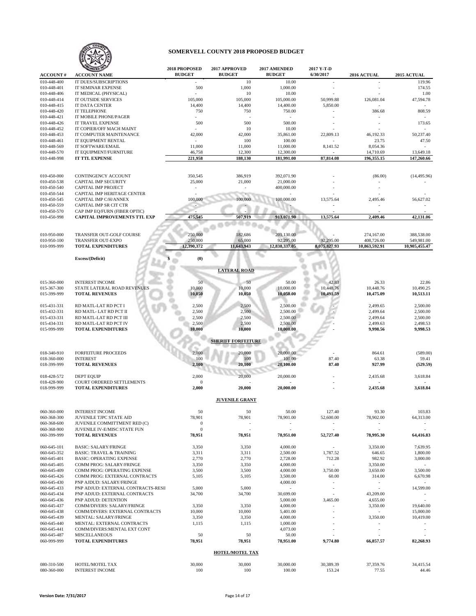

| <b>ACCOUNT#</b>            | <b>ACCOUNT NAME</b>                                       | 2018 PROPOSED<br><b>BUDGET</b> | 2017 APPROVED<br><b>BUDGET</b> | 2017 AMENDED<br><b>BUDGET</b> | 2017 Y-T-D<br>6/30/2017  | 2016 ACTUAL   | 2015 ACTUAL      |
|----------------------------|-----------------------------------------------------------|--------------------------------|--------------------------------|-------------------------------|--------------------------|---------------|------------------|
| 010-448-400                | IT DUES/SUBSCRIPTIONS                                     |                                | 10                             | 10.00                         |                          |               | 119.96           |
| 010-448-401                | <b>IT SEMINAR EXPENSE</b>                                 | 500                            | 1,000                          | 1,000.00                      |                          |               | 174.55           |
| 010-448-406                | IT MEDICAL (PHYSICAL)                                     |                                | 10                             | 10.00                         |                          |               | 1.00             |
| 010-448-414                | IT OUTSIDE SERVICES                                       | 105,000                        | 105,000                        | 105,000.00                    | 50,999.88                | 126,081.04    | 47,594.78        |
| 010-448-415                | IT DATA CENTER                                            | 14,400                         | 14,400                         | 14,400.00                     | 5,850.00                 |               |                  |
| 010-448-420                | <b>IT TELEPHONE</b>                                       | 750                            | 750                            | 750.00                        |                          | 386.68        | 808.59           |
| 010-448-421                | IT MOBILE PHONE/PAGER                                     | $\sim$                         |                                | $\sim$                        |                          |               |                  |
| 010-448-426<br>010-448-452 | IT TRAVEL EXPENSE<br>IT COPIER/OFF MACH MAINT             | 500                            | 500<br>10                      | 500.00<br>10.00               |                          |               | 173.65<br>$\sim$ |
| 010-448-453                | IT COMPUTER MAINTENANCE                                   | 42,000                         | 42,000                         | 35,861.00                     | 22,809.13                | 46,192.33     | 50,237.40        |
| 010-448-461                | IT EQUIPMENT RENTAL                                       | $\sim$                         | 100                            | 100.00                        |                          | 23.75         | 47.50            |
| 010-448-569                | IT SOFTWARE/EMAIL                                         | 11,000                         | 11,000                         | 11,000.00                     | 8,141.52                 | 8,054.36      |                  |
| 010-448-570                | IT EQUIPMENT/FURNITURE                                    | 46,758                         | 12,300                         | 12,300.00                     |                          | 14,710.69     | 13,649.18        |
| 010-448-998                | IT TTL EXPENSE                                            | 221,958                        | 188,130                        | 181,991.00                    | 87,814.08                | 196,355.15    | 147,260.66       |
|                            |                                                           |                                |                                |                               |                          |               |                  |
| 010-450-000                | CONTINGENCY ACCOUNT                                       | 350,545                        | 386,919                        | 392,071.90                    |                          | (86.00)       | (14, 495.96)     |
| 010-450-538                | <b>CAPITAL IMP SECURITY</b>                               | 25,000                         | 21,000                         | 21,000.00                     |                          |               |                  |
| 010-450-540                | <b>CAPITAL IMP PROJECT</b>                                |                                |                                | 400,000.00                    |                          |               |                  |
| 010-450-544                | CAPITAL IMP HERITAGE CENTER                               |                                |                                |                               |                          |               |                  |
| 010-450-545                | CAPITAL IMP C/H/ANNEX                                     | 100,000                        | 100,000                        | 100,000.00                    | 13,575.64                | 2,495.46      | 56,627.02        |
| 010-450-559                | CAPITAL IMP SR CIT CTR                                    |                                |                                |                               |                          |               |                  |
| 010-450-570                | CAP IMP EQ/FURN (FIBER OPTIC)                             |                                |                                |                               |                          |               |                  |
| 010-450-998                | <b>CAPITAL IMPROVEMENTS TTL EXP</b>                       | 475,545                        | 507,919                        | 913,071.90                    | 13,575.64                | 2,409.46      | 42,131.06        |
|                            |                                                           |                                |                                |                               |                          |               |                  |
| 010-950-000                | TRANSFER OUT-GOLF COURSE                                  | 250,000                        | 182,686                        | 201,130.00                    |                          | 274,167.00    | 388,538.00       |
| 010-950-100                | <b>TRANSFER OUT-EXPO</b>                                  | 250,000                        | 65,000                         | 92,295.00                     | 92,295.00                | 408,726.00    | 549,981.00       |
| 010-999-999                | <b>TOTAL EXPENDITURES</b>                                 | 12.390.372                     | 11,643,943                     | 12,838,337.05                 | 8,075,827.93             | 10,863,592.91 | 10,905,455.47    |
|                            | <b>Excess/(Deficit)</b>                                   | (0)                            |                                |                               |                          |               |                  |
|                            |                                                           |                                |                                |                               |                          |               |                  |
|                            |                                                           |                                | <b>LATERAL ROAD</b>            |                               |                          |               |                  |
|                            |                                                           |                                |                                |                               |                          |               |                  |
| 015-360-000                | <b>INTEREST INCOME</b>                                    | 50                             | 50                             | 50.00                         | 42.83                    | 26.33         | 22.86            |
| 015-367-300                | STATE LATERAL ROAD REVENUES                               | 10,000                         | 10,000                         | 10,000.00                     | 10,448.76                | 10,448.76     | 10,490.25        |
| 015-399-999                | <b>TOTAL REVENUES</b>                                     | 10,050                         | 10,050                         | 10,050.00                     | 10,491.59                | 10,475.09     | 10,513.11        |
| 015-431-331                | RD MATL-LAT RD PCT I                                      | 2,500                          | 2,500                          | 2,500.00                      |                          | 2,499.65      | 2,500.00         |
| 015-432-331                | RD MATL-LAT RD PCT II                                     | 2,500                          | 2,500                          | 2,500.00                      |                          | 2,499.64      | 2,500.00         |
| 015-433-331                | RD MATL-LAT RD PCT III                                    | 2,500                          | 2,500                          | 2,500.00                      |                          | 2,499.64      | 2,500.00         |
| 015-434-331                | RD MATL-LAT RD PCT IV                                     | 2,500                          | 2,500                          | 2,500.00                      |                          | 2,499.63      | 2,498.53         |
| 015-999-999                | <b>TOTAL EXPENDITURES</b>                                 | 10,000                         | 10,000                         | 10,000.00                     |                          | 9,998.56      | 9,998.53         |
|                            |                                                           |                                |                                |                               |                          |               |                  |
|                            |                                                           |                                | <b>SHERIFF FORFEITURE</b>      |                               |                          |               |                  |
| 018-340-910                | <b>FORFEITURE PROCEEDS</b>                                | 2,000                          | 20,000                         | 20,000.00                     |                          | 864.61        | (589.00)         |
| 018-360-000                | <b>INTEREST</b>                                           | 100                            | 100                            | 100.00                        | 87.40                    | 63.38         | 59.41            |
| 018-399-999                | <b>TOTAL REVENUES</b>                                     | 2,100                          | 20,100                         | 20,100.00                     | 87.40                    | 927.99        | (529.59)         |
|                            |                                                           |                                |                                |                               |                          |               |                  |
| 018-428-572<br>018-428-900 | <b>DEPT EQUIP</b><br>COURT ORDERED SETTLEMENTS            | 2,000<br>$\boldsymbol{0}$      | 20,000                         | 20,000.00                     |                          | 2,435.68      | 3,618.84         |
| 018-999-999                | <b>TOTAL EXPENDITURES</b>                                 | 2,000                          | 20,000                         | 20,000.00                     |                          | 2,435.68      | 3,618.84         |
|                            |                                                           |                                |                                |                               |                          |               |                  |
|                            |                                                           |                                | <b>JUVENILE GRANT</b>          |                               |                          |               |                  |
| 060-360-000                | <b>INTEREST INCOME</b>                                    | 50                             | 50                             | 50.00                         | 127.40                   | 93.30         | 103.83           |
| 060-368-300                | JUVENILE TJPC STATE AID                                   | 78,901                         | 78,901                         | 78,901.00                     | 52,600.00                | 78,902.00     | 64,313.00        |
| 060-368-600                | JUVENILE COMMITTMENT RED (C)                              | $\mathbf{0}$                   |                                | $\overline{\phantom{a}}$      | $\overline{\phantom{a}}$ |               |                  |
| 060-368-900                | JUVENILE IV-E/MISC STATE FUN                              | $\boldsymbol{0}$               |                                | $\overline{\phantom{a}}$      |                          |               |                  |
| 060-399-999                | <b>TOTAL REVENUES</b>                                     | 78,951                         | 78,951                         | 78,951.00                     | 52,727.40                | 78,995.30     | 64,416.83        |
|                            |                                                           |                                |                                |                               |                          |               |                  |
| 060-645-101                | <b>BASIC: SALARY/FRINGE</b>                               | 3,350                          | 3,350                          | 4,000.00                      | ÷.                       | 3,350.00      | 7,639.95         |
| 060-645-352                | <b>BASIC: TRAVEL &amp; TRAINING</b>                       | 3,311                          | 3,311                          | 2,500.00                      | 1,787.52                 | 646.65        | 1,800.00         |
| 060-645-401                | <b>BASIC: OPERATING EXPENSE</b>                           | 2,770                          | 2,770                          | 2,728.00                      | 712.28                   | 982.92        | 3,000.00         |
| 060-645-405                | COMM PROG: SALARY/FRINGE                                  | 3,350                          | 3,350                          | 4,000.00                      | ÷.                       | 3,350.00      | $\sim$           |
| 060-645-409                | COMM PROG: OPERATING EXPENSE                              | 3,500                          | 3,500                          | 4,000.00                      | 3,750.00                 | 3,650.00      | 3,500.00         |
| 060-645-426<br>060-645-430 | COMM PROG: EXTERNAL CONTRACTS<br>PNP AJDUD: SALARY/FRINGE | 5,105                          | 5,105                          | 3,500.00<br>4,000.00          | 60.00                    | 314.00        | 6,670.98         |
| 060-645-433                | PNP ADJUD: EXTERNAL CONTRACTS-RESI                        | 5,000                          | 5,000                          | $\sim$                        | $\bar{\phantom{a}}$      | $\sim$        | 14,599.00        |
| 060-645-434                | PNP ADJUD: EXTERNAL CONTRACTS                             | 34,700                         | 34,700                         | 30,699.00                     | $\sim$                   | 43,209.00     |                  |
| 060-645-436                | PNP ADJUD: DETENTION                                      |                                |                                | 5,000.00                      | 3,465.00                 | 4,655.00      |                  |
| 060-645-437                | COMM/DIVERS: SALARY/FRINGE                                | 3,350                          | 3,350                          | 4,000.00                      |                          | 3,350.00      | 19,640.00        |
| 060-645-438                | COMM/DIVERS: EXTERNAL CONTRACTS                           | 10,000                         | 10,000                         | 5,401.00                      | $\overline{a}$           | $\sim$        | 15,000.00        |
| 060-645-439                | MENTAL: SALARY/FRINGE                                     | 3,350                          | 3,350                          | 4,000.00                      | $\ddot{\phantom{1}}$     | 3,350.00      | 10,419.00        |
| 060-645-440                | MENTAL: EXTERNAL CONTRACTS                                | 1,115                          | 1,115                          | 1,000.00                      | ä,                       |               |                  |
| 060-645-441                | COMM/DIVERS:MENTAL EXT CONT                               |                                |                                | 4,073.00                      | $\overline{a}$           | ÷,            |                  |
| 060-645-487                | <b>MISCELLANEOUS</b>                                      | 50                             | 50                             | 50.00                         |                          |               |                  |
| 060-999-999                | <b>TOTAL EXPENDITURES</b>                                 | 78,951                         | 78,951                         | 78,951.00                     | 9,774.80                 | 66,857.57     | 82,268.93        |
|                            |                                                           |                                | <b>HOTEL/MOTEL TAX</b>         |                               |                          |               |                  |
|                            |                                                           |                                |                                |                               |                          |               |                  |
| 080-310-500                | HOTEL/MOTEL TAX                                           | 30,000                         | 30,000                         | 30,000.00                     | 30,389.39                | 37,359.76     | 34,415.54        |
| 080-360-000                | <b>INTEREST INCOME</b>                                    | 100                            | 100                            | 100.00                        | 153.24                   | 77.55         | 44.46            |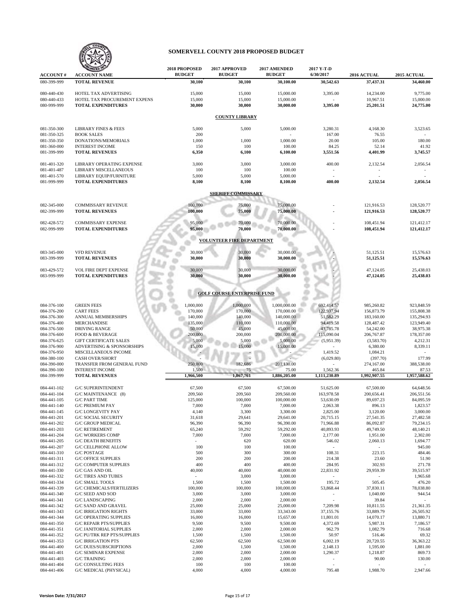

|                            | <b>NIZED</b>                                                  | 2018 PROPOSED     | 2017 APPROVED                      | 2017 AMENDED            | 2017 Y-T-D               |                          |                         |  |  |  |
|----------------------------|---------------------------------------------------------------|-------------------|------------------------------------|-------------------------|--------------------------|--------------------------|-------------------------|--|--|--|
| <b>ACCOUNT#</b>            | <b>ACCOUNT NAME</b>                                           | <b>BUDGET</b>     | <b>BUDGET</b>                      | <b>BUDGET</b>           | 6/30/2017                | 2016 ACTUAL              | 2015 ACTUAL             |  |  |  |
| 080-399-999                | <b>TOTAL REVENUE</b>                                          | 30,100            | 30,100                             | 30,100.00               | 30,542.63                | 37,437.31                | 34,460.00               |  |  |  |
| 080-440-430                | HOTEL TAX ADVERTISING                                         | 15,000            | 15,000                             | 15,000.00               | 3,395.00                 | 14,234.00                | 9,775.00                |  |  |  |
| 080-440-433                | HOTEL TAX PROCUREMENT EXPENS                                  | 15,000            | 15,000                             | 15,000.00               |                          | 10,967.51                | 15,000.00               |  |  |  |
| 080-999-999                | <b>TOTAL EXPENDITURES</b>                                     | 30,000            | 30,000                             | 30,000.00               | 3,395.00                 | 25,201.51                | 24,775.00               |  |  |  |
|                            |                                                               |                   |                                    |                         |                          |                          |                         |  |  |  |
|                            | <b>COUNTY LIBRARY</b>                                         |                   |                                    |                         |                          |                          |                         |  |  |  |
| 081-350-300                | <b>LIBRARY FINES &amp; FEES</b>                               | 5,000             | 5,000                              | 5,000.00                | 3,280.31                 | 4,168.30                 | 3,523.65                |  |  |  |
| 081-350-325                | <b>BOOK SALES</b>                                             | 200               |                                    |                         | 167.00                   | 76.55                    |                         |  |  |  |
| 081-350-350                | DONATIONS/MEMORIALS                                           | 1,000             | 1,000                              | 1,000.00                | 20.00                    | 105.00                   | 180.00                  |  |  |  |
| 081-360-000<br>081-399-999 | <b>INTEREST INCOME</b><br><b>TOTAL REVENUES</b>               | 150<br>6,350      | 100<br>6,100                       | 100.00<br>6,100.00      | 84.25<br>3,551.56        | 52.14<br>4,401.99        | 41.92<br>3,745.57       |  |  |  |
|                            |                                                               |                   |                                    |                         |                          |                          |                         |  |  |  |
| 081-401-320                | LIBRARY OPERATING EXPENSE                                     | 3,000             | 3,000                              | 3,000.00                | 400.00                   | 2,132.54                 | 2,056.54                |  |  |  |
| 081-401-487<br>081-401-570 | LIBRARY MISCELLANEOUS<br>LIBRARY EQUIP/FURNITURE              | 100<br>5,000      | 100<br>5,000                       | 100.00<br>5,000.00      |                          |                          |                         |  |  |  |
| 081-999-999                | <b>TOTAL EXPENDITURES</b>                                     | 8,100             | 8,100                              | 8,100.00                | 400.00                   | 2,132.54                 | 2,056.54                |  |  |  |
|                            |                                                               |                   |                                    |                         |                          |                          |                         |  |  |  |
| <b>SHERIFF COMMISSARY</b>  |                                                               |                   |                                    |                         |                          |                          |                         |  |  |  |
| 082-345-000                | <b>COMMISSARY REVENUE</b>                                     | 100,000           | 75,000                             | 75,000.00               |                          | 121,916.53               | 128,520.77              |  |  |  |
| 082-399-999                | <b>TOTAL REVENUES</b>                                         | 100,000           | 75,000                             | 75,000.00               |                          | 121,916.53               | 128,520.77              |  |  |  |
| 082-428-572                | <b>COMMISSARY EXPENSE</b>                                     | 95,000            | 70,000                             | 70,000.00               |                          | 108,451.94               | 121,412.17              |  |  |  |
| 082-999-999                | <b>TOTAL EXPENDITURES</b>                                     | 95,000            | 70,000                             | 70,000.00               |                          | 108,451.94               | 121,412.17              |  |  |  |
|                            |                                                               |                   |                                    |                         |                          |                          |                         |  |  |  |
|                            |                                                               |                   | <b>VOLUNTEER FIRE DEPARTMENT</b>   |                         |                          |                          |                         |  |  |  |
| 083-345-000                | <b>VFD REVENUE</b>                                            | 30,000            | 30,000                             | 30,000.00               |                          | 51,125.51                | 15,576.63               |  |  |  |
| 083-399-999                | <b>TOTAL REVENUES</b>                                         | 30,000            | 30,000                             | 30,000.00               |                          | 51,125.51                | 15,576.63               |  |  |  |
| 083-429-572                |                                                               |                   |                                    |                         |                          |                          | 25,438.03               |  |  |  |
| 083-999-999                | <b>VOL FIRE DEPT EXPENSE</b><br><b>TOTAL EXPENDITURES</b>     | 30,000<br>30,000  | 30,000<br>30,000                   | 30,000.00<br>30,000.00  |                          | 47,124.05<br>47,124.05   | 25,438.03               |  |  |  |
|                            |                                                               |                   |                                    |                         |                          |                          |                         |  |  |  |
|                            |                                                               |                   |                                    |                         |                          |                          |                         |  |  |  |
|                            |                                                               |                   | <b>GOLF COURSE ENTERPRISE FUND</b> |                         |                          |                          |                         |  |  |  |
| 084-376-100                | <b>GREEN FEES</b>                                             | 1,000,000         | 1,000,000                          | 1,000,000.00            | 692,414.57               | 985,260.82               | 923,848.59              |  |  |  |
| 084-376-200                | <b>CART FEES</b>                                              | 170,000           | 170,000                            | 170,000.00              | 122,937.94               | 156,873.79               | 155,808.38              |  |  |  |
| 084-376-300                | ANNUAL MEMBERSHIPS                                            | 140,000           | 140,000                            | 140,000.00              | 51,582.29                | 183,160.00               | 135,294.93              |  |  |  |
| 084-376-400<br>084-376-500 | MERCHANDISE<br><b>DRIVING RANGE</b>                           | 135,000<br>50,000 | 110,000<br>45,000                  | 110,000.00<br>45,000.00 | 94,419.58<br>43,785.78   | 128,487.42<br>54,242.00  | 123,949.40<br>38,975.38 |  |  |  |
| 084-376-600                | <b>FOOD &amp; BEVERAGE</b>                                    | 200,000           | 200,000                            | 200,000.00              | 115,090.04               | 206,767.87               | 178,357.00              |  |  |  |
| 084-376-625                | <b>GIFT CERTIFICATE SALES</b>                                 | 5,000             | 5,000                              | 5,000.00                | (5,951.39)               | (3,583.70)               | 4,212.31                |  |  |  |
| 084-376-900                | ADVERTISING & SPONSORSHIPS                                    | 15,000            | 15,000                             | 15,000.00               |                          | 6,380.00                 | 8,339.11                |  |  |  |
| 084-376-950<br>084-380-100 | MISCELLANEOUS INCOME<br><b>CASH OVER/SHORT</b>                |                   |                                    |                         | 1,419.52<br>(6,029.80)   | 1,084.21<br>(397.70)     | 177.99                  |  |  |  |
| 084-390-000                | <b>TRANSFER FROM GENERAL FUND</b>                             | 250,000           | 182,686                            | 201,130.00              |                          | 274,167.00               | 388,538.00              |  |  |  |
| 084-390-100                | <b>INTEREST INCOME</b>                                        | 1,500             | 75                                 | 75.00                   | 1,562.36                 | 465.84                   | 87.53                   |  |  |  |
| 084-399-999                | <b>TOTAL REVENUES</b>                                         | 1,966,500         | 1,867,761                          | 1,886,205.00            | 1,111,230.89             | 1,992,907.55             | 1,957,588.62            |  |  |  |
| 084-441-102                | <b>G/C SUPERINTENDENT</b>                                     | 67,500            | 67,500                             | 67,500.00               | 51,625.00                | 67,500.00                | 64,648.56               |  |  |  |
| 084-441-104                | G/C MAINTENANCE (8)                                           | 209,560           | 209,560                            | 209,560.00              | 163,978.58               | 200,656.41               | 206,551.56              |  |  |  |
| 084-441-105                | <b>G/C PART TIME</b>                                          | 125,000           | 100,000                            | 100,000.00              | 53,630.09                | 89,697.23                | 84,095.59               |  |  |  |
| 084-441-140                | <b>G/C PREMIUM PAY</b>                                        | 7,000             | 7,000                              | 7,000.00                | 2,063.38                 | 896.13                   | 1,823.57                |  |  |  |
| 084-441-145<br>084-441-201 | <b>G/C LONGEVITY PAY</b><br><b>G/C SOCIAL SECURITY</b>        | 4,140<br>31,618   | 3,300<br>29,641                    | 3,300.00<br>29,641.00   | 2,825.00<br>20,715.15    | 3,120.00<br>27,541.35    | 3,000.00<br>27,482.58   |  |  |  |
| 084-441-202                | <b>G/C GROUP MEDICAL</b>                                      | 96,390            | 96,390                             | 96,390.00               | 71,966.88                | 86,092.87                | 79,234.15               |  |  |  |
| 084-441-203                | <b>G/C RETIREMENT</b>                                         | 65,240            | 59,292                             | 59,292.00               | 40,893.93                | 49,749.50                | 48,140.21               |  |  |  |
| 084-441-204                | <b>G/C WORKERS COMP</b>                                       | 7,000             | 7,000                              | 7,000.00                | 2,177.00                 | 1,951.00                 | 2,302.00                |  |  |  |
| 084-441-205                | <b>G/C DEATH BENEFITS</b>                                     |                   | 620                                | 620.00                  | 546.02                   | 2,060.13                 | 1,694.77                |  |  |  |
| 084-441-207<br>084-441-310 | <b>G/C CELLPHONE ALLOW</b><br>G/C POSTAGE                     | 100<br>500        | 100<br>300                         | 100.00<br>300.00        | $\sim$<br>108.31         | $\sim$<br>223.15         | 945.00<br>484.46        |  |  |  |
| 084-441-311                | <b>G/C OFFICE SUPPLIES</b>                                    | 200               | 200                                | 200.00                  | 214.38                   | 23.60                    | 51.90                   |  |  |  |
| 084-441-312                | <b>G/C COMPUTER SUPPLIES</b>                                  | 400               | 400                                | 400.00                  | 284.95                   | 302.93                   | 271.78                  |  |  |  |
| 084-441-330                | G/C GAS AND OIL                                               | 40,000            | 40,000                             | 40,000.00               | 22,831.92                | 29,959.39                | 39,515.97               |  |  |  |
| 084-441-332<br>084-441-334 | <b>G/C TIRES AND TUBES</b><br><b>G/C SMALL TOOLS</b>          |                   | 3,000                              | 3,000.00                | $\bar{\phantom{a}}$      | $\sim$                   | 1,965.68                |  |  |  |
| 084-441-339                | G/C CHEMICALS/FERTILIZERS                                     | 1,500<br>100,000  | 1,500<br>100,000                   | 1,500.00<br>100,000.00  | 195.72<br>53,868.44      | 505.45<br>37,830.11      | 476.20<br>78,038.80     |  |  |  |
| 084-441-340                | G/C SEED AND SOD                                              | 3,000             | 3,000                              | 3,000.00                | $\blacksquare$           | 1,040.00                 | 944.54                  |  |  |  |
| 084-441-341                | <b>G/C LANDSCAPING</b>                                        | 2,000             | 2,000                              | 2,000.00                | $\sim$                   | 39.84                    | $\sim$                  |  |  |  |
| 084-441-342                | <b>G/C SAND AND GRAVEL</b>                                    | 25,000            | 25,000                             | 25,000.00               | 7,209.98                 | 10,811.55                | 21,361.35               |  |  |  |
| 084-441-343<br>084-441-344 | <b>G/C IRRIGATION RIGHTS</b><br><b>G/C OPERATING SUPPLIES</b> | 33,000<br>16,000  | 33,000<br>16,000                   | 33,343.00<br>15,657.00  | 37,155.76<br>11,801.01   | 33,889.79<br>14,070.17   | 26,505.92<br>13,880.71  |  |  |  |
| 084-441-350                | <b>G/C REPAIR PTS/SUPPLIES</b>                                | 9,500             | 9,500                              | 9,500.00                | 4,372.69                 | 5,987.31                 | 7,186.57                |  |  |  |
| 084-441-351                | <b>G/C JANITORIAL SUPPLIES</b>                                | 2,000             | 2,000                              | 2,000.00                | 962.79                   | 1,082.79                 | 716.68                  |  |  |  |
| 084-441-352                | G/C PU/TRK REP PTS/SUPPLIES                                   | 1,500             | 1,500                              | 1,500.00                | 50.97                    | 516.46                   | 69.32                   |  |  |  |
| 084-441-353<br>084-441-400 | <b>G/C IRRIGATION PTS</b><br><b>G/C DUES/SUBSCRIPTIONS</b>    | 62,500<br>2,000   | 62,500<br>1,500                    | 62,500.00               | 6,002.19                 | 20,720.55                | 36,363.22<br>1,881.00   |  |  |  |
| 084-441-401                | <b>G/C SEMINAR EXPENSE</b>                                    | 2,000             | 2,000                              | 1,500.00<br>2,000.00    | 2,148.13<br>1,290.37     | 1,595.00<br>1,218.87     | 869.73                  |  |  |  |
| 084-441-403                | <b>G/C TRAINING</b>                                           | 2,000             | 2,000                              | 2,000.00                | $\overline{\phantom{a}}$ | 90.00                    | 130.00                  |  |  |  |
| 084-441-404                | G/C CONSULTING FEES                                           | 100               | 100                                | 100.00                  | $\overline{\phantom{a}}$ | $\overline{\phantom{a}}$ |                         |  |  |  |
| 084-441-406                | G/C MEDICAL (PHYSICAL)                                        | 4,000             | 4,000                              | 4,000.00                | 795.48                   | 1,988.70                 | 2,947.66                |  |  |  |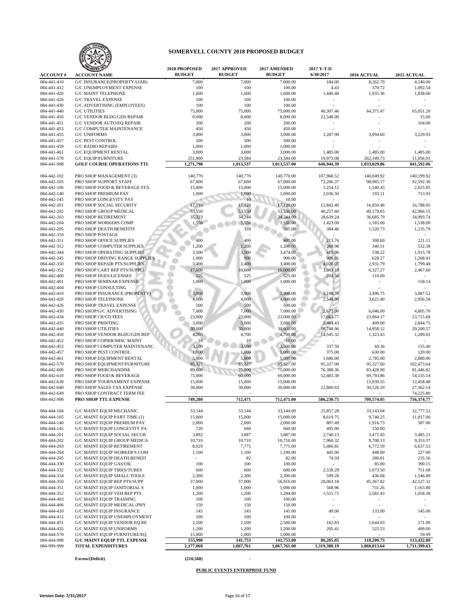

| <b>ACCOUNT#</b>            | ANIZED 10                                                             | 2018 PROPOSED<br><b>BUDGET</b> | <b>2017 APPROVED</b><br><b>BUDGET</b> | 2017 AMENDED<br><b>BUDGET</b> | 2017 Y-T-D<br>6/30/2017              | 2016 ACTUAL                | 2015 ACTUAL                |
|----------------------------|-----------------------------------------------------------------------|--------------------------------|---------------------------------------|-------------------------------|--------------------------------------|----------------------------|----------------------------|
| 084-441-410                | <b>ACCOUNT NAME</b><br><b>G/C INSURANCE(PROPERTY/LIAB)</b>            | 7,000                          | 7,000                                 | 7,000.00                      | 184.00                               | 8,262.70                   | 4,140.00                   |
| 084-441-412                | <b>G/C UNEMPLOYMENT EXPENSE</b>                                       | 100                            | 100                                   | 100.00                        | 4.43                                 | 370.72                     | 1,092.54                   |
| 084-441-420                | <b>G/C MAINT TELEPHONE</b>                                            | 1,600                          | 1,600                                 | 1,600.00                      | 1,440.40                             | 1,935.36                   | 1,838.00                   |
| 084-441-426                | <b>G/C TRAVEL EXPENSE</b>                                             | 100                            | 100                                   | 100.00                        |                                      |                            |                            |
| 084-441-430                | G/C ADVERTISING (EMPLOYEES)                                           | 100                            | 100                                   | 100.00                        |                                      |                            |                            |
| 084-441-440                | <b>G/C UTILITIES</b>                                                  | 75,000                         | 75,000                                | 75,000.00                     | 40,307.46                            | 64,371.47                  | 65,051.20                  |
| 084-441-450<br>084-441-451 | <b>G/C VENDOR BLDG/GDS REPAIR</b><br><b>G/C VENDOR AUTO/EQ REPAIR</b> | 8,000<br>200                   | 8,000<br>200                          | 8,000.00<br>200.00            | 22,548.00                            |                            | 15.00<br>104.00            |
| 084-441-453                | <b>G/C COMPUTER MAINTENANCE</b>                                       | 450                            | 450                                   | 450.00                        |                                      |                            |                            |
| 084-441-455                | <b>G/C UNIFORMS</b>                                                   | 3,000                          | 3,000                                 | 3,000.00                      | 1,287.90                             | 3,094.60                   | 3,229.93                   |
| 084-441-457                | <b>G/C PEST CONTROL</b>                                               | 500                            | 500                                   | 500.00                        |                                      |                            |                            |
| 084-441-459                | <b>G/C RADIO REPAIRS</b>                                              | 1,000                          | 1,000                                 | 1,000.00                      |                                      |                            |                            |
| 084-441-461                | <b>G/C EQUIPMENT RENTAL</b>                                           | 3,000                          | 3,000                                 | 3,000.00                      | 1,485.00                             | 1,485.00                   | 1,485.00                   |
| 084-441-570                | <b>G/C EQUIP/FURNITURE</b><br><b>GOLF COURSE OPERATIONS TTL</b>       | 251,000                        | 23,584                                | 23,584.00                     | 19,973.08                            | 262,349.73                 | 11,056.91                  |
| 084-441-998                |                                                                       | 1,271,798                      | 1,013,537                             | 1,013,537.00                  | 646,944.39                           | 1,033,029.86               | 841,592.06                 |
| 084-442-102                | PRO SHOP MANAGEMENT (3)                                               | 140,770                        | 140,770                               | 140,770.00                    | 107,968.52                           | 140,049.92                 | 140,199.92                 |
| 084-442-105                | PRO SHOP SUPPORT STAFF                                                | 67,000                         | 67,000                                | 67,000.00                     | 72,206.37                            | 98,985.17                  | 92,592.30                  |
| 084-442-106                | PRO SHOP FOOD & BEVERAGE STA                                          | 15,000                         | 15,000                                | 15,000.00                     | 1,254.12                             | 1,540.43                   | 2,025.85                   |
| 084-442-140                | PRO SHOP PREMIUM PAY                                                  | 1,000                          | 1,000                                 | 1,000.00                      | 2,036.50                             | 193.11                     | 713.93                     |
| 084-442-145<br>084-442-201 | PRO SHOP LONGEVITY PAY<br>PRO SHOP SOCIAL SECURITY                    | 17,119                         | 17,120                                | 10.00<br>17,120.00            | 12,842.40                            | 16,850.46                  | 16,788.95                  |
| 084-442-202                | PRO SHOP GROUP MEDICAL                                                | 53,550                         | 53,550                                | 53,550.00                     | 40,257.60                            | 49,170.65                  | 42,966.15                  |
| 084-442-203                | PRO SHOP RETIREMENT                                                   | 35,323                         | 34,244                                | 34,244.00                     | 28,639.24                            | 36,685.79                  | 34,993.74                  |
| 084-442-204                | PRO SHOP WORKERS COMP                                                 | 1,556                          | 1,556                                 | 1,556.00                      | 1,423.00                             | 1,183.00                   | 1,538.00                   |
| 084-442-205                | PRO SHOP DEATH BENEFITS                                               |                                | 359                                   | 385.00                        | 384.46                               | 1,520.73                   | 1,235.79                   |
| 084-442-310                | PRO SHOP POSTAGE                                                      |                                |                                       |                               |                                      |                            |                            |
| 084-442-311                | PRO SHOP OFFICE SUPPLIES                                              | 400                            | 400                                   | 400.00                        | 213.76                               | 308.60                     | 221.11                     |
| 084-442-312                | PRO SHOP COMPUTER SUPPLIES                                            | 1,200                          | 1,200                                 | 1,200.00                      | 269.98                               | 340.51                     | 532.38                     |
| 084-442-344<br>084-442-345 | PRO SHOP OPERATING SUPPLIES<br>PRO SHOP DRIVING RANGE SUPPLIES        | 3,500<br>1,000                 | 3,500<br>900                          | 3,474.00<br>900.00            | 419.96<br>906.01                     | 538.22<br>628.27           | 1,915.78<br>1,268.41       |
| 084-442-350                | PRO SHOP REPAIR PTS/SUPPLIES                                          | 3,400                          | 3,400                                 | 3,400.00                      | 4,026.07                             | 2,931.79                   | 1,799.48                   |
| 084-442-352                | PRO SHOP CART REP PTS/SUPPLI                                          | 17,000                         | 10,000                                | 10,000.00                     | 3,863.19                             | 6,327.27                   | 2,467.60                   |
| 084-442-400                | PRO SHOP DUES/LICENSES                                                | 525                            | 525                                   | 525.00                        | 204.56                               | 110.00                     |                            |
| 084-442-401                | PRO SHOP SEMINAR EXPENSE                                              | 1,000                          | 1,000                                 | 1,000.00                      |                                      |                            | 158.14                     |
| 084-442-404                | PRO SHOP CONSULTING                                                   |                                |                                       |                               |                                      |                            |                            |
| 084-442-410                | PRO SHOP INSURANCE (PROPERTY)                                         | 3,900                          | 3,900                                 | 3,900.00                      | 3,198.76                             | 3,496.75                   | 3,887.52                   |
| 084-442-420<br>084-442-426 | PRO SHOP TELEPHONE<br>PRO SHOP TRAVEL EXPENSE                         | 4,000<br>500                   | 4,000<br>500                          | 4,000.00<br>500.00            | 2,548.90                             | 3,621.40                   | 2,956.58                   |
| 084-442-430                | PRO SHOP/G/C ADVERTISING                                              | 7,000                          | 7,000                                 | 7,000.00                      | 2,673.00                             | 6,046.00                   | 4,805.70                   |
| 084-442-434                | PRO SHOP CR/CD FEES                                                   | 23,000                         | 23,000                                | 23,000.00                     | 17,663.77                            | 23,864.17                  | 23,715.68                  |
| 084-442-435                | PRO SHOP PRINTING                                                     | 3,000                          | 3,000                                 | 3,000.00                      | 2,484.43                             | 409.00                     | 2,844.75                   |
| 084-442-440                | PRO SHOP UTILITIES                                                    | 30,000                         | 30,000                                | 30,000.00                     | 16,748.96                            | 14,958.12                  | 20,200.57                  |
| 084-442-450                | PRO SHOP VENDOR BLDG/GDS REP                                          | 4,700                          | 4,700                                 | 4,700.00                      | 14,545.32                            | 1,323.43                   | 1,289.02                   |
| 084-442-452                | PRO SHOP COPIER/MISC MAINT                                            | 10                             | 10                                    | 10.00                         |                                      |                            |                            |
| 084-442-453                | PRO SHOP COMPUTER MAINTENANC                                          | 3,500                          | 3,500                                 | 3,500.00                      | 337.50                               | 69.36                      | 155.40                     |
| 084-442-457<br>084-442-461 | PRO SHOP PEST CONTROL<br>PRO SHOP EQUIPMENT RENTAL                    | 1,000<br>5,000                 | 1,000<br>5,000                        | 1,000.00<br>5,000.00          | 375.00<br>1,680.00                   | 630.00<br>2,785.00         | 120.00<br>2,880.00         |
| 084-442-570                | PRO SHOP EQUIPMENT/FURNITURE                                          | 95,327                         | 95,327                                | 95,327.00                     | 95,327.00                            | 95,327.00                  | 102,473.64                 |
| 084-442-600                | PRO SHOP MERCHANDISE                                                  | 89,000                         | 75,000                                | 75,000.00                     | 76,388.36                            | 83,428.90                  | 81,446.82                  |
| 084-442-610                | PRO SHOP FOOD & BEVERAGE                                              | 75,000                         | 60,000                                | 60,000.00                     | 52,483.38                            | 69,793.86                  | 54,135.14                  |
| 084-442-630                | PRO SHOP TOURNAMENT EXPENSE                                           | 15,000                         | 15,000                                | 15,000.00                     |                                      | 15,930.55                  | 12,458.48                  |
| 084-442-640                | PRO SHOP SALES TAX EXPENSE                                            | 30,000                         | 30,000                                | 30,000.00                     | 22,860.63                            | 30,526.59                  | 27,362.14                  |
| 084-442-649                | PRO SHOP CONTRACT TERM FEE                                            |                                |                                       |                               |                                      |                            | 74,225.80                  |
| 084-442-998                | PRO SHOP TTL EXPENSE                                                  | 749,280                        | 712,471                               | 712,471.00                    | 586,230.75                           | 709,574.05                 | 756,374.77                 |
| 084-444-104                | <b>G/C MAINT EQUIP MECHANIC</b>                                       | 33,144                         | 33,144                                | 33,144.00                     | 25,857.28                            | 33,143.04                  | 32,777.52                  |
| 084-444-105                | G/C MAINT EQUIP PART TIME (1)                                         | 15,000                         | 15,000                                | 15,000.00                     | 8,619.75                             | 9,740.25                   | 11,817.00                  |
| 084-444-140                | G/C MAINT EQUIP PREMIUM PAY                                           | 2,000                          | 2,000                                 | 2,000.00                      | 807.49                               | 1,916.73                   | 587.00                     |
| 084-444-145                | G/C MAINT EQUIP LONGEVITY PA                                          | 720                            | 660                                   | 660.00                        | 495.00                               | 150.00                     | $\sim$                     |
| 084-444-201                | G/C MAINT EQUIP SOCIAL SECUR                                          | 3,892                          | 3,887                                 | 3,887.00                      | 2,740.15                             | 3,471.93                   | 3,485.21                   |
| 084-444-202<br>084-444-203 | G/C MAINT EQUIP GROUP MEDICA<br><b>G/C MAINT EQUIP RETIREMENT</b>     | 10,710<br>8,029                | 10,710<br>7,775                       | 10,710.00<br>7,775.00         | 7,960.32<br>5,466.81                 | 9,708.13<br>6,772.59       | 9,353.37<br>6,637.53       |
| 084-444-204                | G/C MAINT EQUIP WORKER'S COM                                          | 1,100                          | 1,100                                 | 1,100.00                      | 445.00                               | 448.00                     | 227.00                     |
| 084-444-205                | G/C MAINT EQUIP DEATH BENEFI                                          |                                | 82                                    | 82.00                         | 74.59                                | 280.81                     | 235.56                     |
| 084-444-330                | <b>G/C MAINT EQUIP GAS/OIL</b>                                        | 100                            | 100                                   | 100.00                        |                                      | 85.00                      | 390.15                     |
| 084-444-332                | <b>G/C MAINT EQUIP TIRES/TUBES</b>                                    | 600                            | 600                                   | 600.00                        | 2,538.29                             | 1,073.50                   | 751.08                     |
| 084-444-334                | <b>G/C MAINT EQUIP SMALL TOOLS</b>                                    | 2,300                          | 2,300                                 | 2,300.00                      | 599.28                               | 436.68                     | 1,546.89                   |
| 084-444-350                | G/C MAINT EQUIP REP PTS/SUPP                                          | 57,000                         | 57,000                                | 56,916.00                     | 28,063.18                            | 45,367.82                  | 42,527.32                  |
| 084-444-351                | <b>G/C MAINT EQUIP JANITORIAL S</b>                                   | 1,000                          | 1,000                                 | 1,000.00                      | 568.96                               | 731.26                     | 1,163.80                   |
| 084-444-352<br>084-444-403 | G/C MAINT EQUIP VEH REP PTS<br><b>G/C MAINT EQUIP TRAINING</b>        | 1,200<br>100                   | 1,200<br>100                          | 1,284.00<br>100.00            | 1,551.71<br>$\overline{\phantom{a}}$ | 2,581.43                   | 1,058.38                   |
| 084-444-406                | <b>G/C MAINT EQUIP MEDICAL (PHY</b>                                   | 150                            | 150                                   | 150.00                        | $\bar{\phantom{a}}$                  | $\frac{1}{2}$              | $\sim$                     |
| 084-444-410                | <b>G/C MAINT EQUIP INSURANCE</b>                                      | 145                            | 145                                   | 145.00                        | 49.00                                | 133.00                     | 145.00                     |
| 084-444-412                | G/C MAINT EQUIP UNEMPLOYMENT                                          | 100                            | 100                                   | 100.00                        |                                      |                            |                            |
| 084-444-451                | G/C MAINT EQUIP VENDOR EQ RE                                          | 2,500                          | 2,500                                 | 2,500.00                      | 162.83                               | 1,644.03                   | 171.00                     |
| 084-444-455                | <b>G/C MAINT EQUIP UNIFORMS</b>                                       | 1,200                          | 1,200                                 | 1,200.00                      | 205.41                               | 525.53                     | 499.00                     |
| 084-444-570                | <b>G/C MAINT EQUIP FURNITURE/EQ</b>                                   | 15,000                         | 1,000                                 | 1,000.00                      |                                      |                            | 59.99                      |
| 084-444-998<br>084-999-999 | <b>G/C MAINT EQUIP TTL EXPENSE</b><br><b>TOTAL EXPENDITURES</b>       | 155,990<br>2,177,068           | 141,753<br>1,867,761                  | 141,753.00<br>1,867,761.00    | 86,205.05<br>1,319,380.19            | 118,209.73<br>1,860,813.64 | 113,432.80<br>1,711,399.63 |
|                            |                                                                       |                                |                                       |                               |                                      |                            |                            |

#### **Excess/(Deficit) (210,568)** -

### **PUBLIC EVENTS ENTERPRISE FUND**